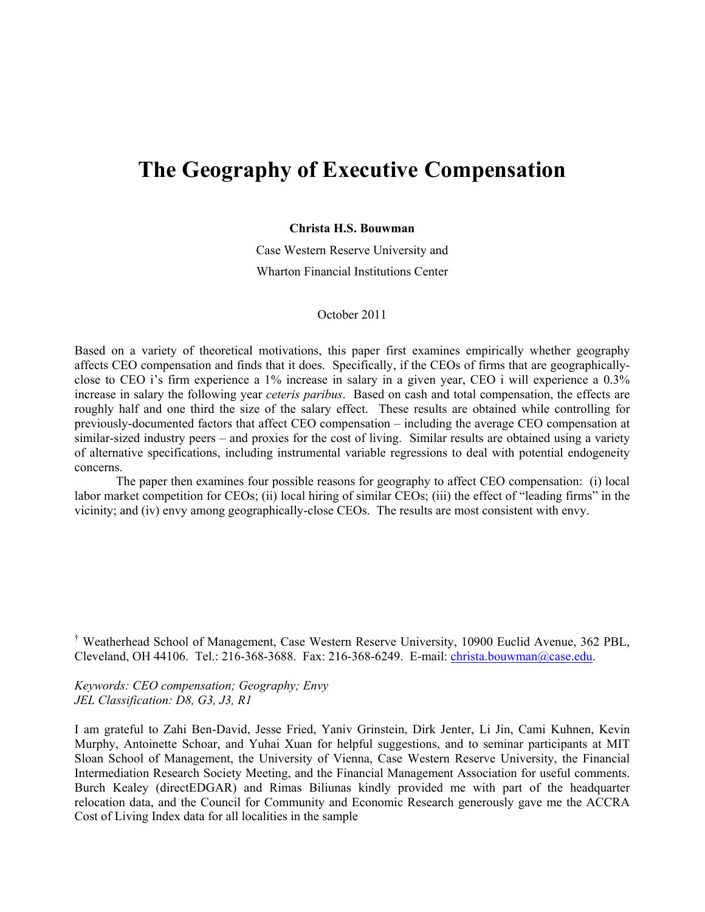# **The Geography of Executive Compensation**

## **Christa H.S. Bouwman**

Case Western Reserve University and Wharton Financial Institutions Center

#### October 2011

Based on a variety of theoretical motivations, this paper first examines empirically whether geography affects CEO compensation and finds that it does. Specifically, if the CEOs of firms that are geographicallyclose to CEO i's firm experience a 1% increase in salary in a given year, CEO i will experience a 0.3% increase in salary the following year *ceteris paribus*. Based on cash and total compensation, the effects are roughly half and one third the size of the salary effect. These results are obtained while controlling for previously-documented factors that affect CEO compensation – including the average CEO compensation at similar-sized industry peers – and proxies for the cost of living. Similar results are obtained using a variety of alternative specifications, including instrumental variable regressions to deal with potential endogeneity concerns.

The paper then examines four possible reasons for geography to affect CEO compensation: (i) local labor market competition for CEOs; (ii) local hiring of similar CEOs; (iii) the effect of "leading firms" in the vicinity; and (iv) envy among geographically-close CEOs. The results are most consistent with envy.

† Weatherhead School of Management, Case Western Reserve University, 10900 Euclid Avenue, 362 PBL, Cleveland, OH 44106. Tel.: 216-368-3688. Fax: 216-368-6249. E-mail: christa.bouwman@case.edu.

*Keywords: CEO compensation; Geography; Envy JEL Classification: D8, G3, J3, R1* 

I am grateful to Zahi Ben-David, Jesse Fried, Yaniv Grinstein, Dirk Jenter, Li Jin, Cami Kuhnen, Kevin Murphy, Antoinette Schoar, and Yuhai Xuan for helpful suggestions, and to seminar participants at MIT Sloan School of Management, the University of Vienna, Case Western Reserve University, the Financial Intermediation Research Society Meeting, and the Financial Management Association for useful comments. Burch Kealey (directEDGAR) and Rimas Biliunas kindly provided me with part of the headquarter relocation data, and the Council for Community and Economic Research generously gave me the ACCRA Cost of Living Index data for all localities in the sample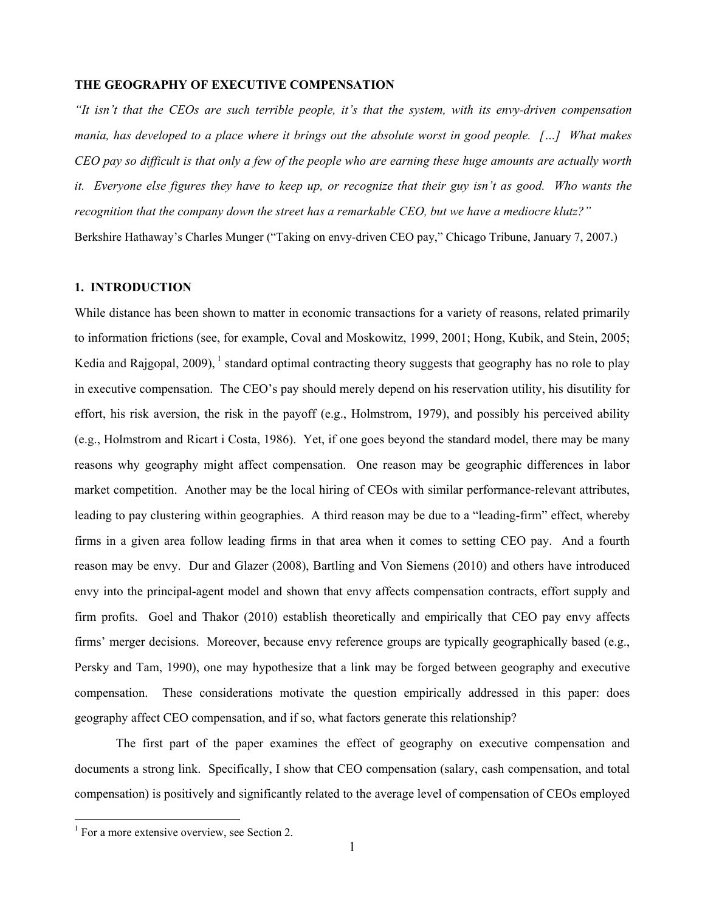#### **THE GEOGRAPHY OF EXECUTIVE COMPENSATION**

*"It isn't that the CEOs are such terrible people, it's that the system, with its envy-driven compensation mania, has developed to a place where it brings out the absolute worst in good people. […] What makes CEO pay so difficult is that only a few of the people who are earning these huge amounts are actually worth it. Everyone else figures they have to keep up, or recognize that their guy isn't as good. Who wants the recognition that the company down the street has a remarkable CEO, but we have a mediocre klutz?"* Berkshire Hathaway's Charles Munger ("Taking on envy-driven CEO pay," Chicago Tribune, January 7, 2007.)

# **1. INTRODUCTION**

While distance has been shown to matter in economic transactions for a variety of reasons, related primarily to information frictions (see, for example, Coval and Moskowitz, 1999, 2001; Hong, Kubik, and Stein, 2005; Kedia and Rajgopal, 2009), <sup>1</sup> standard optimal contracting theory suggests that geography has no role to play in executive compensation. The CEO's pay should merely depend on his reservation utility, his disutility for effort, his risk aversion, the risk in the payoff (e.g., Holmstrom, 1979), and possibly his perceived ability (e.g., Holmstrom and Ricart i Costa, 1986). Yet, if one goes beyond the standard model, there may be many reasons why geography might affect compensation. One reason may be geographic differences in labor market competition. Another may be the local hiring of CEOs with similar performance-relevant attributes, leading to pay clustering within geographies. A third reason may be due to a "leading-firm" effect, whereby firms in a given area follow leading firms in that area when it comes to setting CEO pay. And a fourth reason may be envy. Dur and Glazer (2008), Bartling and Von Siemens (2010) and others have introduced envy into the principal-agent model and shown that envy affects compensation contracts, effort supply and firm profits. Goel and Thakor (2010) establish theoretically and empirically that CEO pay envy affects firms' merger decisions. Moreover, because envy reference groups are typically geographically based (e.g., Persky and Tam, 1990), one may hypothesize that a link may be forged between geography and executive compensation. These considerations motivate the question empirically addressed in this paper: does geography affect CEO compensation, and if so, what factors generate this relationship?

The first part of the paper examines the effect of geography on executive compensation and documents a strong link. Specifically, I show that CEO compensation (salary, cash compensation, and total compensation) is positively and significantly related to the average level of compensation of CEOs employed

 1 For a more extensive overview, see Section 2.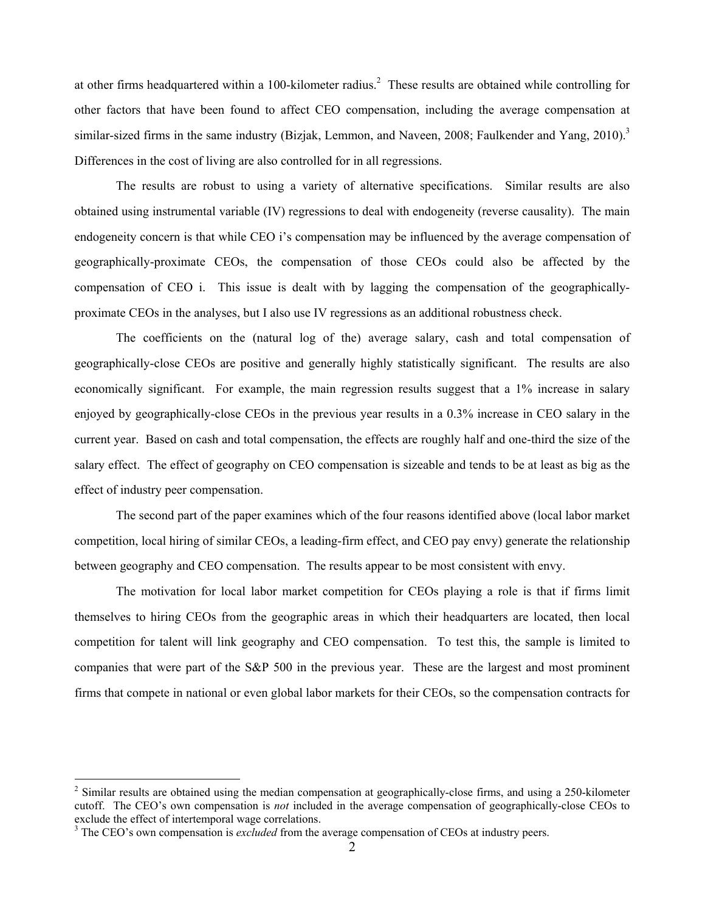at other firms headquartered within a 100-kilometer radius.<sup>2</sup> These results are obtained while controlling for other factors that have been found to affect CEO compensation, including the average compensation at similar-sized firms in the same industry (Bizjak, Lemmon, and Naveen, 2008; Faulkender and Yang, 2010).<sup>3</sup> Differences in the cost of living are also controlled for in all regressions.

The results are robust to using a variety of alternative specifications. Similar results are also obtained using instrumental variable (IV) regressions to deal with endogeneity (reverse causality). The main endogeneity concern is that while CEO i's compensation may be influenced by the average compensation of geographically-proximate CEOs, the compensation of those CEOs could also be affected by the compensation of CEO i. This issue is dealt with by lagging the compensation of the geographicallyproximate CEOs in the analyses, but I also use IV regressions as an additional robustness check.

The coefficients on the (natural log of the) average salary, cash and total compensation of geographically-close CEOs are positive and generally highly statistically significant. The results are also economically significant. For example, the main regression results suggest that a 1% increase in salary enjoyed by geographically-close CEOs in the previous year results in a 0.3% increase in CEO salary in the current year. Based on cash and total compensation, the effects are roughly half and one-third the size of the salary effect. The effect of geography on CEO compensation is sizeable and tends to be at least as big as the effect of industry peer compensation.

 The second part of the paper examines which of the four reasons identified above (local labor market competition, local hiring of similar CEOs, a leading-firm effect, and CEO pay envy) generate the relationship between geography and CEO compensation. The results appear to be most consistent with envy.

The motivation for local labor market competition for CEOs playing a role is that if firms limit themselves to hiring CEOs from the geographic areas in which their headquarters are located, then local competition for talent will link geography and CEO compensation. To test this, the sample is limited to companies that were part of the S&P 500 in the previous year. These are the largest and most prominent firms that compete in national or even global labor markets for their CEOs, so the compensation contracts for

 $2$  Similar results are obtained using the median compensation at geographically-close firms, and using a 250-kilometer cutoff. The CEO's own compensation is *not* included in the average compensation of geographically-close CEOs to exclude the effect of intertemporal wage correlations.

<sup>&</sup>lt;sup>3</sup> The CEO's own compensation is *excluded* from the average compensation of CEOs at industry peers.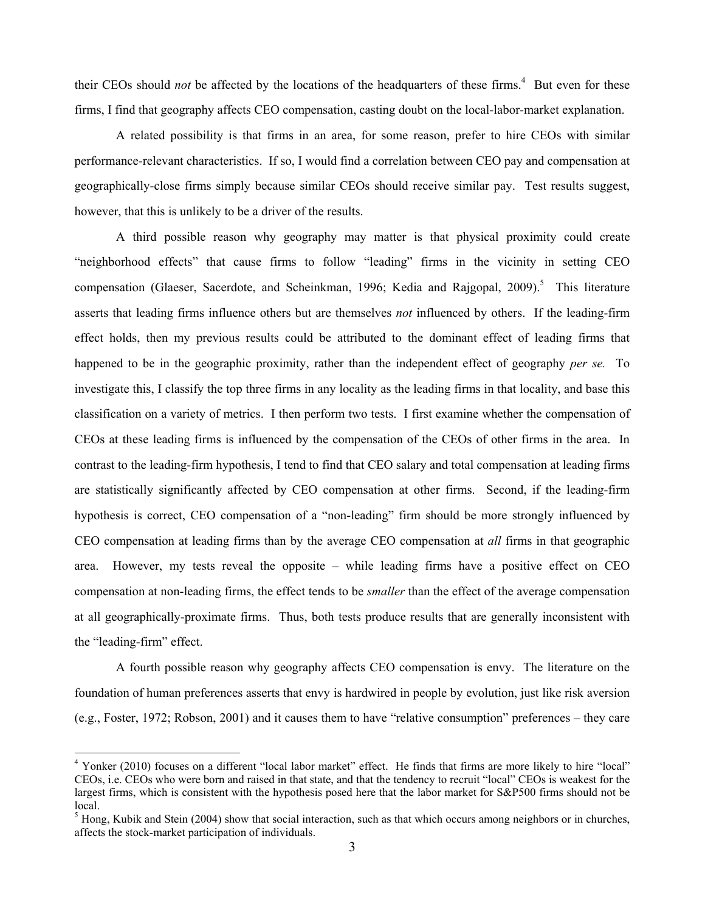their CEOs should *not* be affected by the locations of the headquarters of these firms.<sup>4</sup> But even for these firms, I find that geography affects CEO compensation, casting doubt on the local-labor-market explanation.

A related possibility is that firms in an area, for some reason, prefer to hire CEOs with similar performance-relevant characteristics. If so, I would find a correlation between CEO pay and compensation at geographically-close firms simply because similar CEOs should receive similar pay. Test results suggest, however, that this is unlikely to be a driver of the results.

A third possible reason why geography may matter is that physical proximity could create "neighborhood effects" that cause firms to follow "leading" firms in the vicinity in setting CEO compensation (Glaeser, Sacerdote, and Scheinkman, 1996; Kedia and Rajgopal, 2009).<sup>5</sup> This literature asserts that leading firms influence others but are themselves *not* influenced by others. If the leading-firm effect holds, then my previous results could be attributed to the dominant effect of leading firms that happened to be in the geographic proximity, rather than the independent effect of geography *per se.* To investigate this, I classify the top three firms in any locality as the leading firms in that locality, and base this classification on a variety of metrics. I then perform two tests. I first examine whether the compensation of CEOs at these leading firms is influenced by the compensation of the CEOs of other firms in the area. In contrast to the leading-firm hypothesis, I tend to find that CEO salary and total compensation at leading firms are statistically significantly affected by CEO compensation at other firms. Second, if the leading-firm hypothesis is correct, CEO compensation of a "non-leading" firm should be more strongly influenced by CEO compensation at leading firms than by the average CEO compensation at *all* firms in that geographic area. However, my tests reveal the opposite – while leading firms have a positive effect on CEO compensation at non-leading firms, the effect tends to be *smaller* than the effect of the average compensation at all geographically-proximate firms. Thus, both tests produce results that are generally inconsistent with the "leading-firm" effect.

A fourth possible reason why geography affects CEO compensation is envy. The literature on the foundation of human preferences asserts that envy is hardwired in people by evolution, just like risk aversion (e.g., Foster, 1972; Robson, 2001) and it causes them to have "relative consumption" preferences – they care

<sup>&</sup>lt;sup>4</sup> Yonker (2010) focuses on a different "local labor market" effect. He finds that firms are more likely to hire "local" CEOs, i.e. CEOs who were born and raised in that state, and that the tendency to recruit "local" CEOs is weakest for the largest firms, which is consistent with the hypothesis posed here that the labor market for S&P500 firms should not be local.

 $<sup>5</sup>$  Hong, Kubik and Stein (2004) show that social interaction, such as that which occurs among neighbors or in churches,</sup> affects the stock-market participation of individuals.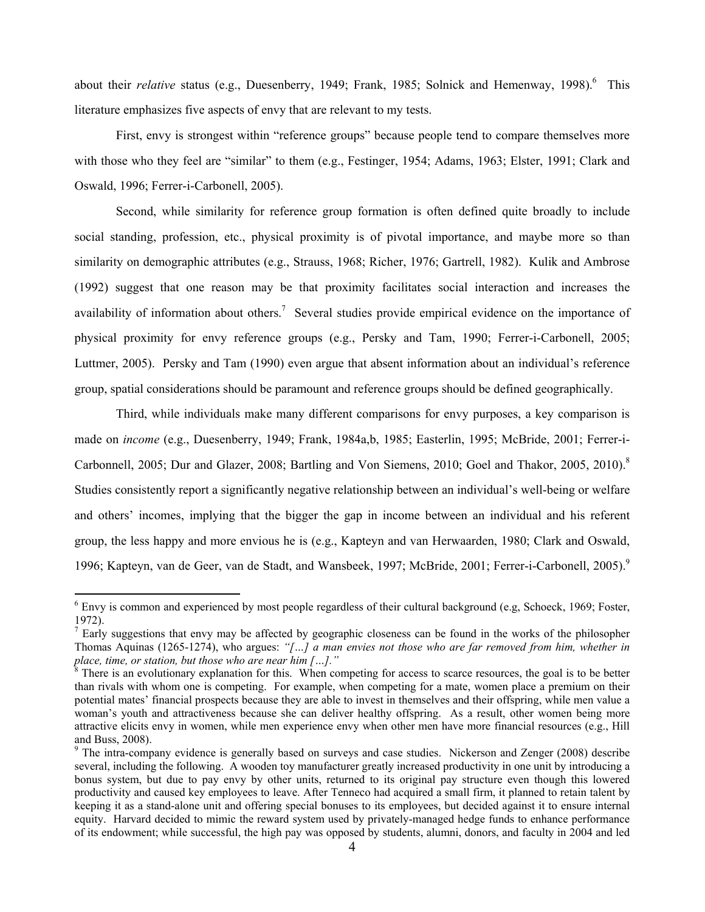about their *relative* status (e.g., Duesenberry, 1949; Frank, 1985; Solnick and Hemenway, 1998).<sup>6</sup> This literature emphasizes five aspects of envy that are relevant to my tests.

First, envy is strongest within "reference groups" because people tend to compare themselves more with those who they feel are "similar" to them (e.g., Festinger, 1954; Adams, 1963; Elster, 1991; Clark and Oswald, 1996; Ferrer-i-Carbonell, 2005).

Second, while similarity for reference group formation is often defined quite broadly to include social standing, profession, etc., physical proximity is of pivotal importance, and maybe more so than similarity on demographic attributes (e.g., Strauss, 1968; Richer, 1976; Gartrell, 1982). Kulik and Ambrose (1992) suggest that one reason may be that proximity facilitates social interaction and increases the availability of information about others.<sup>7</sup> Several studies provide empirical evidence on the importance of physical proximity for envy reference groups (e.g., Persky and Tam, 1990; Ferrer-i-Carbonell, 2005; Luttmer, 2005). Persky and Tam (1990) even argue that absent information about an individual's reference group, spatial considerations should be paramount and reference groups should be defined geographically.

Third, while individuals make many different comparisons for envy purposes, a key comparison is made on *income* (e.g., Duesenberry, 1949; Frank, 1984a,b, 1985; Easterlin, 1995; McBride, 2001; Ferrer-i-Carbonnell, 2005; Dur and Glazer, 2008; Bartling and Von Siemens, 2010; Goel and Thakor, 2005, 2010).<sup>8</sup> Studies consistently report a significantly negative relationship between an individual's well-being or welfare and others' incomes, implying that the bigger the gap in income between an individual and his referent group, the less happy and more envious he is (e.g., Kapteyn and van Herwaarden, 1980; Clark and Oswald, 1996; Kapteyn, van de Geer, van de Stadt, and Wansbeek, 1997; McBride, 2001; Ferrer-i-Carbonell, 2005).<sup>9</sup>

<sup>&</sup>lt;sup>6</sup> Envy is common and experienced by most people regardless of their cultural background (e.g, Schoeck, 1969; Foster, 1972).

 $<sup>7</sup>$  Early suggestions that envy may be affected by geographic closeness can be found in the works of the philosopher</sup> Thomas Aquinas (1265-1274), who argues: *"[…] a man envies not those who are far removed from him, whether in place, time, or station, but those who are near him […]."* 8

There is an evolutionary explanation for this. When competing for access to scarce resources, the goal is to be better than rivals with whom one is competing. For example, when competing for a mate, women place a premium on their potential mates' financial prospects because they are able to invest in themselves and their offspring, while men value a woman's youth and attractiveness because she can deliver healthy offspring. As a result, other women being more attractive elicits envy in women, while men experience envy when other men have more financial resources (e.g., Hill and Buss, 2008).

<sup>&</sup>lt;sup>9</sup> The intra-company evidence is generally based on surveys and case studies. Nickerson and Zenger (2008) describe several, including the following. A wooden toy manufacturer greatly increased productivity in one unit by introducing a bonus system, but due to pay envy by other units, returned to its original pay structure even though this lowered productivity and caused key employees to leave. After Tenneco had acquired a small firm, it planned to retain talent by keeping it as a stand-alone unit and offering special bonuses to its employees, but decided against it to ensure internal equity. Harvard decided to mimic the reward system used by privately-managed hedge funds to enhance performance of its endowment; while successful, the high pay was opposed by students, alumni, donors, and faculty in 2004 and led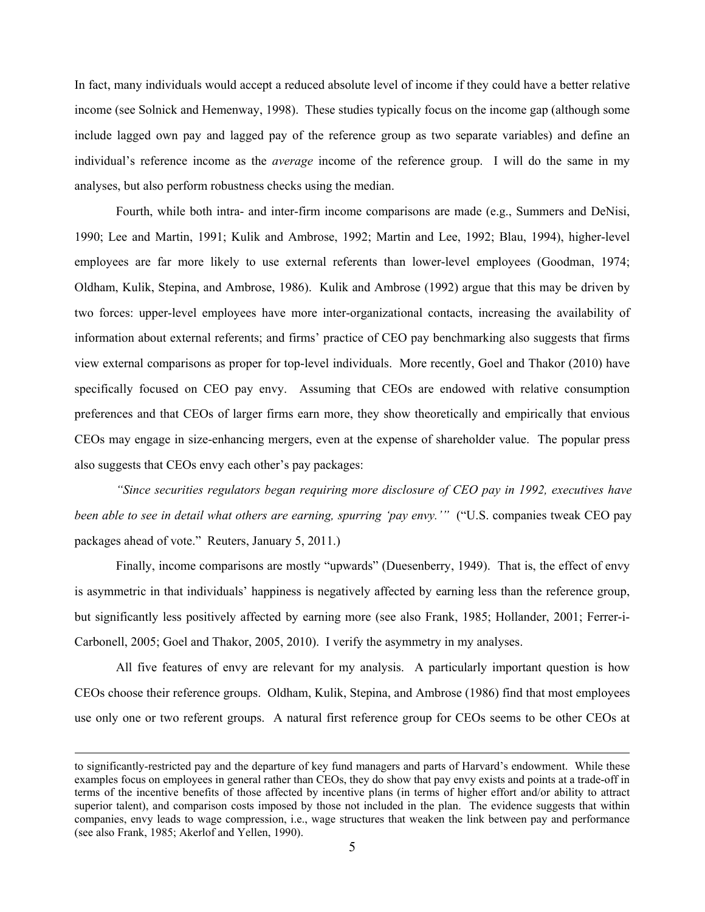In fact, many individuals would accept a reduced absolute level of income if they could have a better relative income (see Solnick and Hemenway, 1998). These studies typically focus on the income gap (although some include lagged own pay and lagged pay of the reference group as two separate variables) and define an individual's reference income as the *average* income of the reference group. I will do the same in my analyses, but also perform robustness checks using the median.

Fourth, while both intra- and inter-firm income comparisons are made (e.g., Summers and DeNisi, 1990; Lee and Martin, 1991; Kulik and Ambrose, 1992; Martin and Lee, 1992; Blau, 1994), higher-level employees are far more likely to use external referents than lower-level employees (Goodman, 1974; Oldham, Kulik, Stepina, and Ambrose, 1986). Kulik and Ambrose (1992) argue that this may be driven by two forces: upper-level employees have more inter-organizational contacts, increasing the availability of information about external referents; and firms' practice of CEO pay benchmarking also suggests that firms view external comparisons as proper for top-level individuals. More recently, Goel and Thakor (2010) have specifically focused on CEO pay envy. Assuming that CEOs are endowed with relative consumption preferences and that CEOs of larger firms earn more, they show theoretically and empirically that envious CEOs may engage in size-enhancing mergers, even at the expense of shareholder value. The popular press also suggests that CEOs envy each other's pay packages:

*"Since securities regulators began requiring more disclosure of CEO pay in 1992, executives have been able to see in detail what others are earning, spurring 'pay envy.'"* ("U.S. companies tweak CEO pay packages ahead of vote." Reuters, January 5, 2011.)

Finally, income comparisons are mostly "upwards" (Duesenberry, 1949). That is, the effect of envy is asymmetric in that individuals' happiness is negatively affected by earning less than the reference group, but significantly less positively affected by earning more (see also Frank, 1985; Hollander, 2001; Ferrer-i-Carbonell, 2005; Goel and Thakor, 2005, 2010). I verify the asymmetry in my analyses.

 All five features of envy are relevant for my analysis. A particularly important question is how CEOs choose their reference groups. Oldham, Kulik, Stepina, and Ambrose (1986) find that most employees use only one or two referent groups. A natural first reference group for CEOs seems to be other CEOs at

to significantly-restricted pay and the departure of key fund managers and parts of Harvard's endowment. While these examples focus on employees in general rather than CEOs, they do show that pay envy exists and points at a trade-off in terms of the incentive benefits of those affected by incentive plans (in terms of higher effort and/or ability to attract superior talent), and comparison costs imposed by those not included in the plan. The evidence suggests that within companies, envy leads to wage compression, i.e., wage structures that weaken the link between pay and performance (see also Frank, 1985; Akerlof and Yellen, 1990).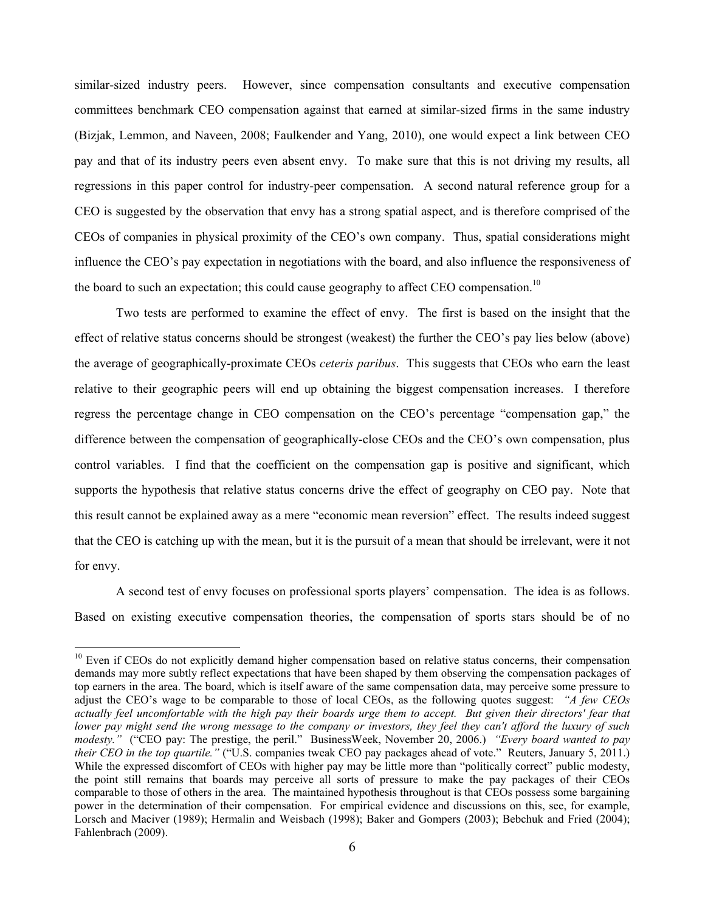similar-sized industry peers. However, since compensation consultants and executive compensation committees benchmark CEO compensation against that earned at similar-sized firms in the same industry (Bizjak, Lemmon, and Naveen, 2008; Faulkender and Yang, 2010), one would expect a link between CEO pay and that of its industry peers even absent envy. To make sure that this is not driving my results, all regressions in this paper control for industry-peer compensation. A second natural reference group for a CEO is suggested by the observation that envy has a strong spatial aspect, and is therefore comprised of the CEOs of companies in physical proximity of the CEO's own company. Thus, spatial considerations might influence the CEO's pay expectation in negotiations with the board, and also influence the responsiveness of the board to such an expectation; this could cause geography to affect CEO compensation.<sup>10</sup>

Two tests are performed to examine the effect of envy. The first is based on the insight that the effect of relative status concerns should be strongest (weakest) the further the CEO's pay lies below (above) the average of geographically-proximate CEOs *ceteris paribus*. This suggests that CEOs who earn the least relative to their geographic peers will end up obtaining the biggest compensation increases. I therefore regress the percentage change in CEO compensation on the CEO's percentage "compensation gap," the difference between the compensation of geographically-close CEOs and the CEO's own compensation, plus control variables. I find that the coefficient on the compensation gap is positive and significant, which supports the hypothesis that relative status concerns drive the effect of geography on CEO pay. Note that this result cannot be explained away as a mere "economic mean reversion" effect. The results indeed suggest that the CEO is catching up with the mean, but it is the pursuit of a mean that should be irrelevant, were it not for envy.

A second test of envy focuses on professional sports players' compensation. The idea is as follows. Based on existing executive compensation theories, the compensation of sports stars should be of no

 $10$  Even if CEOs do not explicitly demand higher compensation based on relative status concerns, their compensation demands may more subtly reflect expectations that have been shaped by them observing the compensation packages of top earners in the area. The board, which is itself aware of the same compensation data, may perceive some pressure to adjust the CEO's wage to be comparable to those of local CEOs, as the following quotes suggest: *"A few CEOs*  actually feel uncomfortable with the high pay their boards urge them to accept. But given their directors' fear that *lower pay might send the wrong message to the company or investors, they feel they can't afford the luxury of such modesty."* ("CEO pay: The prestige, the peril." BusinessWeek, November 20, 2006.) *"Every board wanted to pay their CEO in the top quartile."* ("U.S. companies tweak CEO pay packages ahead of vote." Reuters, January 5, 2011.) While the expressed discomfort of CEOs with higher pay may be little more than "politically correct" public modesty, the point still remains that boards may perceive all sorts of pressure to make the pay packages of their CEOs comparable to those of others in the area. The maintained hypothesis throughout is that CEOs possess some bargaining power in the determination of their compensation. For empirical evidence and discussions on this, see, for example, Lorsch and Maciver (1989); Hermalin and Weisbach (1998); Baker and Gompers (2003); Bebchuk and Fried (2004); Fahlenbrach (2009).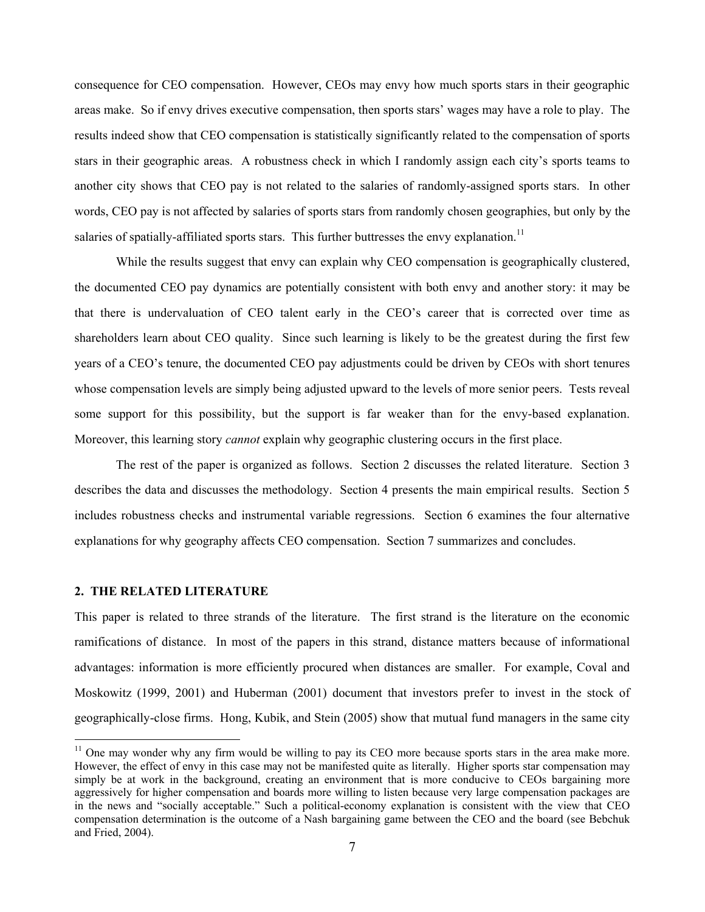consequence for CEO compensation. However, CEOs may envy how much sports stars in their geographic areas make. So if envy drives executive compensation, then sports stars' wages may have a role to play. The results indeed show that CEO compensation is statistically significantly related to the compensation of sports stars in their geographic areas. A robustness check in which I randomly assign each city's sports teams to another city shows that CEO pay is not related to the salaries of randomly-assigned sports stars. In other words, CEO pay is not affected by salaries of sports stars from randomly chosen geographies, but only by the salaries of spatially-affiliated sports stars. This further buttresses the envy explanation.<sup>11</sup>

While the results suggest that envy can explain why CEO compensation is geographically clustered, the documented CEO pay dynamics are potentially consistent with both envy and another story: it may be that there is undervaluation of CEO talent early in the CEO's career that is corrected over time as shareholders learn about CEO quality. Since such learning is likely to be the greatest during the first few years of a CEO's tenure, the documented CEO pay adjustments could be driven by CEOs with short tenures whose compensation levels are simply being adjusted upward to the levels of more senior peers. Tests reveal some support for this possibility, but the support is far weaker than for the envy-based explanation. Moreover, this learning story *cannot* explain why geographic clustering occurs in the first place.

The rest of the paper is organized as follows. Section 2 discusses the related literature. Section 3 describes the data and discusses the methodology. Section 4 presents the main empirical results. Section 5 includes robustness checks and instrumental variable regressions. Section 6 examines the four alternative explanations for why geography affects CEO compensation. Section 7 summarizes and concludes.

## **2. THE RELATED LITERATURE**

 $\overline{a}$ 

This paper is related to three strands of the literature. The first strand is the literature on the economic ramifications of distance. In most of the papers in this strand, distance matters because of informational advantages: information is more efficiently procured when distances are smaller. For example, Coval and Moskowitz (1999, 2001) and Huberman (2001) document that investors prefer to invest in the stock of geographically-close firms. Hong, Kubik, and Stein (2005) show that mutual fund managers in the same city

 $11$  One may wonder why any firm would be willing to pay its CEO more because sports stars in the area make more. However, the effect of envy in this case may not be manifested quite as literally. Higher sports star compensation may simply be at work in the background, creating an environment that is more conducive to CEOs bargaining more aggressively for higher compensation and boards more willing to listen because very large compensation packages are in the news and "socially acceptable." Such a political-economy explanation is consistent with the view that CEO compensation determination is the outcome of a Nash bargaining game between the CEO and the board (see Bebchuk and Fried, 2004).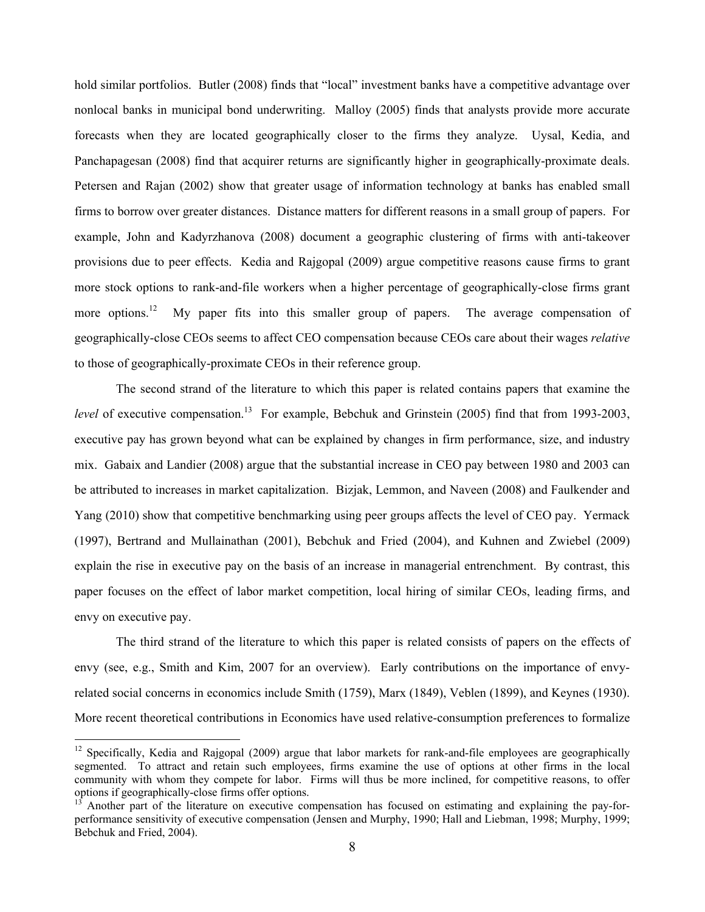hold similar portfolios. Butler (2008) finds that "local" investment banks have a competitive advantage over nonlocal banks in municipal bond underwriting. Malloy (2005) finds that analysts provide more accurate forecasts when they are located geographically closer to the firms they analyze. Uysal, Kedia, and Panchapagesan (2008) find that acquirer returns are significantly higher in geographically-proximate deals. Petersen and Rajan (2002) show that greater usage of information technology at banks has enabled small firms to borrow over greater distances. Distance matters for different reasons in a small group of papers. For example, John and Kadyrzhanova (2008) document a geographic clustering of firms with anti-takeover provisions due to peer effects. Kedia and Rajgopal (2009) argue competitive reasons cause firms to grant more stock options to rank-and-file workers when a higher percentage of geographically-close firms grant more options.<sup>12</sup> My paper fits into this smaller group of papers. The average compensation of geographically-close CEOs seems to affect CEO compensation because CEOs care about their wages *relative* to those of geographically-proximate CEOs in their reference group.

The second strand of the literature to which this paper is related contains papers that examine the *level* of executive compensation.<sup>13</sup> For example, Bebchuk and Grinstein (2005) find that from 1993-2003, executive pay has grown beyond what can be explained by changes in firm performance, size, and industry mix. Gabaix and Landier (2008) argue that the substantial increase in CEO pay between 1980 and 2003 can be attributed to increases in market capitalization. Bizjak, Lemmon, and Naveen (2008) and Faulkender and Yang (2010) show that competitive benchmarking using peer groups affects the level of CEO pay. Yermack (1997), Bertrand and Mullainathan (2001), Bebchuk and Fried (2004), and Kuhnen and Zwiebel (2009) explain the rise in executive pay on the basis of an increase in managerial entrenchment. By contrast, this paper focuses on the effect of labor market competition, local hiring of similar CEOs, leading firms, and envy on executive pay.

The third strand of the literature to which this paper is related consists of papers on the effects of envy (see, e.g., Smith and Kim, 2007 for an overview). Early contributions on the importance of envyrelated social concerns in economics include Smith (1759), Marx (1849), Veblen (1899), and Keynes (1930). More recent theoretical contributions in Economics have used relative-consumption preferences to formalize

<sup>&</sup>lt;sup>12</sup> Specifically, Kedia and Rajgopal (2009) argue that labor markets for rank-and-file employees are geographically segmented. To attract and retain such employees, firms examine the use of options at other firms in the local community with whom they compete for labor. Firms will thus be more inclined, for competitive reasons, to offer options if geographically-close firms offer options.

<sup>13</sup> Another part of the literature on executive compensation has focused on estimating and explaining the pay-forperformance sensitivity of executive compensation (Jensen and Murphy, 1990; Hall and Liebman, 1998; Murphy, 1999; Bebchuk and Fried, 2004).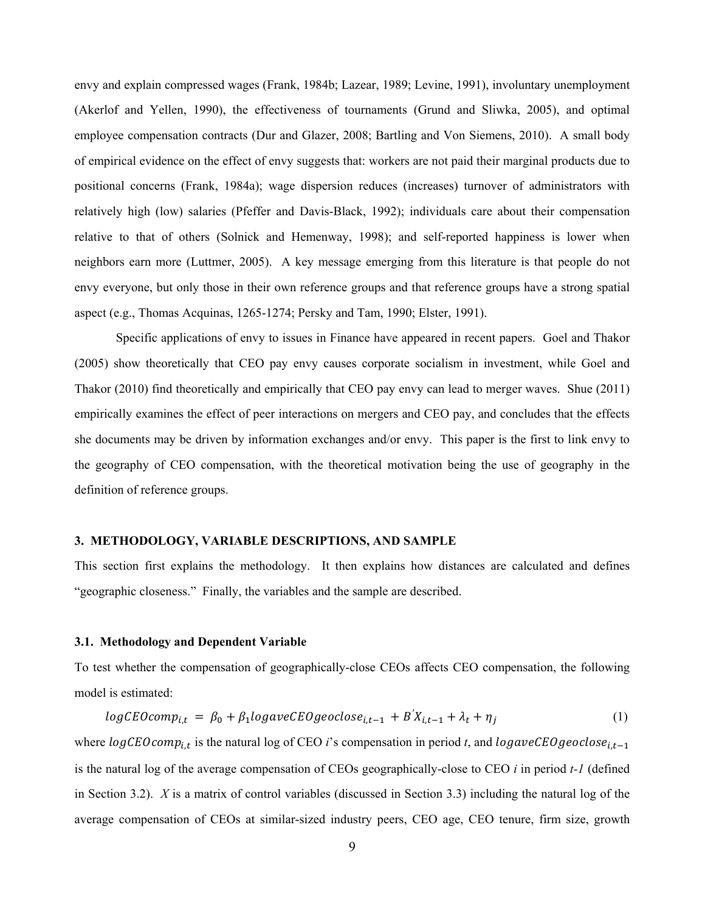envy and explain compressed wages (Frank, 1984b; Lazear, 1989; Levine, 1991), involuntary unemployment (Akerlof and Yellen, 1990), the effectiveness of tournaments (Grund and Sliwka, 2005), and optimal employee compensation contracts (Dur and Glazer, 2008; Bartling and Von Siemens, 2010). A small body of empirical evidence on the effect of envy suggests that: workers are not paid their marginal products due to positional concerns (Frank, 1984a); wage dispersion reduces (increases) turnover of administrators with relatively high (low) salaries (Pfeffer and Davis-Black, 1992); individuals care about their compensation relative to that of others (Solnick and Hemenway, 1998); and self-reported happiness is lower when neighbors earn more (Luttmer, 2005). A key message emerging from this literature is that people do not envy everyone, but only those in their own reference groups and that reference groups have a strong spatial aspect (e.g., Thomas Acquinas, 1265-1274; Persky and Tam, 1990; Elster, 1991).

Specific applications of envy to issues in Finance have appeared in recent papers. Goel and Thakor (2005) show theoretically that CEO pay envy causes corporate socialism in investment, while Goel and Thakor (2010) find theoretically and empirically that CEO pay envy can lead to merger waves. Shue (2011) empirically examines the effect of peer interactions on mergers and CEO pay, and concludes that the effects she documents may be driven by information exchanges and/or envy. This paper is the first to link envy to the geography of CEO compensation, with the theoretical motivation being the use of geography in the definition of reference groups.

#### **3. METHODOLOGY, VARIABLE DESCRIPTIONS, AND SAMPLE**

This section first explains the methodology. It then explains how distances are calculated and defines "geographic closeness." Finally, the variables and the sample are described.

#### **3.1. Methodology and Dependent Variable**

To test whether the compensation of geographically-close CEOs affects CEO compensation, the following model is estimated:

$$
logCEOcomp_{i,t} = \beta_0 + \beta_1 logaveCEO geoclose_{i,t-1} + B'X_{i,t-1} + \lambda_t + \eta_j
$$
\n(1)

where  $logCEOcomp_{i,t}$  is the natural log of CEO *i*'s compensation in period *t*, and  $logaveCEOgeoclose_{i,t-1}$ is the natural log of the average compensation of CEOs geographically-close to CEO *i* in period *t-1* (defined in Section 3.2). *X* is a matrix of control variables (discussed in Section 3.3) including the natural log of the average compensation of CEOs at similar-sized industry peers, CEO age, CEO tenure, firm size, growth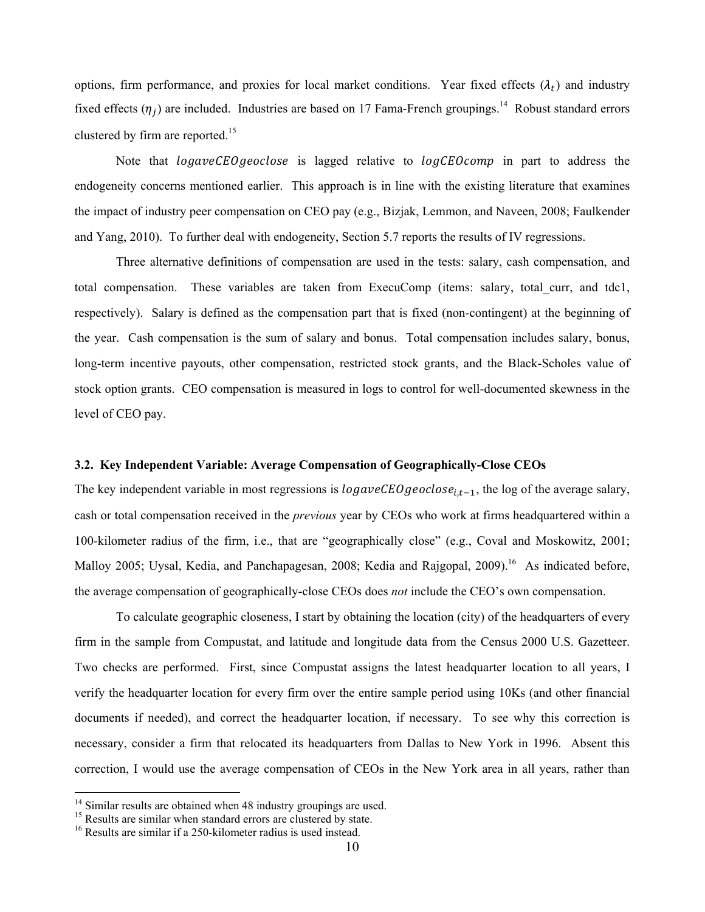options, firm performance, and proxies for local market conditions. Year fixed effects  $(\lambda_t)$  and industry fixed effects  $(\eta_i)$  are included. Industries are based on 17 Fama-French groupings.<sup>14</sup> Robust standard errors clustered by firm are reported.<sup>15</sup>

Note that *logaveCEOgeoclose* is lagged relative to *logCEOcomp* in part to address the endogeneity concerns mentioned earlier. This approach is in line with the existing literature that examines the impact of industry peer compensation on CEO pay (e.g., Bizjak, Lemmon, and Naveen, 2008; Faulkender and Yang, 2010). To further deal with endogeneity, Section 5.7 reports the results of IV regressions.

Three alternative definitions of compensation are used in the tests: salary, cash compensation, and total compensation. These variables are taken from ExecuComp (items: salary, total\_curr, and tdc1, respectively). Salary is defined as the compensation part that is fixed (non-contingent) at the beginning of the year. Cash compensation is the sum of salary and bonus. Total compensation includes salary, bonus, long-term incentive payouts, other compensation, restricted stock grants, and the Black-Scholes value of stock option grants. CEO compensation is measured in logs to control for well-documented skewness in the level of CEO pay.

## **3.2. Key Independent Variable: Average Compensation of Geographically-Close CEOs**

The key independent variable in most regressions is  $logaveCEOgeoclose_{i,t-1}$ , the log of the average salary, cash or total compensation received in the *previous* year by CEOs who work at firms headquartered within a 100-kilometer radius of the firm, i.e., that are "geographically close" (e.g., Coval and Moskowitz, 2001; Malloy 2005; Uysal, Kedia, and Panchapagesan, 2008; Kedia and Rajgopal, 2009).<sup>16</sup> As indicated before, the average compensation of geographically-close CEOs does *not* include the CEO's own compensation.

To calculate geographic closeness, I start by obtaining the location (city) of the headquarters of every firm in the sample from Compustat, and latitude and longitude data from the Census 2000 U.S. Gazetteer. Two checks are performed. First, since Compustat assigns the latest headquarter location to all years, I verify the headquarter location for every firm over the entire sample period using 10Ks (and other financial documents if needed), and correct the headquarter location, if necessary. To see why this correction is necessary, consider a firm that relocated its headquarters from Dallas to New York in 1996. Absent this correction, I would use the average compensation of CEOs in the New York area in all years, rather than

 $14$  Similar results are obtained when 48 industry groupings are used.

<sup>&</sup>lt;sup>15</sup> Results are similar when standard errors are clustered by state.  $\frac{16}{16}$  Results are similar if a 250-kilometer radius is used instead.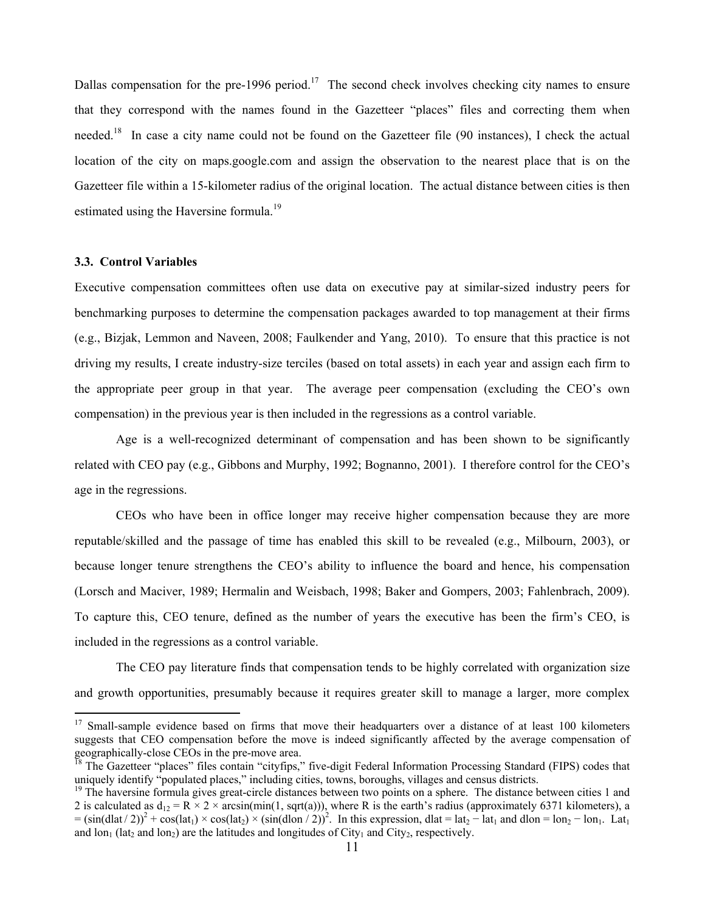Dallas compensation for the pre-1996 period.<sup>17</sup> The second check involves checking city names to ensure that they correspond with the names found in the Gazetteer "places" files and correcting them when needed.<sup>18</sup> In case a city name could not be found on the Gazetteer file (90 instances), I check the actual location of the city on maps.google.com and assign the observation to the nearest place that is on the Gazetteer file within a 15-kilometer radius of the original location. The actual distance between cities is then estimated using the Haversine formula.<sup>19</sup>

#### **3.3. Control Variables**

 $\overline{a}$ 

Executive compensation committees often use data on executive pay at similar-sized industry peers for benchmarking purposes to determine the compensation packages awarded to top management at their firms (e.g., Bizjak, Lemmon and Naveen, 2008; Faulkender and Yang, 2010). To ensure that this practice is not driving my results, I create industry-size terciles (based on total assets) in each year and assign each firm to the appropriate peer group in that year. The average peer compensation (excluding the CEO's own compensation) in the previous year is then included in the regressions as a control variable.

Age is a well-recognized determinant of compensation and has been shown to be significantly related with CEO pay (e.g., Gibbons and Murphy, 1992; Bognanno, 2001). I therefore control for the CEO's age in the regressions.

CEOs who have been in office longer may receive higher compensation because they are more reputable/skilled and the passage of time has enabled this skill to be revealed (e.g., Milbourn, 2003), or because longer tenure strengthens the CEO's ability to influence the board and hence, his compensation (Lorsch and Maciver, 1989; Hermalin and Weisbach, 1998; Baker and Gompers, 2003; Fahlenbrach, 2009). To capture this, CEO tenure, defined as the number of years the executive has been the firm's CEO, is included in the regressions as a control variable.

The CEO pay literature finds that compensation tends to be highly correlated with organization size and growth opportunities, presumably because it requires greater skill to manage a larger, more complex

<sup>&</sup>lt;sup>17</sup> Small-sample evidence based on firms that move their headquarters over a distance of at least 100 kilometers suggests that CEO compensation before the move is indeed significantly affected by the average compensation of geographically-close CEOs in the pre-move area.

<sup>&</sup>lt;sup>18</sup> The Gazetteer "places" files contain "cityfips," five-digit Federal Information Processing Standard (FIPS) codes that uniquely identify "populated places," including cities, towns, boroughs, villages and census distr

 $^{19}$  The haversine formula gives great-circle distances between two points on a sphere. The distance between cities 1 and 2 is calculated as  $d_{12} = R \times 2 \times \arcsin(\text{min}(1, \text{sqrt})),$  where R is the earth's radius (approximately 6371 kilometers), a  $= (\sin(\text{dlat}/2))^2 + \cos(\text{lat}_1) \times \cos(\text{lat}_2) \times (\sin(\text{dlon}/2))^2$ . In this expression, dlat = lat<sub>2</sub> – lat<sub>1</sub> and dlon = lon<sub>2</sub> – lon<sub>1</sub>. Lat<sub>1</sub> and  $lon_1$  (lat<sub>2</sub> and  $lon_2$ ) are the latitudes and longitudes of City<sub>1</sub> and City<sub>2</sub>, respectively.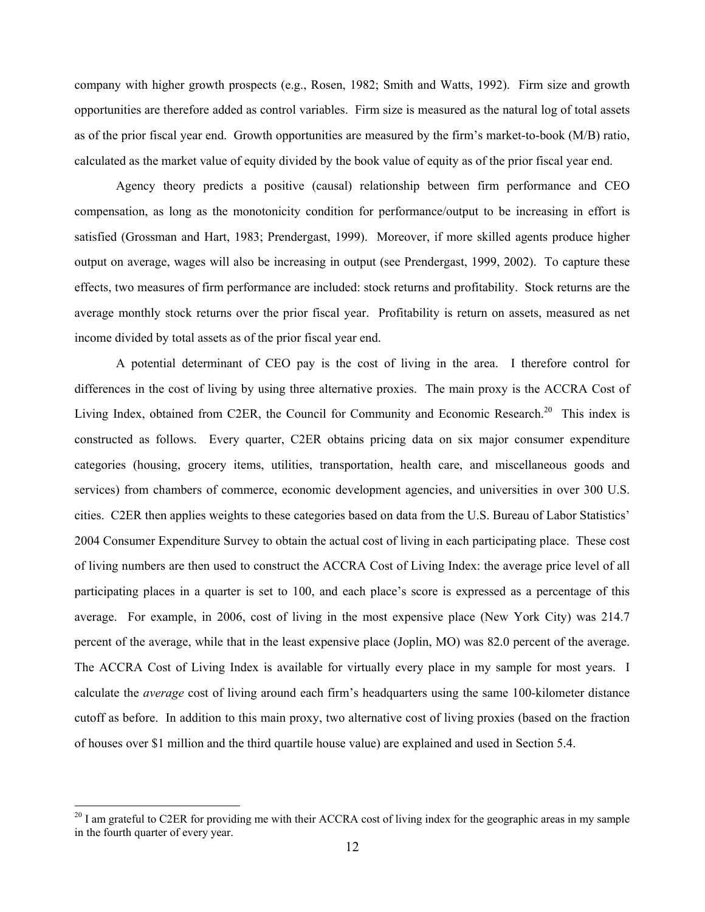company with higher growth prospects (e.g., Rosen, 1982; Smith and Watts, 1992). Firm size and growth opportunities are therefore added as control variables. Firm size is measured as the natural log of total assets as of the prior fiscal year end. Growth opportunities are measured by the firm's market-to-book (M/B) ratio, calculated as the market value of equity divided by the book value of equity as of the prior fiscal year end.

Agency theory predicts a positive (causal) relationship between firm performance and CEO compensation, as long as the monotonicity condition for performance/output to be increasing in effort is satisfied (Grossman and Hart, 1983; Prendergast, 1999). Moreover, if more skilled agents produce higher output on average, wages will also be increasing in output (see Prendergast, 1999, 2002). To capture these effects, two measures of firm performance are included: stock returns and profitability. Stock returns are the average monthly stock returns over the prior fiscal year. Profitability is return on assets, measured as net income divided by total assets as of the prior fiscal year end.

A potential determinant of CEO pay is the cost of living in the area. I therefore control for differences in the cost of living by using three alternative proxies. The main proxy is the ACCRA Cost of Living Index, obtained from C2ER, the Council for Community and Economic Research.<sup>20</sup> This index is constructed as follows. Every quarter, C2ER obtains pricing data on six major consumer expenditure categories (housing, grocery items, utilities, transportation, health care, and miscellaneous goods and services) from chambers of commerce, economic development agencies, and universities in over 300 U.S. cities. C2ER then applies weights to these categories based on data from the U.S. Bureau of Labor Statistics' 2004 Consumer Expenditure Survey to obtain the actual cost of living in each participating place. These cost of living numbers are then used to construct the ACCRA Cost of Living Index: the average price level of all participating places in a quarter is set to 100, and each place's score is expressed as a percentage of this average. For example, in 2006, cost of living in the most expensive place (New York City) was 214.7 percent of the average, while that in the least expensive place (Joplin, MO) was 82.0 percent of the average. The ACCRA Cost of Living Index is available for virtually every place in my sample for most years. I calculate the *average* cost of living around each firm's headquarters using the same 100-kilometer distance cutoff as before. In addition to this main proxy, two alternative cost of living proxies (based on the fraction of houses over \$1 million and the third quartile house value) are explained and used in Section 5.4.

 $^{20}$  I am grateful to C2ER for providing me with their ACCRA cost of living index for the geographic areas in my sample in the fourth quarter of every year.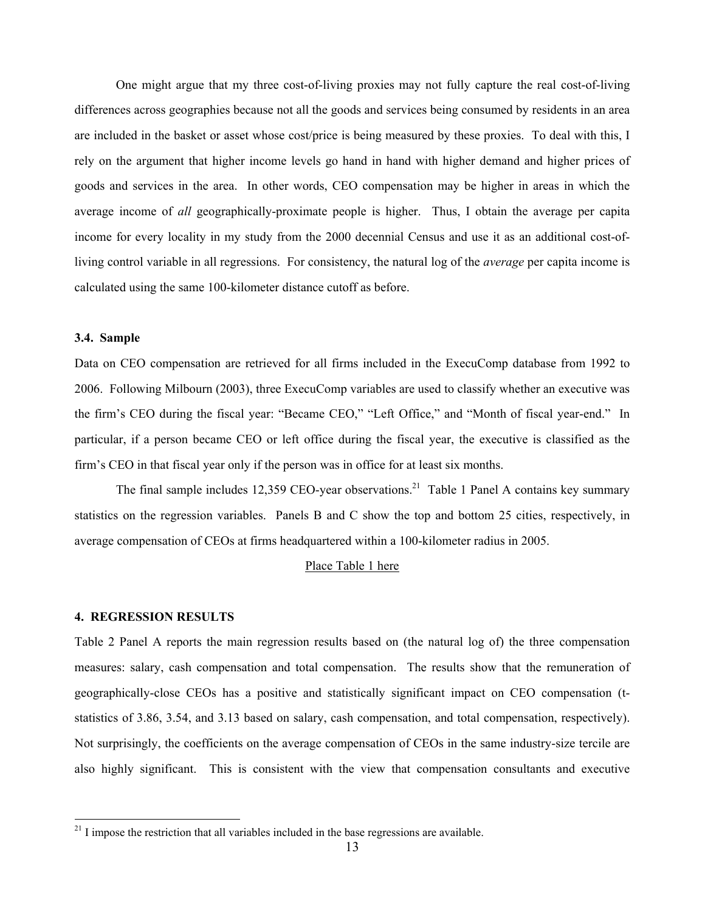One might argue that my three cost-of-living proxies may not fully capture the real cost-of-living differences across geographies because not all the goods and services being consumed by residents in an area are included in the basket or asset whose cost/price is being measured by these proxies. To deal with this, I rely on the argument that higher income levels go hand in hand with higher demand and higher prices of goods and services in the area. In other words, CEO compensation may be higher in areas in which the average income of *all* geographically-proximate people is higher. Thus, I obtain the average per capita income for every locality in my study from the 2000 decennial Census and use it as an additional cost-ofliving control variable in all regressions. For consistency, the natural log of the *average* per capita income is calculated using the same 100-kilometer distance cutoff as before.

## **3.4. Sample**

Data on CEO compensation are retrieved for all firms included in the ExecuComp database from 1992 to 2006. Following Milbourn (2003), three ExecuComp variables are used to classify whether an executive was the firm's CEO during the fiscal year: "Became CEO," "Left Office," and "Month of fiscal year-end." In particular, if a person became CEO or left office during the fiscal year, the executive is classified as the firm's CEO in that fiscal year only if the person was in office for at least six months.

The final sample includes 12,359 CEO-year observations.<sup>21</sup> Table 1 Panel A contains key summary statistics on the regression variables. Panels B and C show the top and bottom 25 cities, respectively, in average compensation of CEOs at firms headquartered within a 100-kilometer radius in 2005.

## Place Table 1 here

#### **4. REGRESSION RESULTS**

 $\overline{a}$ 

Table 2 Panel A reports the main regression results based on (the natural log of) the three compensation measures: salary, cash compensation and total compensation. The results show that the remuneration of geographically-close CEOs has a positive and statistically significant impact on CEO compensation (tstatistics of 3.86, 3.54, and 3.13 based on salary, cash compensation, and total compensation, respectively). Not surprisingly, the coefficients on the average compensation of CEOs in the same industry-size tercile are also highly significant. This is consistent with the view that compensation consultants and executive

 $2<sup>1</sup>$  I impose the restriction that all variables included in the base regressions are available.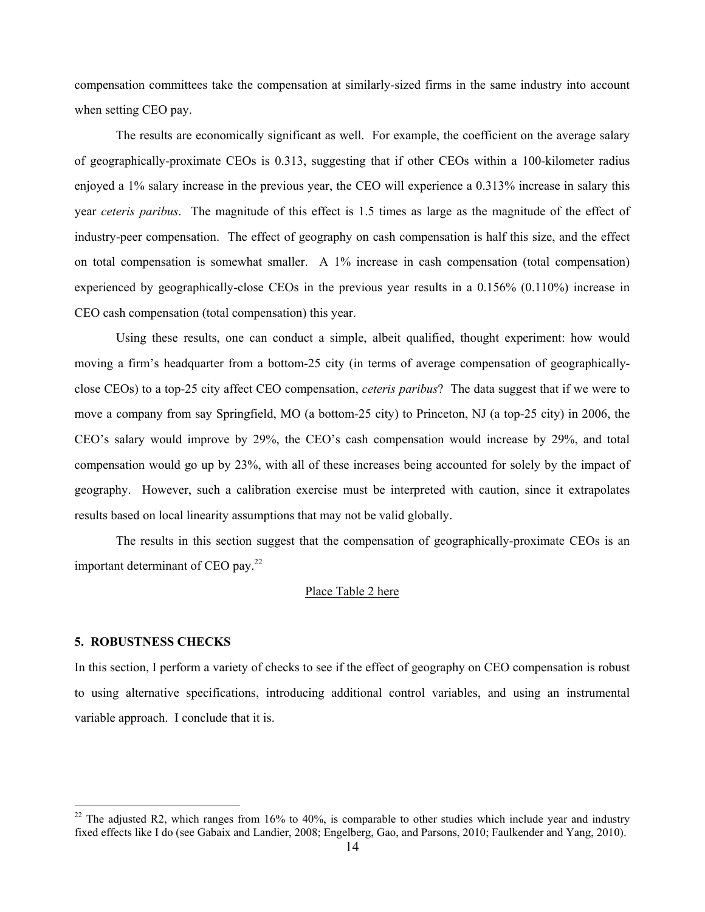compensation committees take the compensation at similarly-sized firms in the same industry into account when setting CEO pay.

The results are economically significant as well. For example, the coefficient on the average salary of geographically-proximate CEOs is 0.313, suggesting that if other CEOs within a 100-kilometer radius enjoyed a 1% salary increase in the previous year, the CEO will experience a 0.313% increase in salary this year *ceteris paribus*. The magnitude of this effect is 1.5 times as large as the magnitude of the effect of industry-peer compensation. The effect of geography on cash compensation is half this size, and the effect on total compensation is somewhat smaller. A 1% increase in cash compensation (total compensation) experienced by geographically-close CEOs in the previous year results in a 0.156% (0.110%) increase in CEO cash compensation (total compensation) this year.

Using these results, one can conduct a simple, albeit qualified, thought experiment: how would moving a firm's headquarter from a bottom-25 city (in terms of average compensation of geographicallyclose CEOs) to a top-25 city affect CEO compensation, *ceteris paribus*? The data suggest that if we were to move a company from say Springfield, MO (a bottom-25 city) to Princeton, NJ (a top-25 city) in 2006, the CEO's salary would improve by 29%, the CEO's cash compensation would increase by 29%, and total compensation would go up by 23%, with all of these increases being accounted for solely by the impact of geography. However, such a calibration exercise must be interpreted with caution, since it extrapolates results based on local linearity assumptions that may not be valid globally.

The results in this section suggest that the compensation of geographically-proximate CEOs is an important determinant of CEO pay. $^{22}$ 

# Place Table 2 here

#### **5. ROBUSTNESS CHECKS**

 $\overline{a}$ 

In this section, I perform a variety of checks to see if the effect of geography on CEO compensation is robust to using alternative specifications, introducing additional control variables, and using an instrumental variable approach. I conclude that it is.

<sup>&</sup>lt;sup>22</sup> The adjusted R2, which ranges from 16% to 40%, is comparable to other studies which include year and industry fixed effects like I do (see Gabaix and Landier, 2008; Engelberg, Gao, and Parsons, 2010; Faulkender and Yang, 2010).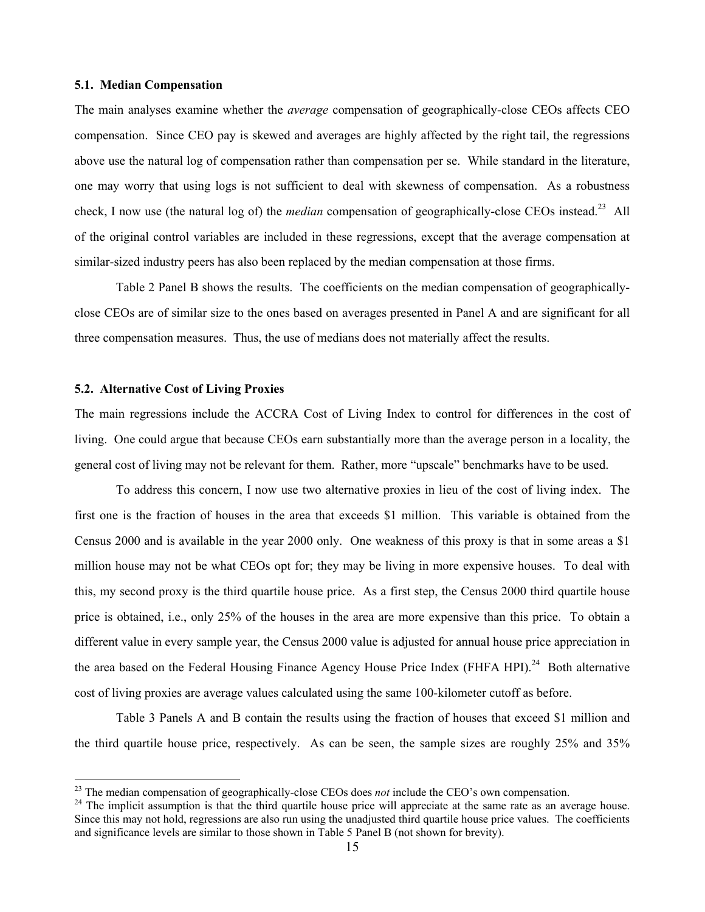## **5.1. Median Compensation**

The main analyses examine whether the *average* compensation of geographically-close CEOs affects CEO compensation. Since CEO pay is skewed and averages are highly affected by the right tail, the regressions above use the natural log of compensation rather than compensation per se. While standard in the literature, one may worry that using logs is not sufficient to deal with skewness of compensation. As a robustness check, I now use (the natural log of) the *median* compensation of geographically-close CEOs instead.<sup>23</sup> All of the original control variables are included in these regressions, except that the average compensation at similar-sized industry peers has also been replaced by the median compensation at those firms.

 Table 2 Panel B shows the results. The coefficients on the median compensation of geographicallyclose CEOs are of similar size to the ones based on averages presented in Panel A and are significant for all three compensation measures. Thus, the use of medians does not materially affect the results.

#### **5.2. Alternative Cost of Living Proxies**

The main regressions include the ACCRA Cost of Living Index to control for differences in the cost of living. One could argue that because CEOs earn substantially more than the average person in a locality, the general cost of living may not be relevant for them. Rather, more "upscale" benchmarks have to be used.

To address this concern, I now use two alternative proxies in lieu of the cost of living index. The first one is the fraction of houses in the area that exceeds \$1 million. This variable is obtained from the Census 2000 and is available in the year 2000 only. One weakness of this proxy is that in some areas a \$1 million house may not be what CEOs opt for; they may be living in more expensive houses. To deal with this, my second proxy is the third quartile house price. As a first step, the Census 2000 third quartile house price is obtained, i.e., only 25% of the houses in the area are more expensive than this price. To obtain a different value in every sample year, the Census 2000 value is adjusted for annual house price appreciation in the area based on the Federal Housing Finance Agency House Price Index (FHFA HPI).<sup>24</sup> Both alternative cost of living proxies are average values calculated using the same 100-kilometer cutoff as before.

Table 3 Panels A and B contain the results using the fraction of houses that exceed \$1 million and the third quartile house price, respectively. As can be seen, the sample sizes are roughly 25% and 35%

<sup>&</sup>lt;sup>23</sup> The median compensation of geographically-close CEOs does *not* include the CEO's own compensation.

<sup>&</sup>lt;sup>24</sup> The implicit assumption is that the third quartile house price will appreciate at the same rate as an average house. Since this may not hold, regressions are also run using the unadjusted third quartile house price values. The coefficients and significance levels are similar to those shown in Table 5 Panel B (not shown for brevity).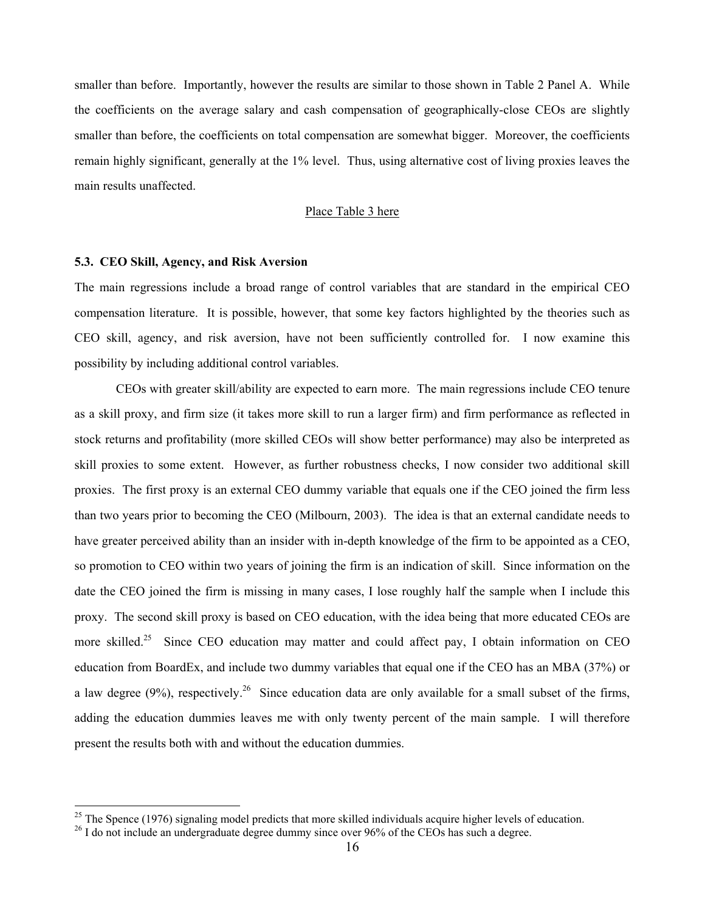smaller than before. Importantly, however the results are similar to those shown in Table 2 Panel A. While the coefficients on the average salary and cash compensation of geographically-close CEOs are slightly smaller than before, the coefficients on total compensation are somewhat bigger. Moreover, the coefficients remain highly significant, generally at the 1% level. Thus, using alternative cost of living proxies leaves the main results unaffected.

## Place Table 3 here

#### **5.3. CEO Skill, Agency, and Risk Aversion**

 $\overline{a}$ 

The main regressions include a broad range of control variables that are standard in the empirical CEO compensation literature. It is possible, however, that some key factors highlighted by the theories such as CEO skill, agency, and risk aversion, have not been sufficiently controlled for. I now examine this possibility by including additional control variables.

 CEOs with greater skill/ability are expected to earn more. The main regressions include CEO tenure as a skill proxy, and firm size (it takes more skill to run a larger firm) and firm performance as reflected in stock returns and profitability (more skilled CEOs will show better performance) may also be interpreted as skill proxies to some extent. However, as further robustness checks, I now consider two additional skill proxies. The first proxy is an external CEO dummy variable that equals one if the CEO joined the firm less than two years prior to becoming the CEO (Milbourn, 2003). The idea is that an external candidate needs to have greater perceived ability than an insider with in-depth knowledge of the firm to be appointed as a CEO, so promotion to CEO within two years of joining the firm is an indication of skill. Since information on the date the CEO joined the firm is missing in many cases, I lose roughly half the sample when I include this proxy. The second skill proxy is based on CEO education, with the idea being that more educated CEOs are more skilled.<sup>25</sup> Since CEO education may matter and could affect pay, I obtain information on CEO education from BoardEx, and include two dummy variables that equal one if the CEO has an MBA (37%) or a law degree (9%), respectively.<sup>26</sup> Since education data are only available for a small subset of the firms, adding the education dummies leaves me with only twenty percent of the main sample. I will therefore present the results both with and without the education dummies.

 $^{25}$  The Spence (1976) signaling model predicts that more skilled individuals acquire higher levels of education.

 $^{26}$  I do not include an undergraduate degree dummy since over 96% of the CEOs has such a degree.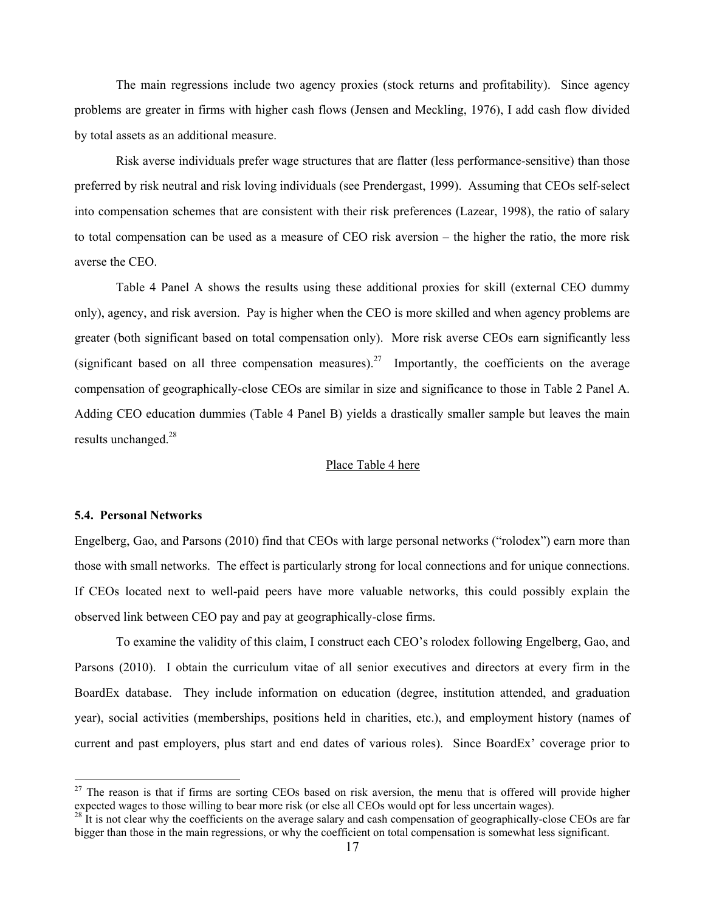The main regressions include two agency proxies (stock returns and profitability). Since agency problems are greater in firms with higher cash flows (Jensen and Meckling, 1976), I add cash flow divided by total assets as an additional measure.

 Risk averse individuals prefer wage structures that are flatter (less performance-sensitive) than those preferred by risk neutral and risk loving individuals (see Prendergast, 1999). Assuming that CEOs self-select into compensation schemes that are consistent with their risk preferences (Lazear, 1998), the ratio of salary to total compensation can be used as a measure of CEO risk aversion – the higher the ratio, the more risk averse the CEO.

 Table 4 Panel A shows the results using these additional proxies for skill (external CEO dummy only), agency, and risk aversion. Pay is higher when the CEO is more skilled and when agency problems are greater (both significant based on total compensation only). More risk averse CEOs earn significantly less (significant based on all three compensation measures).<sup>27</sup> Importantly, the coefficients on the average compensation of geographically-close CEOs are similar in size and significance to those in Table 2 Panel A. Adding CEO education dummies (Table 4 Panel B) yields a drastically smaller sample but leaves the main results unchanged.28

#### Place Table 4 here

## **5.4. Personal Networks**

 $\overline{a}$ 

Engelberg, Gao, and Parsons (2010) find that CEOs with large personal networks ("rolodex") earn more than those with small networks. The effect is particularly strong for local connections and for unique connections. If CEOs located next to well-paid peers have more valuable networks, this could possibly explain the observed link between CEO pay and pay at geographically-close firms.

 To examine the validity of this claim, I construct each CEO's rolodex following Engelberg, Gao, and Parsons (2010). I obtain the curriculum vitae of all senior executives and directors at every firm in the BoardEx database. They include information on education (degree, institution attended, and graduation year), social activities (memberships, positions held in charities, etc.), and employment history (names of current and past employers, plus start and end dates of various roles). Since BoardEx' coverage prior to

<sup>&</sup>lt;sup>27</sup> The reason is that if firms are sorting CEOs based on risk aversion, the menu that is offered will provide higher expected wages to those willing to bear more risk (or else all CEOs would opt for less uncertain wages

<sup>&</sup>lt;sup>28</sup> It is not clear why the coefficients on the average salary and cash compensation of geographically-close CEOs are far bigger than those in the main regressions, or why the coefficient on total compensation is somewhat less significant.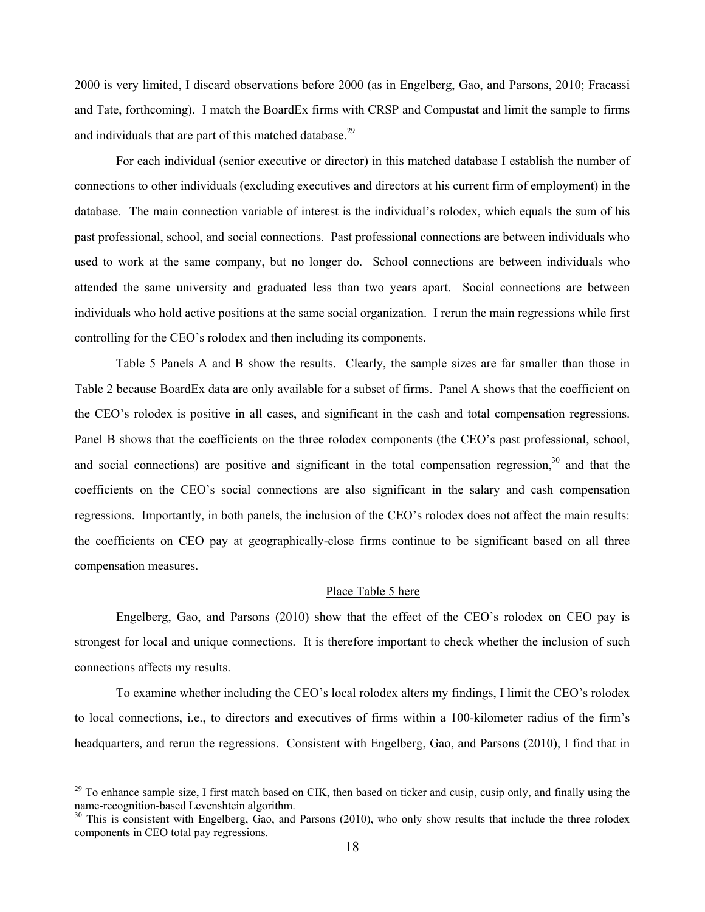2000 is very limited, I discard observations before 2000 (as in Engelberg, Gao, and Parsons, 2010; Fracassi and Tate, forthcoming). I match the BoardEx firms with CRSP and Compustat and limit the sample to firms and individuals that are part of this matched database.<sup>29</sup>

For each individual (senior executive or director) in this matched database I establish the number of connections to other individuals (excluding executives and directors at his current firm of employment) in the database. The main connection variable of interest is the individual's rolodex, which equals the sum of his past professional, school, and social connections. Past professional connections are between individuals who used to work at the same company, but no longer do. School connections are between individuals who attended the same university and graduated less than two years apart. Social connections are between individuals who hold active positions at the same social organization. I rerun the main regressions while first controlling for the CEO's rolodex and then including its components.

 Table 5 Panels A and B show the results. Clearly, the sample sizes are far smaller than those in Table 2 because BoardEx data are only available for a subset of firms. Panel A shows that the coefficient on the CEO's rolodex is positive in all cases, and significant in the cash and total compensation regressions. Panel B shows that the coefficients on the three rolodex components (the CEO's past professional, school, and social connections) are positive and significant in the total compensation regression,  $30$  and that the coefficients on the CEO's social connections are also significant in the salary and cash compensation regressions. Importantly, in both panels, the inclusion of the CEO's rolodex does not affect the main results: the coefficients on CEO pay at geographically-close firms continue to be significant based on all three compensation measures.

#### Place Table 5 here

Engelberg, Gao, and Parsons (2010) show that the effect of the CEO's rolodex on CEO pay is strongest for local and unique connections. It is therefore important to check whether the inclusion of such connections affects my results.

To examine whether including the CEO's local rolodex alters my findings, I limit the CEO's rolodex to local connections, i.e., to directors and executives of firms within a 100-kilometer radius of the firm's headquarters, and rerun the regressions. Consistent with Engelberg, Gao, and Parsons (2010), I find that in

 $29$  To enhance sample size, I first match based on CIK, then based on ticker and cusip, cusip only, and finally using the name-recognition-based Levenshtein algorithm.

 $30$  This is consistent with Engelberg, Gao, and Parsons (2010), who only show results that include the three rolodex components in CEO total pay regressions.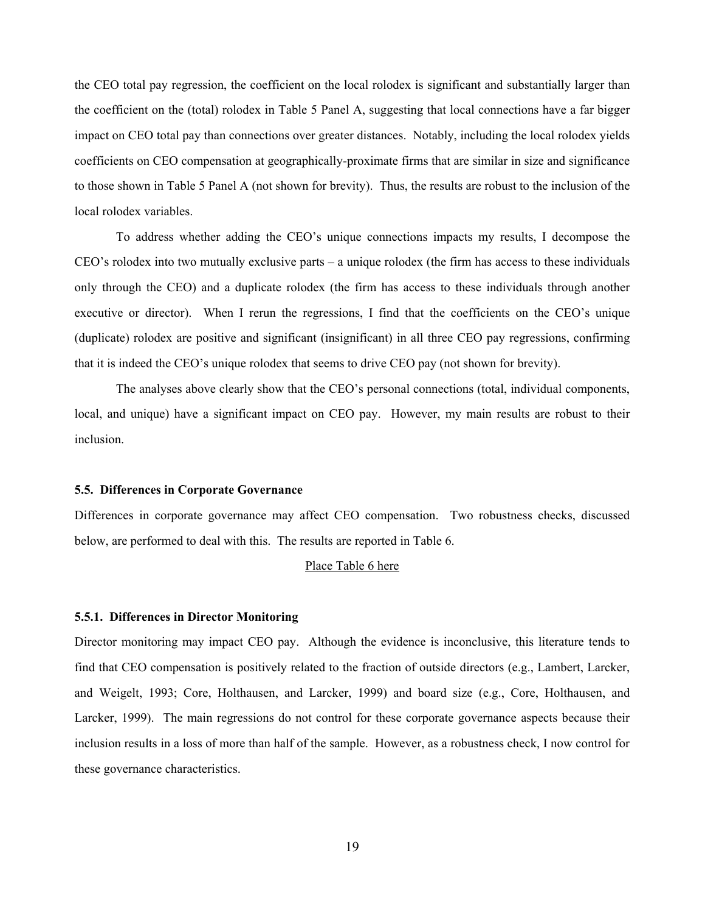the CEO total pay regression, the coefficient on the local rolodex is significant and substantially larger than the coefficient on the (total) rolodex in Table 5 Panel A, suggesting that local connections have a far bigger impact on CEO total pay than connections over greater distances. Notably, including the local rolodex yields coefficients on CEO compensation at geographically-proximate firms that are similar in size and significance to those shown in Table 5 Panel A (not shown for brevity). Thus, the results are robust to the inclusion of the local rolodex variables.

To address whether adding the CEO's unique connections impacts my results, I decompose the CEO's rolodex into two mutually exclusive parts – a unique rolodex (the firm has access to these individuals only through the CEO) and a duplicate rolodex (the firm has access to these individuals through another executive or director). When I rerun the regressions, I find that the coefficients on the CEO's unique (duplicate) rolodex are positive and significant (insignificant) in all three CEO pay regressions, confirming that it is indeed the CEO's unique rolodex that seems to drive CEO pay (not shown for brevity).

The analyses above clearly show that the CEO's personal connections (total, individual components, local, and unique) have a significant impact on CEO pay. However, my main results are robust to their inclusion.

#### **5.5. Differences in Corporate Governance**

Differences in corporate governance may affect CEO compensation. Two robustness checks, discussed below, are performed to deal with this. The results are reported in Table 6.

## Place Table 6 here

#### **5.5.1. Differences in Director Monitoring**

Director monitoring may impact CEO pay. Although the evidence is inconclusive, this literature tends to find that CEO compensation is positively related to the fraction of outside directors (e.g., Lambert, Larcker, and Weigelt, 1993; Core, Holthausen, and Larcker, 1999) and board size (e.g., Core, Holthausen, and Larcker, 1999). The main regressions do not control for these corporate governance aspects because their inclusion results in a loss of more than half of the sample. However, as a robustness check, I now control for these governance characteristics.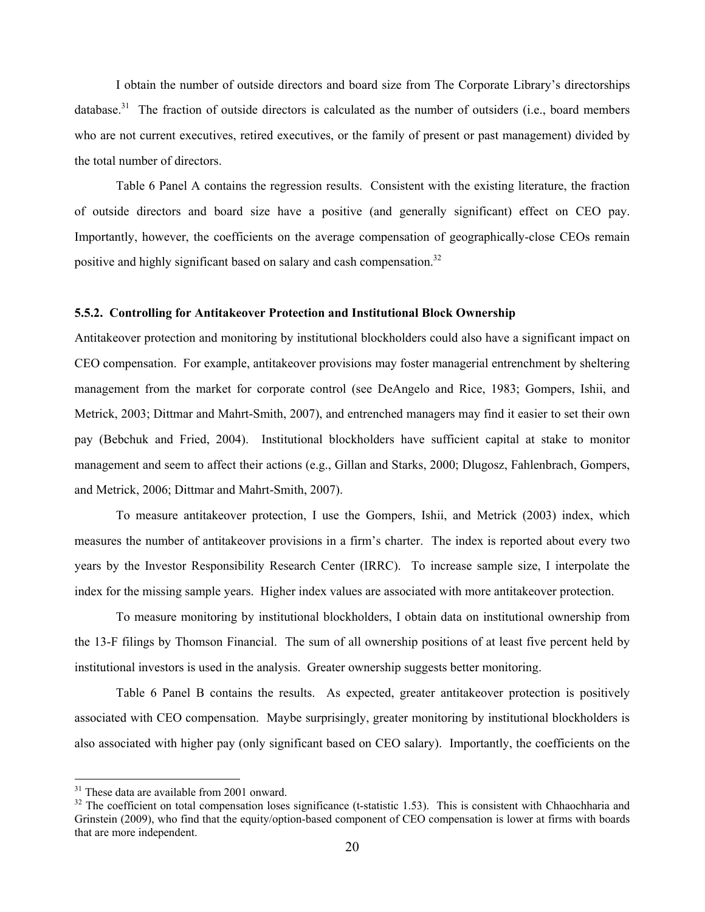I obtain the number of outside directors and board size from The Corporate Library's directorships database.<sup>31</sup> The fraction of outside directors is calculated as the number of outsiders (i.e., board members who are not current executives, retired executives, or the family of present or past management) divided by the total number of directors.

Table 6 Panel A contains the regression results. Consistent with the existing literature, the fraction of outside directors and board size have a positive (and generally significant) effect on CEO pay. Importantly, however, the coefficients on the average compensation of geographically-close CEOs remain positive and highly significant based on salary and cash compensation.<sup>32</sup>

## **5.5.2. Controlling for Antitakeover Protection and Institutional Block Ownership**

Antitakeover protection and monitoring by institutional blockholders could also have a significant impact on CEO compensation. For example, antitakeover provisions may foster managerial entrenchment by sheltering management from the market for corporate control (see DeAngelo and Rice, 1983; Gompers, Ishii, and Metrick, 2003; Dittmar and Mahrt-Smith, 2007), and entrenched managers may find it easier to set their own pay (Bebchuk and Fried, 2004). Institutional blockholders have sufficient capital at stake to monitor management and seem to affect their actions (e.g., Gillan and Starks, 2000; Dlugosz, Fahlenbrach, Gompers, and Metrick, 2006; Dittmar and Mahrt-Smith, 2007).

 To measure antitakeover protection, I use the Gompers, Ishii, and Metrick (2003) index, which measures the number of antitakeover provisions in a firm's charter. The index is reported about every two years by the Investor Responsibility Research Center (IRRC). To increase sample size, I interpolate the index for the missing sample years. Higher index values are associated with more antitakeover protection.

 To measure monitoring by institutional blockholders, I obtain data on institutional ownership from the 13-F filings by Thomson Financial. The sum of all ownership positions of at least five percent held by institutional investors is used in the analysis. Greater ownership suggests better monitoring.

 Table 6 Panel B contains the results. As expected, greater antitakeover protection is positively associated with CEO compensation. Maybe surprisingly, greater monitoring by institutional blockholders is also associated with higher pay (only significant based on CEO salary). Importantly, the coefficients on the

<sup>&</sup>lt;sup>31</sup> These data are available from 2001 onward.

 $32$  The coefficient on total compensation loses significance (t-statistic 1.53). This is consistent with Chhaochharia and Grinstein (2009), who find that the equity/option-based component of CEO compensation is lower at firms with boards that are more independent.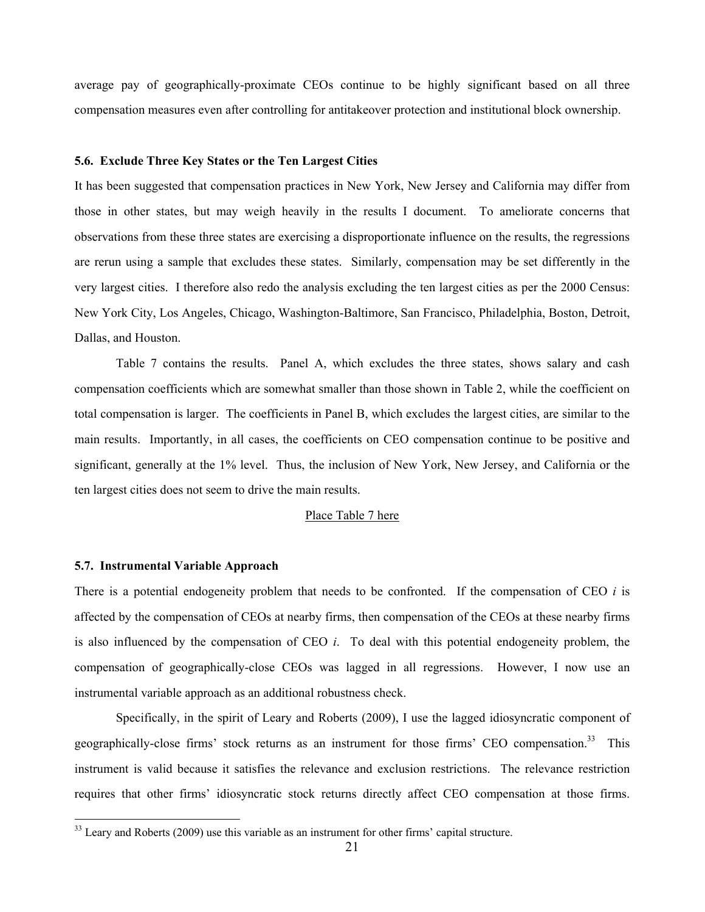average pay of geographically-proximate CEOs continue to be highly significant based on all three compensation measures even after controlling for antitakeover protection and institutional block ownership.

#### **5.6. Exclude Three Key States or the Ten Largest Cities**

It has been suggested that compensation practices in New York, New Jersey and California may differ from those in other states, but may weigh heavily in the results I document. To ameliorate concerns that observations from these three states are exercising a disproportionate influence on the results, the regressions are rerun using a sample that excludes these states. Similarly, compensation may be set differently in the very largest cities. I therefore also redo the analysis excluding the ten largest cities as per the 2000 Census: New York City, Los Angeles, Chicago, Washington-Baltimore, San Francisco, Philadelphia, Boston, Detroit, Dallas, and Houston.

 Table 7 contains the results. Panel A, which excludes the three states, shows salary and cash compensation coefficients which are somewhat smaller than those shown in Table 2, while the coefficient on total compensation is larger. The coefficients in Panel B, which excludes the largest cities, are similar to the main results. Importantly, in all cases, the coefficients on CEO compensation continue to be positive and significant, generally at the 1% level. Thus, the inclusion of New York, New Jersey, and California or the ten largest cities does not seem to drive the main results.

## Place Table 7 here

#### **5.7. Instrumental Variable Approach**

 $\overline{a}$ 

There is a potential endogeneity problem that needs to be confronted. If the compensation of CEO *i* is affected by the compensation of CEOs at nearby firms, then compensation of the CEOs at these nearby firms is also influenced by the compensation of CEO *i*. To deal with this potential endogeneity problem, the compensation of geographically-close CEOs was lagged in all regressions. However, I now use an instrumental variable approach as an additional robustness check.

 Specifically, in the spirit of Leary and Roberts (2009), I use the lagged idiosyncratic component of geographically-close firms' stock returns as an instrument for those firms' CEO compensation.<sup>33</sup> This instrument is valid because it satisfies the relevance and exclusion restrictions. The relevance restriction requires that other firms' idiosyncratic stock returns directly affect CEO compensation at those firms.

 $33$  Leary and Roberts (2009) use this variable as an instrument for other firms' capital structure.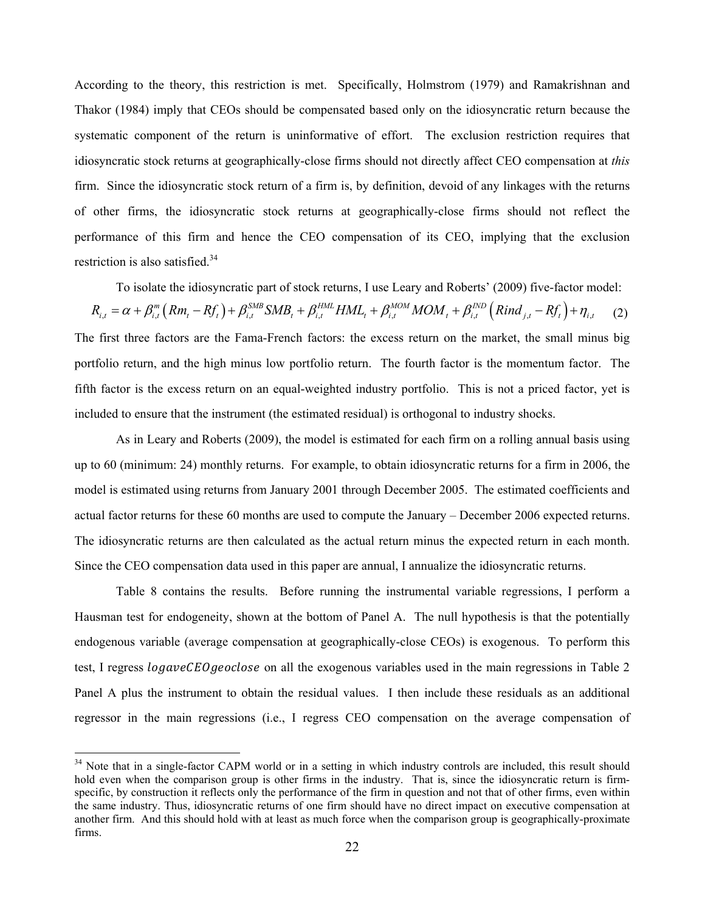According to the theory, this restriction is met. Specifically, Holmstrom (1979) and Ramakrishnan and Thakor (1984) imply that CEOs should be compensated based only on the idiosyncratic return because the systematic component of the return is uninformative of effort. The exclusion restriction requires that idiosyncratic stock returns at geographically-close firms should not directly affect CEO compensation at *this* firm. Since the idiosyncratic stock return of a firm is, by definition, devoid of any linkages with the returns of other firms, the idiosyncratic stock returns at geographically-close firms should not reflect the performance of this firm and hence the CEO compensation of its CEO, implying that the exclusion restriction is also satisfied.<sup>34</sup>

To isolate the idiosyncratic part of stock returns, I use Leary and Roberts' (2009) five-factor model:

 $R_{i,t} = \alpha + \beta_{i,t}^m (Rm_t - Rf_t) + \beta_{i,t}^{SMB} SMB_t + \beta_{i,t}^{HML} HML_t + \beta_{i,t}^{MOM} MOM_t + \beta_{i,t}^{IND} (Rind_{j,t} - Rf_t) + \eta_{i,t}$  (2) The first three factors are the Fama-French factors: the excess return on the market, the small minus big portfolio return, and the high minus low portfolio return. The fourth factor is the momentum factor. The fifth factor is the excess return on an equal-weighted industry portfolio. This is not a priced factor, yet is included to ensure that the instrument (the estimated residual) is orthogonal to industry shocks.

 As in Leary and Roberts (2009), the model is estimated for each firm on a rolling annual basis using up to 60 (minimum: 24) monthly returns. For example, to obtain idiosyncratic returns for a firm in 2006, the model is estimated using returns from January 2001 through December 2005. The estimated coefficients and actual factor returns for these 60 months are used to compute the January – December 2006 expected returns. The idiosyncratic returns are then calculated as the actual return minus the expected return in each month. Since the CEO compensation data used in this paper are annual, I annualize the idiosyncratic returns.

 Table 8 contains the results. Before running the instrumental variable regressions, I perform a Hausman test for endogeneity, shown at the bottom of Panel A. The null hypothesis is that the potentially endogenous variable (average compensation at geographically-close CEOs) is exogenous. To perform this test, I regress logaveCEOgeoclose on all the exogenous variables used in the main regressions in Table 2 Panel A plus the instrument to obtain the residual values. I then include these residuals as an additional regressor in the main regressions (i.e., I regress CEO compensation on the average compensation of

<sup>&</sup>lt;sup>34</sup> Note that in a single-factor CAPM world or in a setting in which industry controls are included, this result should hold even when the comparison group is other firms in the industry. That is, since the idiosyncratic return is firmspecific, by construction it reflects only the performance of the firm in question and not that of other firms, even within the same industry. Thus, idiosyncratic returns of one firm should have no direct impact on executive compensation at another firm. And this should hold with at least as much force when the comparison group is geographically-proximate firms.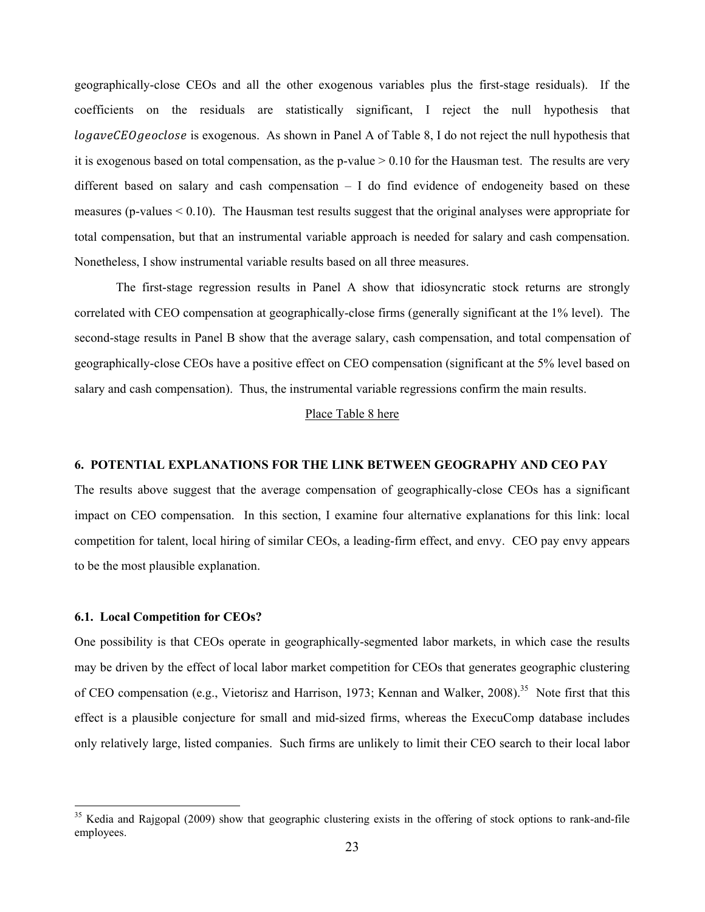geographically-close CEOs and all the other exogenous variables plus the first-stage residuals). If the coefficients on the residuals are statistically significant, I reject the null hypothesis that logaveCEO geoclose is exogenous. As shown in Panel A of Table 8, I do not reject the null hypothesis that it is exogenous based on total compensation, as the p-value  $> 0.10$  for the Hausman test. The results are very different based on salary and cash compensation  $-1$  do find evidence of endogeneity based on these measures (p-values  $\leq 0.10$ ). The Hausman test results suggest that the original analyses were appropriate for total compensation, but that an instrumental variable approach is needed for salary and cash compensation. Nonetheless, I show instrumental variable results based on all three measures.

The first-stage regression results in Panel A show that idiosyncratic stock returns are strongly correlated with CEO compensation at geographically-close firms (generally significant at the 1% level). The second-stage results in Panel B show that the average salary, cash compensation, and total compensation of geographically-close CEOs have a positive effect on CEO compensation (significant at the 5% level based on salary and cash compensation). Thus, the instrumental variable regressions confirm the main results.

## Place Table 8 here

## **6. POTENTIAL EXPLANATIONS FOR THE LINK BETWEEN GEOGRAPHY AND CEO PAY**

The results above suggest that the average compensation of geographically-close CEOs has a significant impact on CEO compensation. In this section, I examine four alternative explanations for this link: local competition for talent, local hiring of similar CEOs, a leading-firm effect, and envy. CEO pay envy appears to be the most plausible explanation.

#### **6.1. Local Competition for CEOs?**

 $\overline{a}$ 

One possibility is that CEOs operate in geographically-segmented labor markets, in which case the results may be driven by the effect of local labor market competition for CEOs that generates geographic clustering of CEO compensation (e.g., Vietorisz and Harrison, 1973; Kennan and Walker, 2008).<sup>35</sup> Note first that this effect is a plausible conjecture for small and mid-sized firms, whereas the ExecuComp database includes only relatively large, listed companies. Such firms are unlikely to limit their CEO search to their local labor

 $35$  Kedia and Rajgopal (2009) show that geographic clustering exists in the offering of stock options to rank-and-file employees.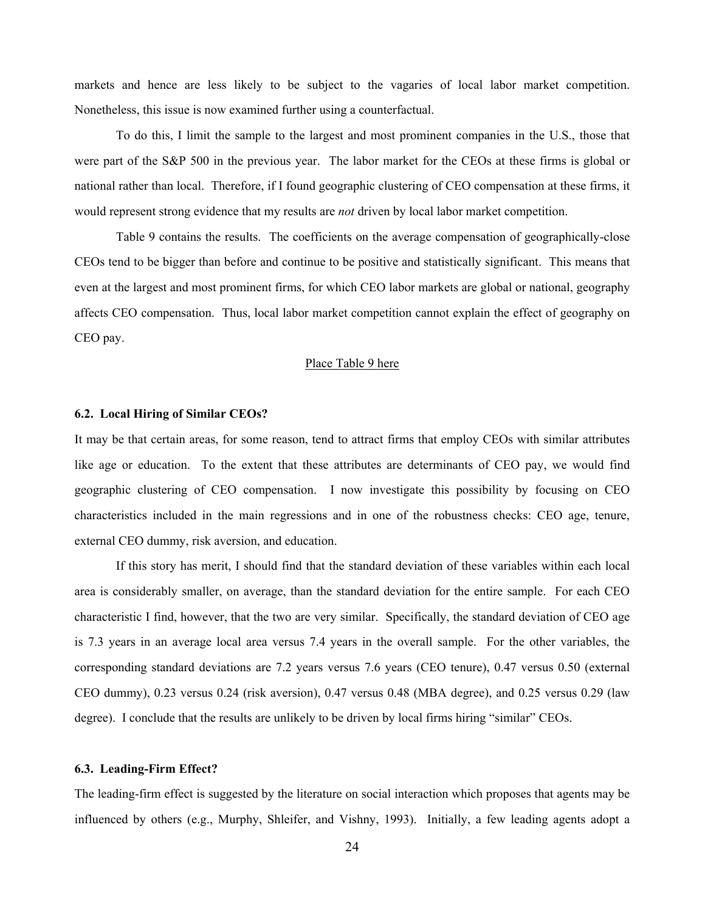markets and hence are less likely to be subject to the vagaries of local labor market competition. Nonetheless, this issue is now examined further using a counterfactual.

To do this, I limit the sample to the largest and most prominent companies in the U.S., those that were part of the S&P 500 in the previous year. The labor market for the CEOs at these firms is global or national rather than local. Therefore, if I found geographic clustering of CEO compensation at these firms, it would represent strong evidence that my results are *not* driven by local labor market competition.

 Table 9 contains the results. The coefficients on the average compensation of geographically-close CEOs tend to be bigger than before and continue to be positive and statistically significant. This means that even at the largest and most prominent firms, for which CEO labor markets are global or national, geography affects CEO compensation. Thus, local labor market competition cannot explain the effect of geography on CEO pay.

# Place Table 9 here

#### **6.2. Local Hiring of Similar CEOs?**

It may be that certain areas, for some reason, tend to attract firms that employ CEOs with similar attributes like age or education. To the extent that these attributes are determinants of CEO pay, we would find geographic clustering of CEO compensation. I now investigate this possibility by focusing on CEO characteristics included in the main regressions and in one of the robustness checks: CEO age, tenure, external CEO dummy, risk aversion, and education.

If this story has merit, I should find that the standard deviation of these variables within each local area is considerably smaller, on average, than the standard deviation for the entire sample. For each CEO characteristic I find, however, that the two are very similar. Specifically, the standard deviation of CEO age is 7.3 years in an average local area versus 7.4 years in the overall sample. For the other variables, the corresponding standard deviations are 7.2 years versus 7.6 years (CEO tenure), 0.47 versus 0.50 (external CEO dummy), 0.23 versus 0.24 (risk aversion), 0.47 versus 0.48 (MBA degree), and 0.25 versus 0.29 (law degree). I conclude that the results are unlikely to be driven by local firms hiring "similar" CEOs.

#### **6.3. Leading-Firm Effect?**

The leading-firm effect is suggested by the literature on social interaction which proposes that agents may be influenced by others (e.g., Murphy, Shleifer, and Vishny, 1993). Initially, a few leading agents adopt a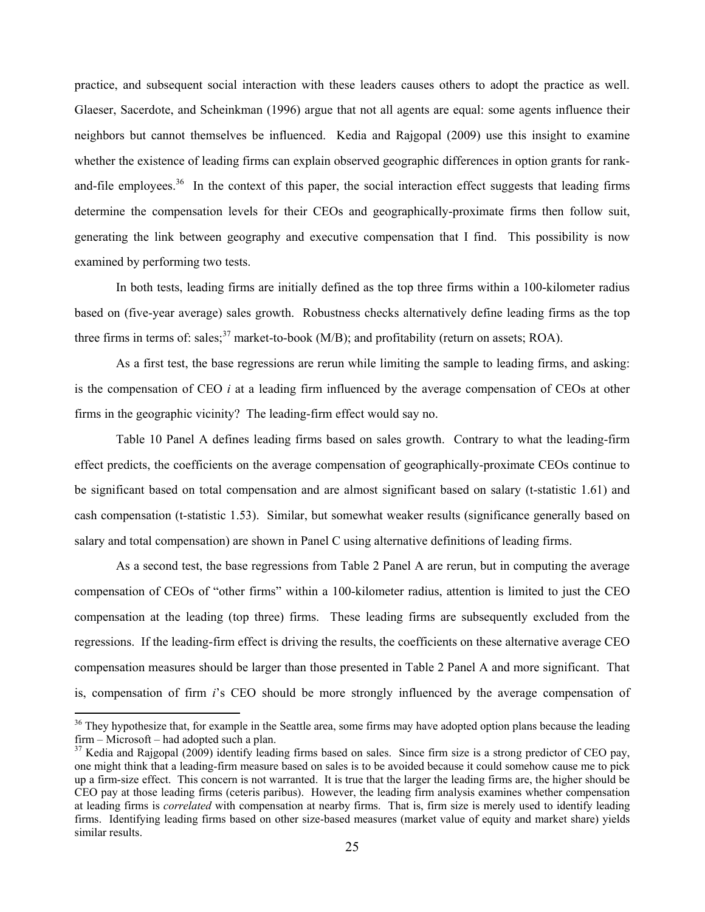practice, and subsequent social interaction with these leaders causes others to adopt the practice as well. Glaeser, Sacerdote, and Scheinkman (1996) argue that not all agents are equal: some agents influence their neighbors but cannot themselves be influenced. Kedia and Rajgopal (2009) use this insight to examine whether the existence of leading firms can explain observed geographic differences in option grants for rankand-file employees.<sup>36</sup> In the context of this paper, the social interaction effect suggests that leading firms determine the compensation levels for their CEOs and geographically-proximate firms then follow suit, generating the link between geography and executive compensation that I find. This possibility is now examined by performing two tests.

In both tests, leading firms are initially defined as the top three firms within a 100-kilometer radius based on (five-year average) sales growth. Robustness checks alternatively define leading firms as the top three firms in terms of: sales; $^{37}$  market-to-book (M/B); and profitability (return on assets; ROA).

As a first test, the base regressions are rerun while limiting the sample to leading firms, and asking: is the compensation of CEO *i* at a leading firm influenced by the average compensation of CEOs at other firms in the geographic vicinity? The leading-firm effect would say no.

 Table 10 Panel A defines leading firms based on sales growth. Contrary to what the leading-firm effect predicts, the coefficients on the average compensation of geographically-proximate CEOs continue to be significant based on total compensation and are almost significant based on salary (t-statistic 1.61) and cash compensation (t-statistic 1.53). Similar, but somewhat weaker results (significance generally based on salary and total compensation) are shown in Panel C using alternative definitions of leading firms.

 As a second test, the base regressions from Table 2 Panel A are rerun, but in computing the average compensation of CEOs of "other firms" within a 100-kilometer radius, attention is limited to just the CEO compensation at the leading (top three) firms. These leading firms are subsequently excluded from the regressions. If the leading-firm effect is driving the results, the coefficients on these alternative average CEO compensation measures should be larger than those presented in Table 2 Panel A and more significant. That is, compensation of firm *i*'s CEO should be more strongly influenced by the average compensation of

 $36$  They hypothesize that, for example in the Seattle area, some firms may have adopted option plans because the leading firm – Microsoft – had adopted such a plan.

 $37$  Kedia and Rajgopal (2009) identify leading firms based on sales. Since firm size is a strong predictor of CEO pay, one might think that a leading-firm measure based on sales is to be avoided because it could somehow cause me to pick up a firm-size effect. This concern is not warranted. It is true that the larger the leading firms are, the higher should be CEO pay at those leading firms (ceteris paribus). However, the leading firm analysis examines whether compensation at leading firms is *correlated* with compensation at nearby firms. That is, firm size is merely used to identify leading firms. Identifying leading firms based on other size-based measures (market value of equity and market share) yields similar results.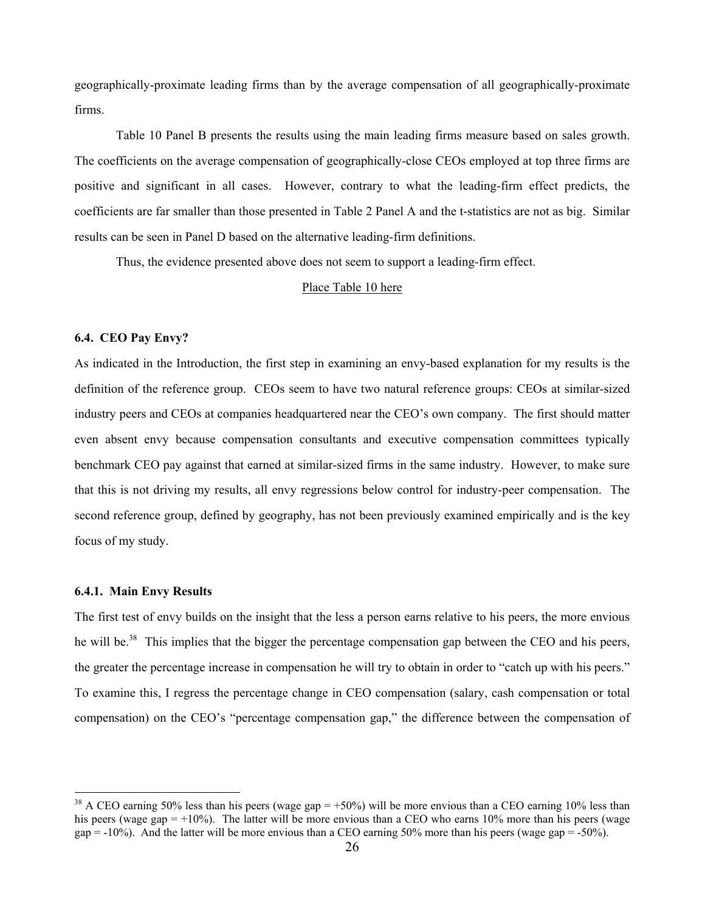geographically-proximate leading firms than by the average compensation of all geographically-proximate firms.

 Table 10 Panel B presents the results using the main leading firms measure based on sales growth. The coefficients on the average compensation of geographically-close CEOs employed at top three firms are positive and significant in all cases. However, contrary to what the leading-firm effect predicts, the coefficients are far smaller than those presented in Table 2 Panel A and the t-statistics are not as big. Similar results can be seen in Panel D based on the alternative leading-firm definitions.

Thus, the evidence presented above does not seem to support a leading-firm effect.

# Place Table 10 here

## **6.4. CEO Pay Envy?**

As indicated in the Introduction, the first step in examining an envy-based explanation for my results is the definition of the reference group. CEOs seem to have two natural reference groups: CEOs at similar-sized industry peers and CEOs at companies headquartered near the CEO's own company. The first should matter even absent envy because compensation consultants and executive compensation committees typically benchmark CEO pay against that earned at similar-sized firms in the same industry. However, to make sure that this is not driving my results, all envy regressions below control for industry-peer compensation. The second reference group, defined by geography, has not been previously examined empirically and is the key focus of my study.

#### **6.4.1. Main Envy Results**

 $\overline{a}$ 

The first test of envy builds on the insight that the less a person earns relative to his peers, the more envious he will be.<sup>38</sup> This implies that the bigger the percentage compensation gap between the CEO and his peers, the greater the percentage increase in compensation he will try to obtain in order to "catch up with his peers." To examine this, I regress the percentage change in CEO compensation (salary, cash compensation or total compensation) on the CEO's "percentage compensation gap," the difference between the compensation of

 $38$  A CEO earning 50% less than his peers (wage gap = +50%) will be more envious than a CEO earning 10% less than his peers (wage gap  $= +10\%$ ). The latter will be more envious than a CEO who earns 10% more than his peers (wage gap  $= -10\%$ ). And the latter will be more envious than a CEO earning 50% more than his peers (wage gap  $= -50\%$ ).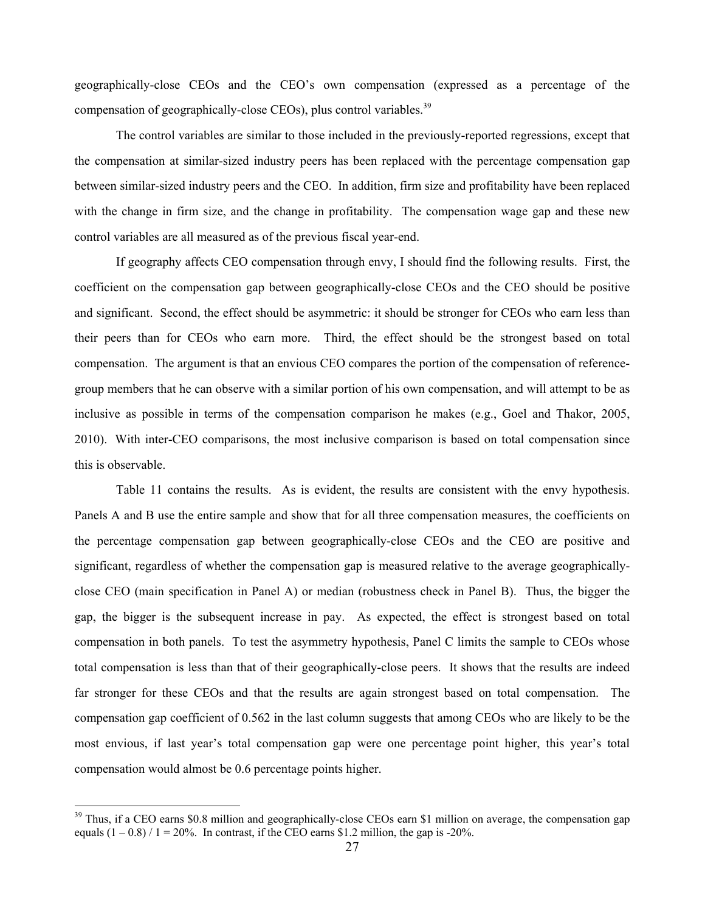geographically-close CEOs and the CEO's own compensation (expressed as a percentage of the compensation of geographically-close CEOs), plus control variables.<sup>39</sup>

The control variables are similar to those included in the previously-reported regressions, except that the compensation at similar-sized industry peers has been replaced with the percentage compensation gap between similar-sized industry peers and the CEO. In addition, firm size and profitability have been replaced with the change in firm size, and the change in profitability. The compensation wage gap and these new control variables are all measured as of the previous fiscal year-end.

If geography affects CEO compensation through envy, I should find the following results. First, the coefficient on the compensation gap between geographically-close CEOs and the CEO should be positive and significant. Second, the effect should be asymmetric: it should be stronger for CEOs who earn less than their peers than for CEOs who earn more. Third, the effect should be the strongest based on total compensation. The argument is that an envious CEO compares the portion of the compensation of referencegroup members that he can observe with a similar portion of his own compensation, and will attempt to be as inclusive as possible in terms of the compensation comparison he makes (e.g., Goel and Thakor, 2005, 2010). With inter-CEO comparisons, the most inclusive comparison is based on total compensation since this is observable.

Table 11 contains the results. As is evident, the results are consistent with the envy hypothesis. Panels A and B use the entire sample and show that for all three compensation measures, the coefficients on the percentage compensation gap between geographically-close CEOs and the CEO are positive and significant, regardless of whether the compensation gap is measured relative to the average geographicallyclose CEO (main specification in Panel A) or median (robustness check in Panel B). Thus, the bigger the gap, the bigger is the subsequent increase in pay. As expected, the effect is strongest based on total compensation in both panels. To test the asymmetry hypothesis, Panel C limits the sample to CEOs whose total compensation is less than that of their geographically-close peers. It shows that the results are indeed far stronger for these CEOs and that the results are again strongest based on total compensation. The compensation gap coefficient of 0.562 in the last column suggests that among CEOs who are likely to be the most envious, if last year's total compensation gap were one percentage point higher, this year's total compensation would almost be 0.6 percentage points higher.

 $39$  Thus, if a CEO earns \$0.8 million and geographically-close CEOs earn \$1 million on average, the compensation gap equals  $(1 - 0.8) / 1 = 20\%$ . In contrast, if the CEO earns \$1.2 million, the gap is -20%.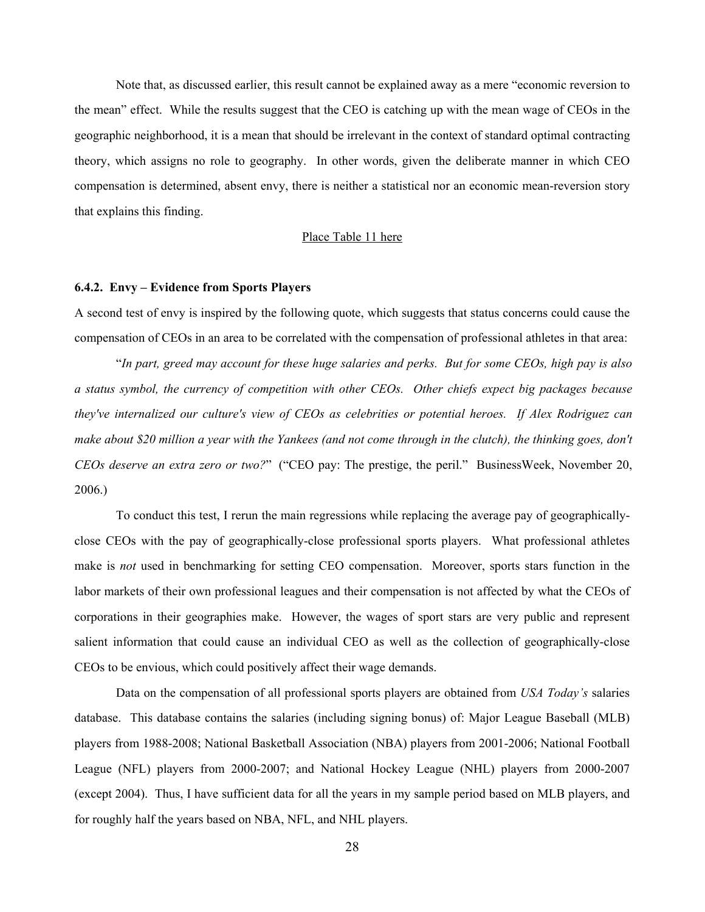Note that, as discussed earlier, this result cannot be explained away as a mere "economic reversion to the mean" effect. While the results suggest that the CEO is catching up with the mean wage of CEOs in the geographic neighborhood, it is a mean that should be irrelevant in the context of standard optimal contracting theory, which assigns no role to geography. In other words, given the deliberate manner in which CEO compensation is determined, absent envy, there is neither a statistical nor an economic mean-reversion story that explains this finding.

#### Place Table 11 here

## **6.4.2. Envy – Evidence from Sports Players**

A second test of envy is inspired by the following quote, which suggests that status concerns could cause the compensation of CEOs in an area to be correlated with the compensation of professional athletes in that area:

"*In part, greed may account for these huge salaries and perks. But for some CEOs, high pay is also a status symbol, the currency of competition with other CEOs. Other chiefs expect big packages because they've internalized our culture's view of CEOs as celebrities or potential heroes. If Alex Rodriguez can make about \$20 million a year with the Yankees (and not come through in the clutch), the thinking goes, don't CEOs deserve an extra zero or two?*" ("CEO pay: The prestige, the peril." BusinessWeek, November 20, 2006.)

To conduct this test, I rerun the main regressions while replacing the average pay of geographicallyclose CEOs with the pay of geographically-close professional sports players. What professional athletes make is *not* used in benchmarking for setting CEO compensation. Moreover, sports stars function in the labor markets of their own professional leagues and their compensation is not affected by what the CEOs of corporations in their geographies make. However, the wages of sport stars are very public and represent salient information that could cause an individual CEO as well as the collection of geographically-close CEOs to be envious, which could positively affect their wage demands.

 Data on the compensation of all professional sports players are obtained from *USA Today's* salaries database. This database contains the salaries (including signing bonus) of: Major League Baseball (MLB) players from 1988-2008; National Basketball Association (NBA) players from 2001-2006; National Football League (NFL) players from 2000-2007; and National Hockey League (NHL) players from 2000-2007 (except 2004). Thus, I have sufficient data for all the years in my sample period based on MLB players, and for roughly half the years based on NBA, NFL, and NHL players.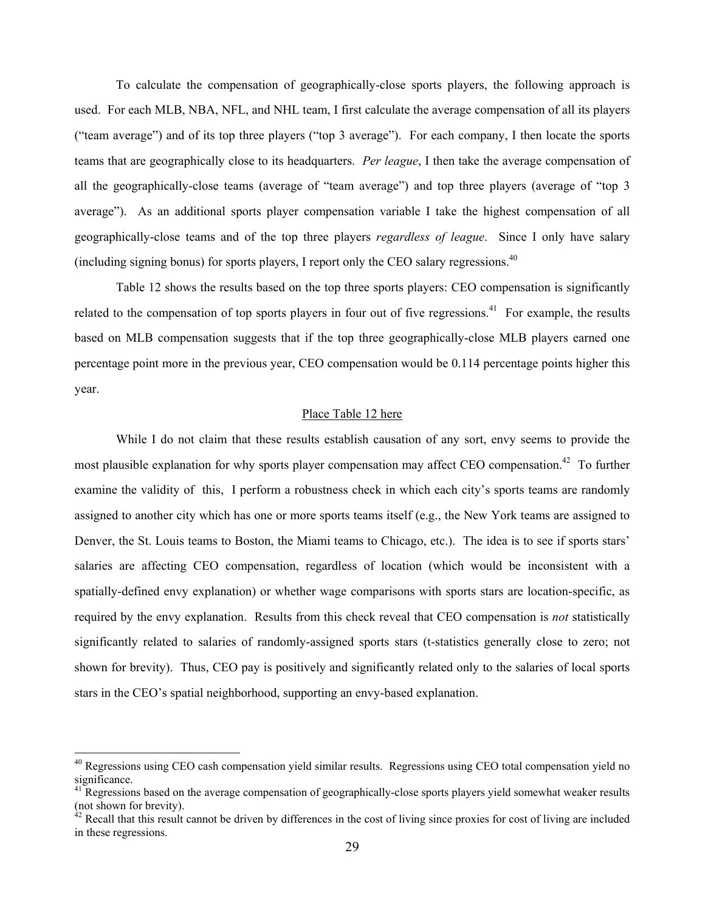To calculate the compensation of geographically-close sports players, the following approach is used. For each MLB, NBA, NFL, and NHL team, I first calculate the average compensation of all its players ("team average") and of its top three players ("top 3 average"). For each company, I then locate the sports teams that are geographically close to its headquarters. *Per league*, I then take the average compensation of all the geographically-close teams (average of "team average") and top three players (average of "top 3 average"). As an additional sports player compensation variable I take the highest compensation of all geographically-close teams and of the top three players *regardless of league*. Since I only have salary (including signing bonus) for sports players, I report only the CEO salary regressions.<sup>40</sup>

Table 12 shows the results based on the top three sports players: CEO compensation is significantly related to the compensation of top sports players in four out of five regressions.<sup>41</sup> For example, the results based on MLB compensation suggests that if the top three geographically-close MLB players earned one percentage point more in the previous year, CEO compensation would be 0.114 percentage points higher this year.

#### Place Table 12 here

While I do not claim that these results establish causation of any sort, envy seems to provide the most plausible explanation for why sports player compensation may affect CEO compensation.<sup>42</sup> To further examine the validity of this, I perform a robustness check in which each city's sports teams are randomly assigned to another city which has one or more sports teams itself (e.g., the New York teams are assigned to Denver, the St. Louis teams to Boston, the Miami teams to Chicago, etc.). The idea is to see if sports stars' salaries are affecting CEO compensation, regardless of location (which would be inconsistent with a spatially-defined envy explanation) or whether wage comparisons with sports stars are location-specific, as required by the envy explanation. Results from this check reveal that CEO compensation is *not* statistically significantly related to salaries of randomly-assigned sports stars (t-statistics generally close to zero; not shown for brevity). Thus, CEO pay is positively and significantly related only to the salaries of local sports stars in the CEO's spatial neighborhood, supporting an envy-based explanation.

 $40$  Regressions using CEO cash compensation yield similar results. Regressions using CEO total compensation yield no significance.

<sup>41</sup> Regressions based on the average compensation of geographically-close sports players yield somewhat weaker results (not shown for brevity).

 $^{42}$  Recall that this result cannot be driven by differences in the cost of living since proxies for cost of living are included in these regressions.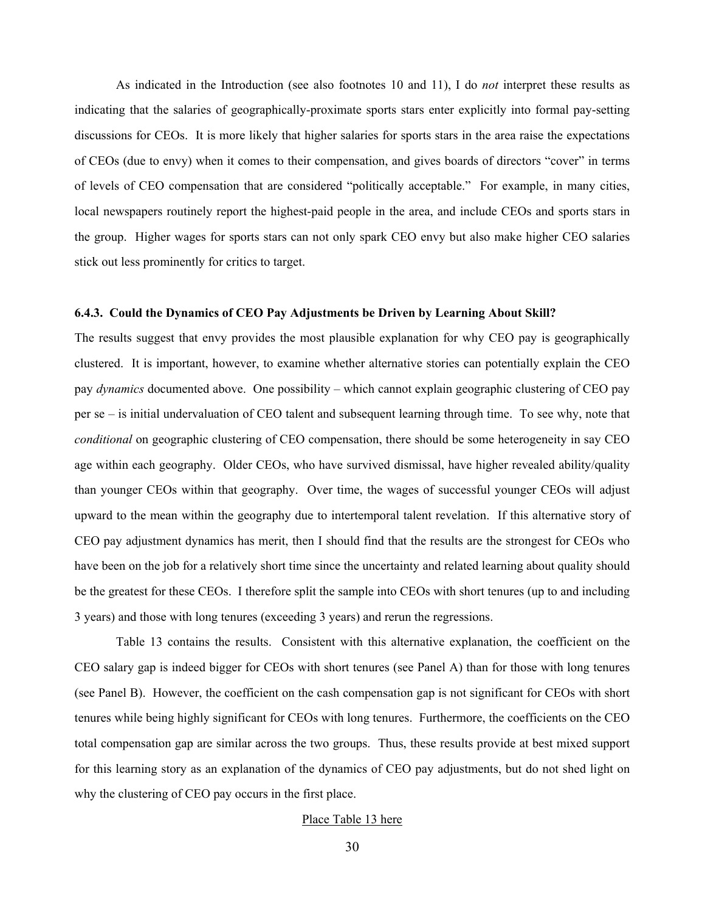As indicated in the Introduction (see also footnotes 10 and 11), I do *not* interpret these results as indicating that the salaries of geographically-proximate sports stars enter explicitly into formal pay-setting discussions for CEOs. It is more likely that higher salaries for sports stars in the area raise the expectations of CEOs (due to envy) when it comes to their compensation, and gives boards of directors "cover" in terms of levels of CEO compensation that are considered "politically acceptable." For example, in many cities, local newspapers routinely report the highest-paid people in the area, and include CEOs and sports stars in the group. Higher wages for sports stars can not only spark CEO envy but also make higher CEO salaries stick out less prominently for critics to target.

#### **6.4.3. Could the Dynamics of CEO Pay Adjustments be Driven by Learning About Skill?**

The results suggest that envy provides the most plausible explanation for why CEO pay is geographically clustered. It is important, however, to examine whether alternative stories can potentially explain the CEO pay *dynamics* documented above. One possibility – which cannot explain geographic clustering of CEO pay per se – is initial undervaluation of CEO talent and subsequent learning through time. To see why, note that *conditional* on geographic clustering of CEO compensation, there should be some heterogeneity in say CEO age within each geography. Older CEOs, who have survived dismissal, have higher revealed ability/quality than younger CEOs within that geography. Over time, the wages of successful younger CEOs will adjust upward to the mean within the geography due to intertemporal talent revelation. If this alternative story of CEO pay adjustment dynamics has merit, then I should find that the results are the strongest for CEOs who have been on the job for a relatively short time since the uncertainty and related learning about quality should be the greatest for these CEOs. I therefore split the sample into CEOs with short tenures (up to and including 3 years) and those with long tenures (exceeding 3 years) and rerun the regressions.

Table 13 contains the results. Consistent with this alternative explanation, the coefficient on the CEO salary gap is indeed bigger for CEOs with short tenures (see Panel A) than for those with long tenures (see Panel B). However, the coefficient on the cash compensation gap is not significant for CEOs with short tenures while being highly significant for CEOs with long tenures. Furthermore, the coefficients on the CEO total compensation gap are similar across the two groups. Thus, these results provide at best mixed support for this learning story as an explanation of the dynamics of CEO pay adjustments, but do not shed light on why the clustering of CEO pay occurs in the first place.

## Place Table 13 here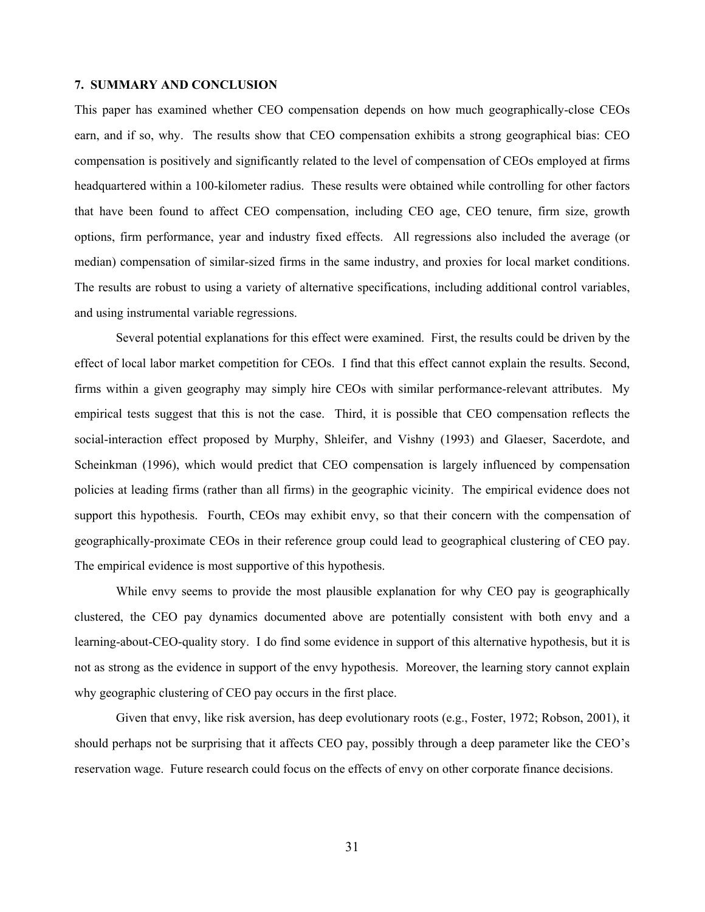#### **7. SUMMARY AND CONCLUSION**

This paper has examined whether CEO compensation depends on how much geographically-close CEOs earn, and if so, why. The results show that CEO compensation exhibits a strong geographical bias: CEO compensation is positively and significantly related to the level of compensation of CEOs employed at firms headquartered within a 100-kilometer radius. These results were obtained while controlling for other factors that have been found to affect CEO compensation, including CEO age, CEO tenure, firm size, growth options, firm performance, year and industry fixed effects. All regressions also included the average (or median) compensation of similar-sized firms in the same industry, and proxies for local market conditions. The results are robust to using a variety of alternative specifications, including additional control variables, and using instrumental variable regressions.

 Several potential explanations for this effect were examined. First, the results could be driven by the effect of local labor market competition for CEOs. I find that this effect cannot explain the results. Second, firms within a given geography may simply hire CEOs with similar performance-relevant attributes. My empirical tests suggest that this is not the case. Third, it is possible that CEO compensation reflects the social-interaction effect proposed by Murphy, Shleifer, and Vishny (1993) and Glaeser, Sacerdote, and Scheinkman (1996), which would predict that CEO compensation is largely influenced by compensation policies at leading firms (rather than all firms) in the geographic vicinity. The empirical evidence does not support this hypothesis. Fourth, CEOs may exhibit envy, so that their concern with the compensation of geographically-proximate CEOs in their reference group could lead to geographical clustering of CEO pay. The empirical evidence is most supportive of this hypothesis.

While envy seems to provide the most plausible explanation for why CEO pay is geographically clustered, the CEO pay dynamics documented above are potentially consistent with both envy and a learning-about-CEO-quality story. I do find some evidence in support of this alternative hypothesis, but it is not as strong as the evidence in support of the envy hypothesis. Moreover, the learning story cannot explain why geographic clustering of CEO pay occurs in the first place.

Given that envy, like risk aversion, has deep evolutionary roots (e.g., Foster, 1972; Robson, 2001), it should perhaps not be surprising that it affects CEO pay, possibly through a deep parameter like the CEO's reservation wage. Future research could focus on the effects of envy on other corporate finance decisions.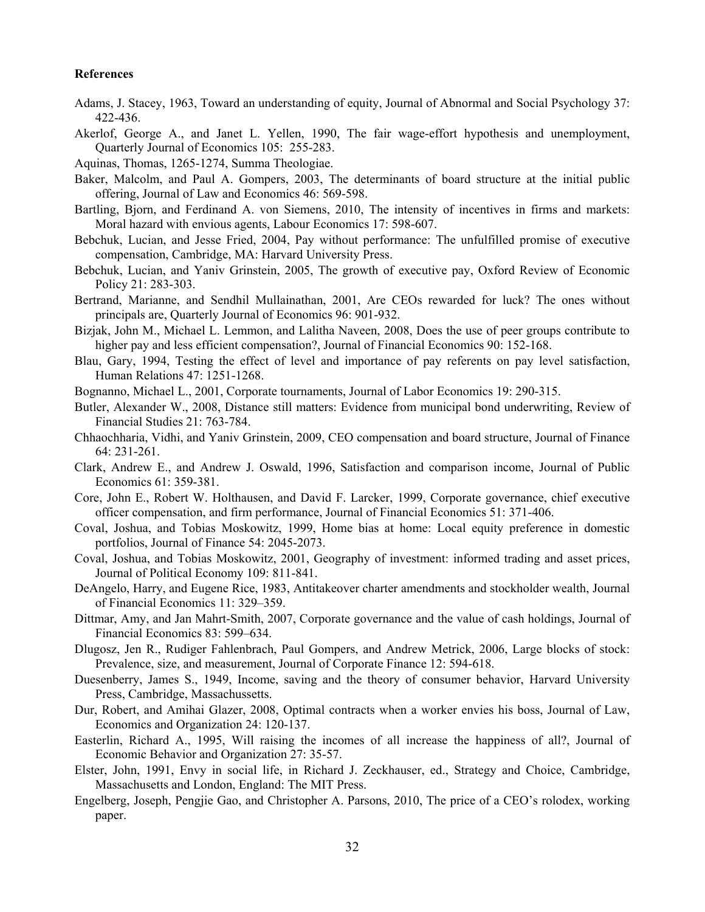## **References**

- Adams, J. Stacey, 1963, Toward an understanding of equity, Journal of Abnormal and Social Psychology 37: 422-436.
- Akerlof, George A., and Janet L. Yellen, 1990, The fair wage-effort hypothesis and unemployment, Quarterly Journal of Economics 105: 255-283.
- Aquinas, Thomas, 1265-1274, Summa Theologiae.
- Baker, Malcolm, and Paul A. Gompers, 2003, The determinants of board structure at the initial public offering, Journal of Law and Economics 46: 569-598.
- Bartling, Bjorn, and Ferdinand A. von Siemens, 2010, The intensity of incentives in firms and markets: Moral hazard with envious agents, Labour Economics 17: 598-607.
- Bebchuk, Lucian, and Jesse Fried, 2004, Pay without performance: The unfulfilled promise of executive compensation, Cambridge, MA: Harvard University Press.
- Bebchuk, Lucian, and Yaniv Grinstein, 2005, The growth of executive pay, Oxford Review of Economic Policy 21: 283-303.
- Bertrand, Marianne, and Sendhil Mullainathan, 2001, Are CEOs rewarded for luck? The ones without principals are, Quarterly Journal of Economics 96: 901-932.
- Bizjak, John M., Michael L. Lemmon, and Lalitha Naveen, 2008, Does the use of peer groups contribute to higher pay and less efficient compensation?, Journal of Financial Economics 90: 152-168.
- Blau, Gary, 1994, Testing the effect of level and importance of pay referents on pay level satisfaction, Human Relations 47: 1251-1268.
- Bognanno, Michael L., 2001, Corporate tournaments, Journal of Labor Economics 19: 290-315.
- Butler, Alexander W., 2008, Distance still matters: Evidence from municipal bond underwriting, Review of Financial Studies 21: 763-784.
- Chhaochharia, Vidhi, and Yaniv Grinstein, 2009, CEO compensation and board structure, Journal of Finance 64: 231-261.
- Clark, Andrew E., and Andrew J. Oswald, 1996, Satisfaction and comparison income, Journal of Public Economics 61: 359-381.
- Core, John E., Robert W. Holthausen, and David F. Larcker, 1999, Corporate governance, chief executive officer compensation, and firm performance, Journal of Financial Economics 51: 371-406.
- Coval, Joshua, and Tobias Moskowitz, 1999, Home bias at home: Local equity preference in domestic portfolios, Journal of Finance 54: 2045-2073.
- Coval, Joshua, and Tobias Moskowitz, 2001, Geography of investment: informed trading and asset prices, Journal of Political Economy 109: 811-841.
- DeAngelo, Harry, and Eugene Rice, 1983, Antitakeover charter amendments and stockholder wealth, Journal of Financial Economics 11: 329–359.
- Dittmar, Amy, and Jan Mahrt-Smith, 2007, Corporate governance and the value of cash holdings, Journal of Financial Economics 83: 599–634.
- Dlugosz, Jen R., Rudiger Fahlenbrach, Paul Gompers, and Andrew Metrick, 2006, Large blocks of stock: Prevalence, size, and measurement, Journal of Corporate Finance 12: 594-618.
- Duesenberry, James S., 1949, Income, saving and the theory of consumer behavior, Harvard University Press, Cambridge, Massachussetts.
- Dur, Robert, and Amihai Glazer, 2008, Optimal contracts when a worker envies his boss, Journal of Law, Economics and Organization 24: 120-137.
- Easterlin, Richard A., 1995, Will raising the incomes of all increase the happiness of all?, Journal of Economic Behavior and Organization 27: 35-57.
- Elster, John, 1991, Envy in social life, in Richard J. Zeckhauser, ed., Strategy and Choice, Cambridge, Massachusetts and London, England: The MIT Press.
- Engelberg, Joseph, Pengjie Gao, and Christopher A. Parsons, 2010, The price of a CEO's rolodex, working paper.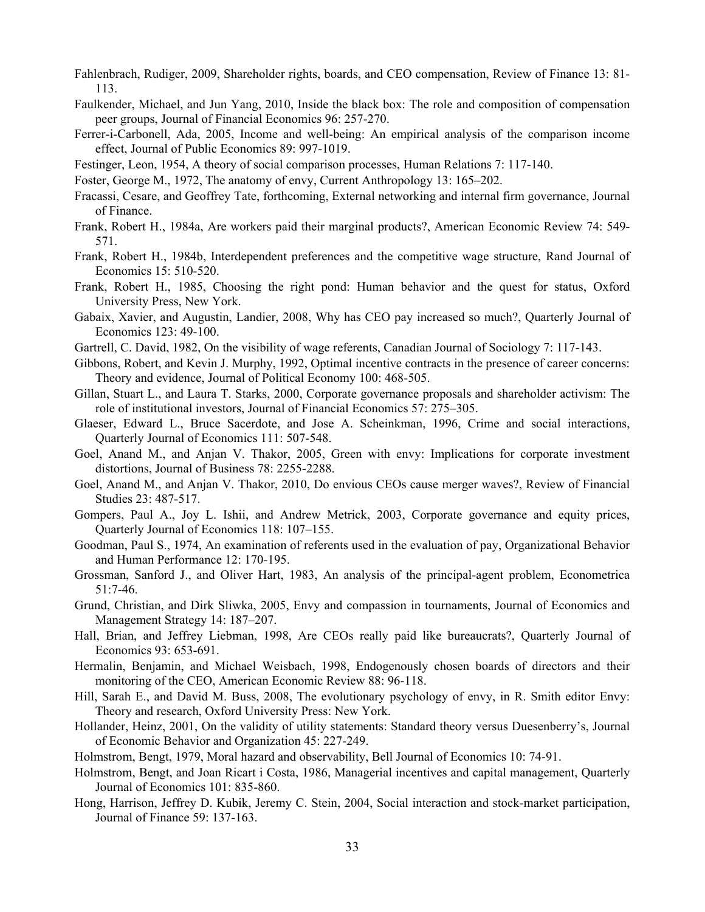Fahlenbrach, Rudiger, 2009, Shareholder rights, boards, and CEO compensation, Review of Finance 13: 81- 113.

- Faulkender, Michael, and Jun Yang, 2010, Inside the black box: The role and composition of compensation peer groups, Journal of Financial Economics 96: 257-270.
- Ferrer-i-Carbonell, Ada, 2005, Income and well-being: An empirical analysis of the comparison income effect, Journal of Public Economics 89: 997-1019.
- Festinger, Leon, 1954, A theory of social comparison processes, Human Relations 7: 117-140.
- Foster, George M., 1972, The anatomy of envy, Current Anthropology 13: 165–202.
- Fracassi, Cesare, and Geoffrey Tate, forthcoming, External networking and internal firm governance, Journal of Finance.
- Frank, Robert H., 1984a, Are workers paid their marginal products?, American Economic Review 74: 549- 571.
- Frank, Robert H., 1984b, Interdependent preferences and the competitive wage structure, Rand Journal of Economics 15: 510-520.
- Frank, Robert H., 1985, Choosing the right pond: Human behavior and the quest for status, Oxford University Press, New York.
- Gabaix, Xavier, and Augustin, Landier, 2008, Why has CEO pay increased so much?, Quarterly Journal of Economics 123: 49-100.
- Gartrell, C. David, 1982, On the visibility of wage referents, Canadian Journal of Sociology 7: 117-143.
- Gibbons, Robert, and Kevin J. Murphy, 1992, Optimal incentive contracts in the presence of career concerns: Theory and evidence, Journal of Political Economy 100: 468-505.
- Gillan, Stuart L., and Laura T. Starks, 2000, Corporate governance proposals and shareholder activism: The role of institutional investors, Journal of Financial Economics 57: 275–305.
- Glaeser, Edward L., Bruce Sacerdote, and Jose A. Scheinkman, 1996, Crime and social interactions, Quarterly Journal of Economics 111: 507-548.
- Goel, Anand M., and Anjan V. Thakor, 2005, Green with envy: Implications for corporate investment distortions, Journal of Business 78: 2255-2288.
- Goel, Anand M., and Anjan V. Thakor, 2010, Do envious CEOs cause merger waves?, Review of Financial Studies 23: 487-517.
- Gompers, Paul A., Joy L. Ishii, and Andrew Metrick, 2003, Corporate governance and equity prices, Quarterly Journal of Economics 118: 107–155.
- Goodman, Paul S., 1974, An examination of referents used in the evaluation of pay, Organizational Behavior and Human Performance 12: 170-195.
- Grossman, Sanford J., and Oliver Hart, 1983, An analysis of the principal-agent problem, Econometrica 51:7-46.
- Grund, Christian, and Dirk Sliwka, 2005, Envy and compassion in tournaments, Journal of Economics and Management Strategy 14: 187–207.
- Hall, Brian, and Jeffrey Liebman, 1998, Are CEOs really paid like bureaucrats?, Quarterly Journal of Economics 93: 653-691.
- Hermalin, Benjamin, and Michael Weisbach, 1998, Endogenously chosen boards of directors and their monitoring of the CEO, American Economic Review 88: 96-118.
- Hill, Sarah E., and David M. Buss, 2008, The evolutionary psychology of envy, in R. Smith editor Envy: Theory and research, Oxford University Press: New York.
- Hollander, Heinz, 2001, On the validity of utility statements: Standard theory versus Duesenberry's, Journal of Economic Behavior and Organization 45: 227-249.
- Holmstrom, Bengt, 1979, Moral hazard and observability, Bell Journal of Economics 10: 74-91.
- Holmstrom, Bengt, and Joan Ricart i Costa, 1986, Managerial incentives and capital management, Quarterly Journal of Economics 101: 835-860.
- Hong, Harrison, Jeffrey D. Kubik, Jeremy C. Stein, 2004, Social interaction and stock-market participation, Journal of Finance 59: 137-163.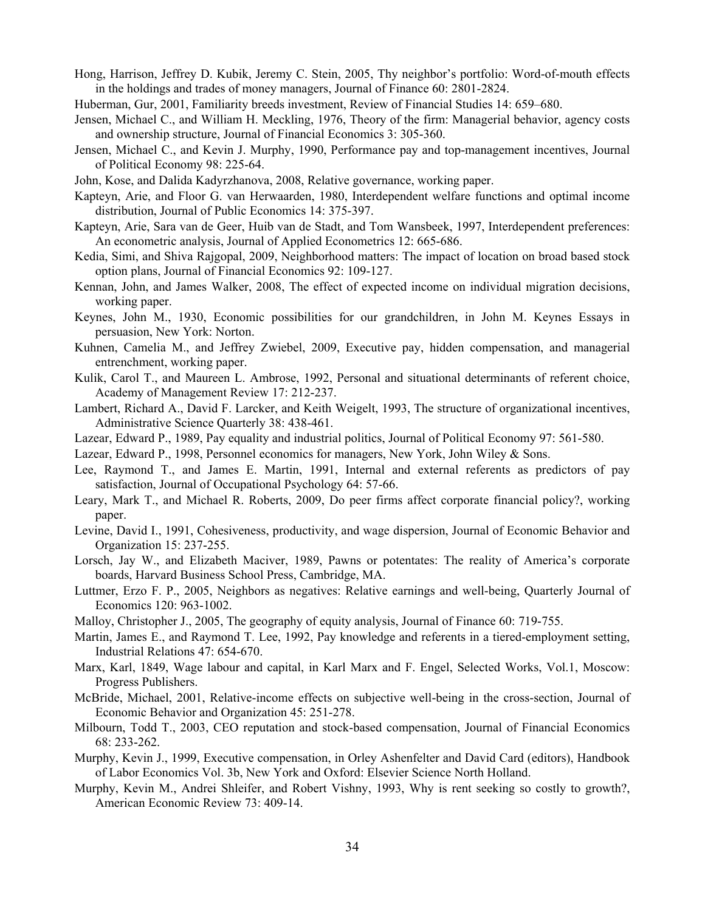Hong, Harrison, Jeffrey D. Kubik, Jeremy C. Stein, 2005, Thy neighbor's portfolio: Word-of-mouth effects in the holdings and trades of money managers, Journal of Finance 60: 2801-2824.

Huberman, Gur, 2001, Familiarity breeds investment, Review of Financial Studies 14: 659–680.

- Jensen, Michael C., and William H. Meckling, 1976, Theory of the firm: Managerial behavior, agency costs and ownership structure, Journal of Financial Economics 3: 305-360.
- Jensen, Michael C., and Kevin J. Murphy, 1990, Performance pay and top-management incentives, Journal of Political Economy 98: 225-64.
- John, Kose, and Dalida Kadyrzhanova, 2008, Relative governance, working paper.
- Kapteyn, Arie, and Floor G. van Herwaarden, 1980, Interdependent welfare functions and optimal income distribution, Journal of Public Economics 14: 375-397.
- Kapteyn, Arie, Sara van de Geer, Huib van de Stadt, and Tom Wansbeek, 1997, Interdependent preferences: An econometric analysis, Journal of Applied Econometrics 12: 665-686.
- Kedia, Simi, and Shiva Rajgopal, 2009, Neighborhood matters: The impact of location on broad based stock option plans, Journal of Financial Economics 92: 109-127.
- Kennan, John, and James Walker, 2008, The effect of expected income on individual migration decisions, working paper.
- Keynes, John M., 1930, Economic possibilities for our grandchildren, in John M. Keynes Essays in persuasion, New York: Norton.
- Kuhnen, Camelia M., and Jeffrey Zwiebel, 2009, Executive pay, hidden compensation, and managerial entrenchment, working paper.
- Kulik, Carol T., and Maureen L. Ambrose, 1992, Personal and situational determinants of referent choice, Academy of Management Review 17: 212-237.
- Lambert, Richard A., David F. Larcker, and Keith Weigelt, 1993, The structure of organizational incentives, Administrative Science Quarterly 38: 438-461.
- Lazear, Edward P., 1989, Pay equality and industrial politics, Journal of Political Economy 97: 561-580.
- Lazear, Edward P., 1998, Personnel economics for managers, New York, John Wiley & Sons.
- Lee, Raymond T., and James E. Martin, 1991, Internal and external referents as predictors of pay satisfaction, Journal of Occupational Psychology 64: 57-66.
- Leary, Mark T., and Michael R. Roberts, 2009, Do peer firms affect corporate financial policy?, working paper.
- Levine, David I., 1991, Cohesiveness, productivity, and wage dispersion, Journal of Economic Behavior and Organization 15: 237-255.
- Lorsch, Jay W., and Elizabeth Maciver, 1989, Pawns or potentates: The reality of America's corporate boards, Harvard Business School Press, Cambridge, MA.
- Luttmer, Erzo F. P., 2005, Neighbors as negatives: Relative earnings and well-being, Quarterly Journal of Economics 120: 963-1002.
- Malloy, Christopher J., 2005, The geography of equity analysis, Journal of Finance 60: 719-755.
- Martin, James E., and Raymond T. Lee, 1992, Pay knowledge and referents in a tiered-employment setting, Industrial Relations 47: 654-670.
- Marx, Karl, 1849, Wage labour and capital, in Karl Marx and F. Engel, Selected Works, Vol.1, Moscow: Progress Publishers.
- McBride, Michael, 2001, Relative-income effects on subjective well-being in the cross-section, Journal of Economic Behavior and Organization 45: 251-278.
- Milbourn, Todd T., 2003, CEO reputation and stock-based compensation, Journal of Financial Economics 68: 233-262.
- Murphy, Kevin J., 1999, Executive compensation, in Orley Ashenfelter and David Card (editors), Handbook of Labor Economics Vol. 3b, New York and Oxford: Elsevier Science North Holland.
- Murphy, Kevin M., Andrei Shleifer, and Robert Vishny, 1993, Why is rent seeking so costly to growth?, American Economic Review 73: 409-14.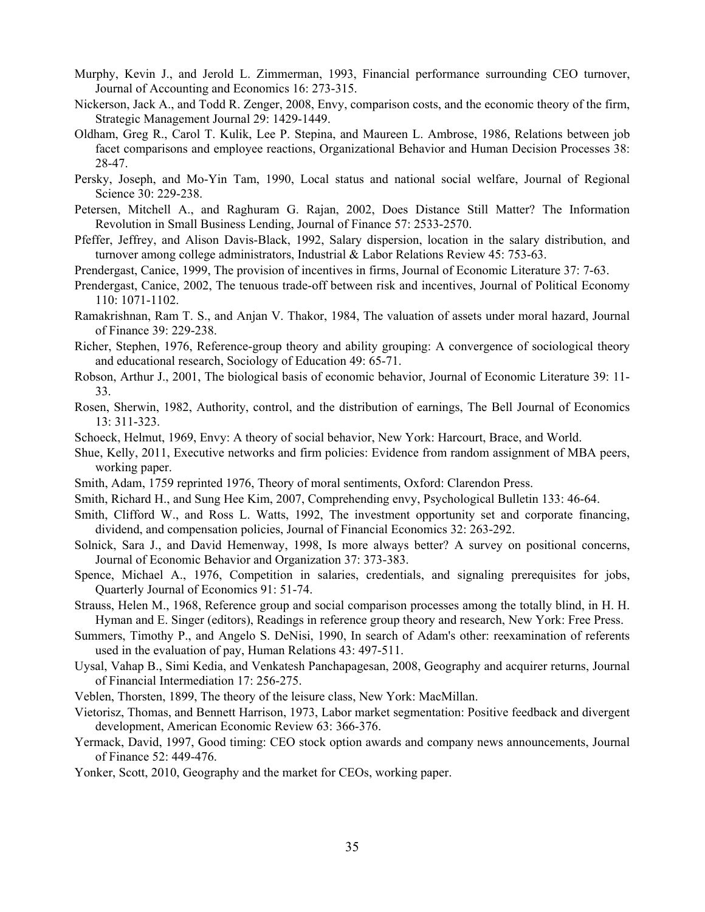- Murphy, Kevin J., and Jerold L. Zimmerman, 1993, Financial performance surrounding CEO turnover, Journal of Accounting and Economics 16: 273-315.
- Nickerson, Jack A., and Todd R. Zenger, 2008, Envy, comparison costs, and the economic theory of the firm, Strategic Management Journal 29: 1429-1449.
- Oldham, Greg R., Carol T. Kulik, Lee P. Stepina, and Maureen L. Ambrose, 1986, Relations between job facet comparisons and employee reactions, Organizational Behavior and Human Decision Processes 38: 28-47.
- Persky, Joseph, and Mo-Yin Tam, 1990, Local status and national social welfare, Journal of Regional Science 30: 229-238.
- Petersen, Mitchell A., and Raghuram G. Rajan, 2002, Does Distance Still Matter? The Information Revolution in Small Business Lending, Journal of Finance 57: 2533-2570.
- Pfeffer, Jeffrey, and Alison Davis-Black, 1992, Salary dispersion, location in the salary distribution, and turnover among college administrators, Industrial & Labor Relations Review 45: 753-63.
- Prendergast, Canice, 1999, The provision of incentives in firms, Journal of Economic Literature 37: 7-63.
- Prendergast, Canice, 2002, The tenuous trade-off between risk and incentives, Journal of Political Economy 110: 1071-1102.
- Ramakrishnan, Ram T. S., and Anjan V. Thakor, 1984, The valuation of assets under moral hazard, Journal of Finance 39: 229-238.
- Richer, Stephen, 1976, Reference-group theory and ability grouping: A convergence of sociological theory and educational research, Sociology of Education 49: 65-71.
- Robson, Arthur J., 2001, The biological basis of economic behavior, Journal of Economic Literature 39: 11- 33.
- Rosen, Sherwin, 1982, Authority, control, and the distribution of earnings, The Bell Journal of Economics 13: 311-323.
- Schoeck, Helmut, 1969, Envy: A theory of social behavior, New York: Harcourt, Brace, and World.
- Shue, Kelly, 2011, Executive networks and firm policies: Evidence from random assignment of MBA peers, working paper.
- Smith, Adam, 1759 reprinted 1976, Theory of moral sentiments, Oxford: Clarendon Press.
- Smith, Richard H., and Sung Hee Kim, 2007, Comprehending envy, Psychological Bulletin 133: 46-64.
- Smith, Clifford W., and Ross L. Watts, 1992, The investment opportunity set and corporate financing, dividend, and compensation policies, Journal of Financial Economics 32: 263-292.
- Solnick, Sara J., and David Hemenway, 1998, Is more always better? A survey on positional concerns, Journal of Economic Behavior and Organization 37: 373-383.
- Spence, Michael A., 1976, Competition in salaries, credentials, and signaling prerequisites for jobs, Quarterly Journal of Economics 91: 51-74.
- Strauss, Helen M., 1968, Reference group and social comparison processes among the totally blind, in H. H. Hyman and E. Singer (editors), Readings in reference group theory and research, New York: Free Press.
- Summers, Timothy P., and Angelo S. DeNisi, 1990, In search of Adam's other: reexamination of referents used in the evaluation of pay, Human Relations 43: 497-511.
- Uysal, Vahap B., Simi Kedia, and Venkatesh Panchapagesan, 2008, Geography and acquirer returns, Journal of Financial Intermediation 17: 256-275.
- Veblen, Thorsten, 1899, The theory of the leisure class, New York: MacMillan.
- Vietorisz, Thomas, and Bennett Harrison, 1973, Labor market segmentation: Positive feedback and divergent development, American Economic Review 63: 366-376.
- Yermack, David, 1997, Good timing: CEO stock option awards and company news announcements, Journal of Finance 52: 449-476.
- Yonker, Scott, 2010, Geography and the market for CEOs, working paper.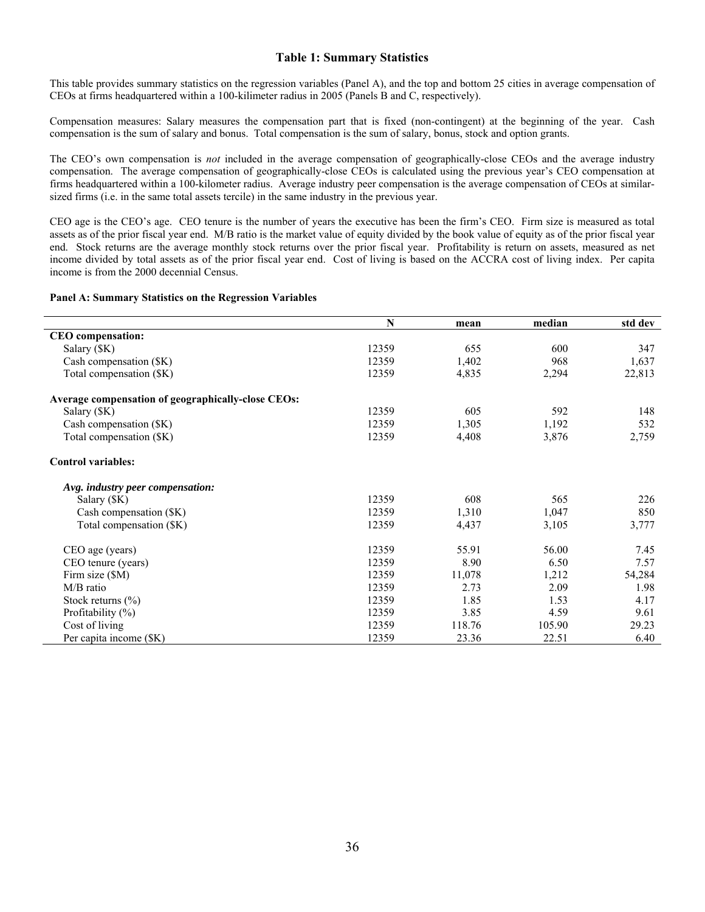## **Table 1: Summary Statistics**

This table provides summary statistics on the regression variables (Panel A), and the top and bottom 25 cities in average compensation of CEOs at firms headquartered within a 100-kilimeter radius in 2005 (Panels B and C, respectively).

Compensation measures: Salary measures the compensation part that is fixed (non-contingent) at the beginning of the year. Cash compensation is the sum of salary and bonus. Total compensation is the sum of salary, bonus, stock and option grants.

The CEO's own compensation is *not* included in the average compensation of geographically-close CEOs and the average industry compensation. The average compensation of geographically-close CEOs is calculated using the previous year's CEO compensation at firms headquartered within a 100-kilometer radius. Average industry peer compensation is the average compensation of CEOs at similarsized firms (i.e. in the same total assets tercile) in the same industry in the previous year.

CEO age is the CEO's age. CEO tenure is the number of years the executive has been the firm's CEO. Firm size is measured as total assets as of the prior fiscal year end. M/B ratio is the market value of equity divided by the book value of equity as of the prior fiscal year end. Stock returns are the average monthly stock returns over the prior fiscal year. Profitability is return on assets, measured as net income divided by total assets as of the prior fiscal year end. Cost of living is based on the ACCRA cost of living index. Per capita income is from the 2000 decennial Census.

#### **Panel A: Summary Statistics on the Regression Variables**

|                                                    | N     | mean   | median | std dev |
|----------------------------------------------------|-------|--------|--------|---------|
| <b>CEO</b> compensation:                           |       |        |        |         |
| Salary (\$K)                                       | 12359 | 655    | 600    | 347     |
| Cash compensation (\$K)                            | 12359 | 1,402  | 968    | 1,637   |
| Total compensation (\$K)                           | 12359 | 4,835  | 2,294  | 22,813  |
| Average compensation of geographically-close CEOs: |       |        |        |         |
| Salary (\$K)                                       | 12359 | 605    | 592    | 148     |
| Cash compensation (\$K)                            | 12359 | 1,305  | 1,192  | 532     |
| Total compensation (\$K)                           | 12359 | 4,408  | 3,876  | 2,759   |
| <b>Control variables:</b>                          |       |        |        |         |
| Avg. industry peer compensation:                   |       |        |        |         |
| Salary (\$K)                                       | 12359 | 608    | 565    | 226     |
| Cash compensation (\$K)                            | 12359 | 1,310  | 1,047  | 850     |
| Total compensation (\$K)                           | 12359 | 4,437  | 3,105  | 3,777   |
| CEO age (years)                                    | 12359 | 55.91  | 56.00  | 7.45    |
| CEO tenure (years)                                 | 12359 | 8.90   | 6.50   | 7.57    |
| Firm size (\$M)                                    | 12359 | 11,078 | 1,212  | 54,284  |
| $M/B$ ratio                                        | 12359 | 2.73   | 2.09   | 1.98    |
| Stock returns $(\% )$                              | 12359 | 1.85   | 1.53   | 4.17    |
| Profitability (%)                                  | 12359 | 3.85   | 4.59   | 9.61    |
| Cost of living                                     | 12359 | 118.76 | 105.90 | 29.23   |
| Per capita income (\$K)                            | 12359 | 23.36  | 22.51  | 6.40    |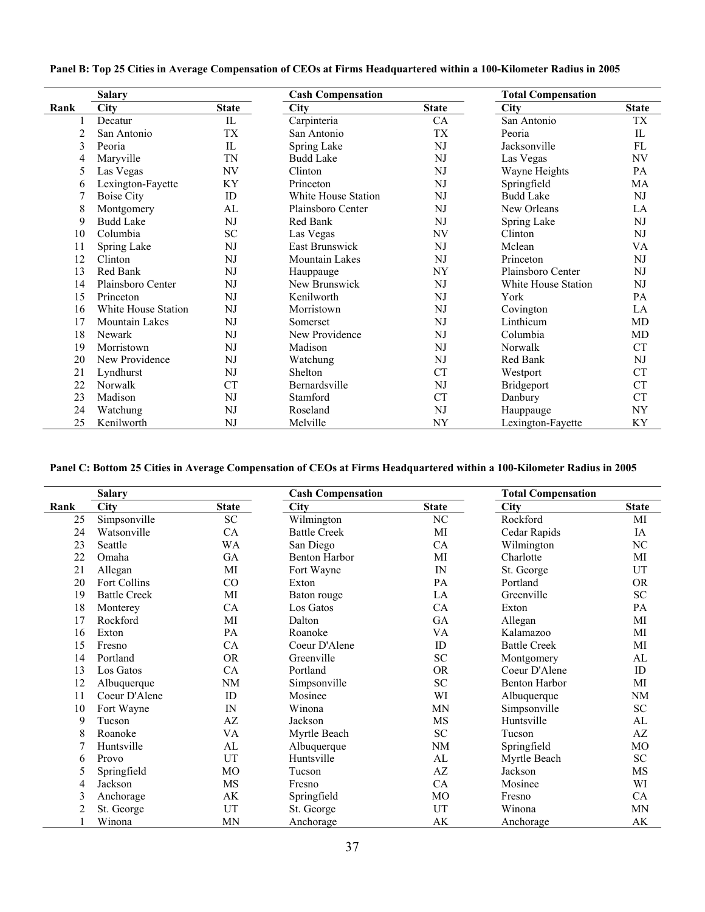|      | <b>Salary</b>       |              | <b>Cash Compensation</b> |              | <b>Total Compensation</b> |                        |
|------|---------------------|--------------|--------------------------|--------------|---------------------------|------------------------|
| Rank | City                | <b>State</b> | <b>City</b>              | <b>State</b> | City                      | <b>State</b>           |
|      | Decatur             | IL           | Carpinteria              | CA           | San Antonio               | TX                     |
| 2    | San Antonio         | <b>TX</b>    | San Antonio              | TX           | Peoria                    | IL                     |
| 3    | Peoria              | IL           | Spring Lake              | NJ           | Jacksonville              | FL                     |
| 4    | Maryville           | TN           | <b>Budd Lake</b>         | NJ           | Las Vegas                 | NV                     |
| 5    | Las Vegas           | NV           | Clinton                  | NJ           | Wayne Heights             | PA                     |
| 6    | Lexington-Fayette   | ΚY           | Princeton                | NJ           | Springfield               | MA                     |
|      | <b>Boise City</b>   | ID           | White House Station      | NJ           | <b>Budd Lake</b>          | $\mathbf{N}\mathbf{J}$ |
| 8    | Montgomery          | AL           | Plainsboro Center        | NJ           | New Orleans               | LA                     |
| 9    | <b>Budd Lake</b>    | NJ           | Red Bank                 | NJ           | Spring Lake               | NJ                     |
| 10   | Columbia            | <b>SC</b>    | Las Vegas                | NV           | Clinton                   | NJ                     |
| 11   | Spring Lake         | NJ           | <b>East Brunswick</b>    | NJ           | Mclean                    | VA                     |
| 12   | Clinton             | NJ           | Mountain Lakes           | NJ           | Princeton                 | NJ                     |
| 13   | Red Bank            | NJ           | Hauppauge                | NY           | Plainsboro Center         | NJ                     |
| 14   | Plainsboro Center   | NJ           | New Brunswick            | NJ           | White House Station       | NJ                     |
| 15   | Princeton           | NJ           | Kenilworth               | NJ           | York                      | PA                     |
| 16   | White House Station | NJ           | Morristown               | NJ           | Covington                 | LA                     |
| 17   | Mountain Lakes      | NJ           | Somerset                 | NJ           | Linthicum                 | MD                     |
| 18   | Newark              | NJ           | New Providence           | NJ           | Columbia                  | MD                     |
| 19   | Morristown          | NJ           | Madison                  | NJ           | Norwalk                   | <b>CT</b>              |
| 20   | New Providence      | NJ           | Watchung                 | NJ           | Red Bank                  | NJ                     |
| 21   | Lyndhurst           | NJ           | Shelton                  | <b>CT</b>    | Westport                  | <b>CT</b>              |
| 22   | Norwalk             | <b>CT</b>    | Bernardsville            | NJ           | <b>Bridgeport</b>         | <b>CT</b>              |
| 23   | Madison             | NJ           | Stamford                 | <b>CT</b>    | Danbury                   | <b>CT</b>              |
| 24   | Watchung            | NJ           | Roseland                 | NJ           | Hauppauge                 | NY                     |
| 25   | Kenilworth          | NJ           | Melville                 | NY           | Lexington-Fayette         | KY                     |

**Panel B: Top 25 Cities in Average Compensation of CEOs at Firms Headquartered within a 100-Kilometer Radius in 2005** 

**Panel C: Bottom 25 Cities in Average Compensation of CEOs at Firms Headquartered within a 100-Kilometer Radius in 2005** 

|      | <b>Salary</b>       |              | <b>Cash Compensation</b> |                           | <b>Total Compensation</b> |              |
|------|---------------------|--------------|--------------------------|---------------------------|---------------------------|--------------|
| Rank | <b>City</b>         | <b>State</b> | <b>City</b>              | <b>State</b>              | City                      | <b>State</b> |
| 25   | Simpsonville        | <b>SC</b>    | Wilmington               | NC                        | Rockford                  | MI           |
| 24   | Watsonville         | CA           | <b>Battle Creek</b>      | MI                        | Cedar Rapids              | <b>IA</b>    |
| 23   | Seattle             | WA           | San Diego                | CA                        | Wilmington                | NC           |
| 22   | Omaha               | GA           | <b>Benton Harbor</b>     | MI                        | Charlotte                 | MI           |
| 21   | Allegan             | МI           | Fort Wayne               | IN                        | St. George                | UT           |
| 20   | <b>Fort Collins</b> | CO           | Exton                    | PA                        | Portland                  | <b>OR</b>    |
| 19   | <b>Battle Creek</b> | MI           | Baton rouge              | LA                        | Greenville                | <b>SC</b>    |
| 18   | Monterey            | CA           | Los Gatos                | CA                        | Exton                     | PA           |
| 17   | Rockford            | MI           | Dalton                   | GA                        | Allegan                   | MI           |
| 16   | Exton               | PA           | Roanoke                  | VA<br>Kalamazoo           |                           | MI           |
| 15   | Fresno              | CA           | Coeur D'Alene            | ID<br><b>Battle Creek</b> |                           | MI           |
| 14   | Portland            | <b>OR</b>    | Greenville               | <b>SC</b>                 | Montgomery                | AL           |
| 13   | Los Gatos           | CA           | Portland                 | <b>OR</b>                 | Coeur D'Alene             | ID           |
| 12   | Albuquerque         | NM           | Simpsonville             | SC                        | <b>Benton Harbor</b>      | MI           |
| 11   | Coeur D'Alene       | ID           | Mosinee                  | WI                        | Albuquerque               | NM           |
| 10   | Fort Wayne          | IN           | Winona                   | <b>MN</b>                 | Simpsonville              | <b>SC</b>    |
| 9    | Tucson              | AZ           | Jackson                  | MS                        | Huntsville                | AL           |
| 8    | Roanoke             | <b>VA</b>    | Myrtle Beach             | <b>SC</b>                 | Tucson                    | AZ           |
|      | Huntsville          | AL           | Albuquerque              | $\rm{NM}$                 | Springfield               | MO           |
| 6    | Provo               | UT           | Huntsville               | AI.                       | Myrtle Beach              | <b>SC</b>    |
| 5    | Springfield         | MO           | Tucson                   | AZ                        | Jackson                   | MS           |
| 4    | Jackson             | MS           | Fresno                   | CA                        | Mosinee                   | WI           |
| 3    | Anchorage           | AK           | Springfield              | M <sub>O</sub>            | Fresno                    | CA           |
| 2    | St. George          | UT           | St. George               | UT                        | Winona                    | MN           |
|      | Winona              | MN           | Anchorage                | АK                        | Anchorage                 | АK           |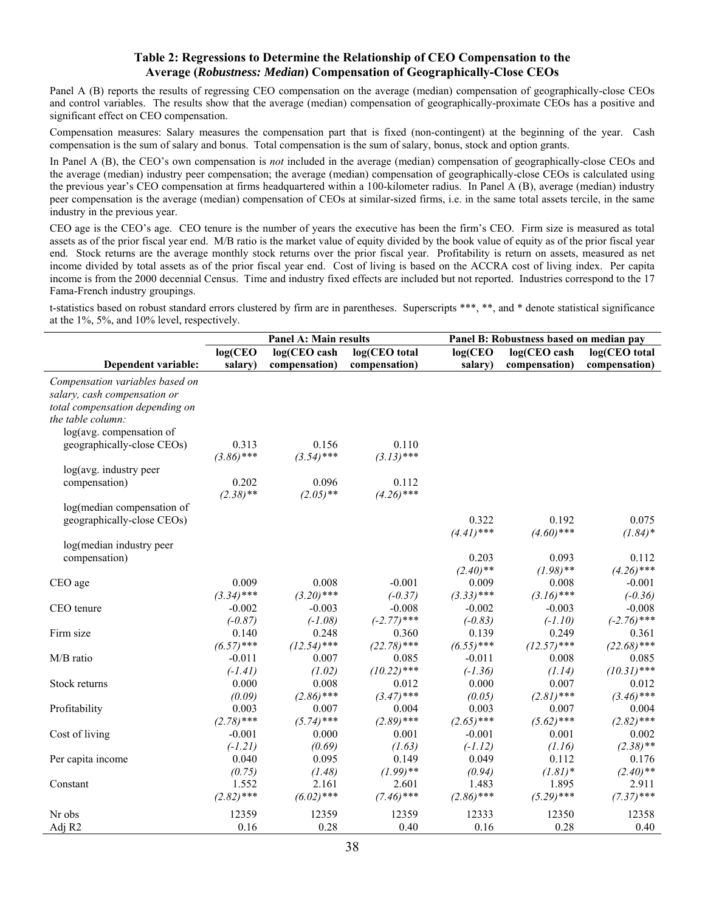# **Table 2: Regressions to Determine the Relationship of CEO Compensation to the Average (***Robustness: Median***) Compensation of Geographically-Close CEOs**

Panel A (B) reports the results of regressing CEO compensation on the average (median) compensation of geographically-close CEOs and control variables. The results show that the average (median) compensation of geographically-proximate CEOs has a positive and significant effect on CEO compensation.

Compensation measures: Salary measures the compensation part that is fixed (non-contingent) at the beginning of the year. Cash compensation is the sum of salary and bonus. Total compensation is the sum of salary, bonus, stock and option grants.

In Panel A (B), the CEO's own compensation is *not* included in the average (median) compensation of geographically-close CEOs and the average (median) industry peer compensation; the average (median) compensation of geographically-close CEOs is calculated using the previous year's CEO compensation at firms headquartered within a 100-kilometer radius. In Panel A (B), average (median) industry peer compensation is the average (median) compensation of CEOs at similar-sized firms, i.e. in the same total assets tercile, in the same industry in the previous year.

CEO age is the CEO's age. CEO tenure is the number of years the executive has been the firm's CEO. Firm size is measured as total assets as of the prior fiscal year end. M/B ratio is the market value of equity divided by the book value of equity as of the prior fiscal year end. Stock returns are the average monthly stock returns over the prior fiscal year. Profitability is return on assets, measured as net income divided by total assets as of the prior fiscal year end. Cost of living is based on the ACCRA cost of living index. Per capita income is from the 2000 decennial Census. Time and industry fixed effects are included but not reported. Industries correspond to the 17 Fama-French industry groupings.

|                                 | <b>Panel A: Main results</b> |               |               | Panel B: Robustness based on median pay |               |               |
|---------------------------------|------------------------------|---------------|---------------|-----------------------------------------|---------------|---------------|
|                                 | log(CEO)                     | log(CEO cash  | log(CEO total | log(CEO)                                | log(CEO cash  | log(CEO total |
| Dependent variable:             | salary)                      | compensation) | compensation) | salary)                                 | compensation) | compensation) |
| Compensation variables based on |                              |               |               |                                         |               |               |
| salary, cash compensation or    |                              |               |               |                                         |               |               |
| total compensation depending on |                              |               |               |                                         |               |               |
| the table column:               |                              |               |               |                                         |               |               |
| log(avg. compensation of        |                              |               |               |                                         |               |               |
| geographically-close CEOs)      | 0.313                        | 0.156         | 0.110         |                                         |               |               |
|                                 | $(3.86)$ ***                 | $(3.54)$ ***  | $(3.13)$ ***  |                                         |               |               |
| $log(avg.$ industry peer        |                              |               |               |                                         |               |               |
| compensation)                   | 0.202                        | 0.096         | 0.112         |                                         |               |               |
|                                 | $(2.38)$ **                  | $(2.05)$ **   | $(4.26)$ ***  |                                         |               |               |
| log(median compensation of      |                              |               |               |                                         |               |               |
| geographically-close CEOs)      |                              |               |               | 0.322                                   | 0.192         | 0.075         |
|                                 |                              |               |               | $(4.41)$ ***                            | $(4.60)$ ***  | $(1.84)$ *    |
| log(median industry peer        |                              |               |               |                                         |               |               |
| compensation)                   |                              |               |               | 0.203                                   | 0.093         | 0.112         |
|                                 |                              |               |               | $(2.40)$ **                             | $(1.98)$ **   | $(4.26)$ ***  |
| CEO age                         | 0.009                        | 0.008         | $-0.001$      | 0.009                                   | 0.008         | $-0.001$      |
|                                 | $(3.34)$ ***                 | $(3.20)$ ***  | $(-0.37)$     | $(3.33)$ ***                            | $(3.16)$ ***  | $(-0.36)$     |
| CEO tenure                      | $-0.002$                     | $-0.003$      | $-0.008$      | $-0.002$                                | $-0.003$      | $-0.008$      |
|                                 | $(-0.87)$                    | $(-1.08)$     | $(-2.77)$ *** | $(-0.83)$                               | $(-1.10)$     | $(-2.76)$ *** |
| Firm size                       | 0.140                        | 0.248         | 0.360         | 0.139                                   | 0.249         | 0.361         |
|                                 | $(6.57)$ ***                 | $(12.54)$ *** | $(22.78)$ *** | $(6.55)$ ***                            | $(12.57)$ *** | $(22.68)$ *** |
| M/B ratio                       | $-0.011$                     | 0.007         | 0.085         | $-0.011$                                | 0.008         | 0.085         |
|                                 | $(-1.41)$                    | (1.02)        | $(10.22)$ *** | $(-1.36)$                               | (1.14)        | $(10.31)$ *** |
| Stock returns                   | 0.000                        | 0.008         | 0.012         | 0.000                                   | 0.007         | 0.012         |
|                                 | (0.09)                       | $(2.86)$ ***  | $(3.47)$ ***  | (0.05)                                  | $(2.81)$ ***  | $(3.46)$ ***  |
| Profitability                   | 0.003                        | 0.007         | 0.004         | 0.003                                   | 0.007         | 0.004         |
|                                 | $(2.78)$ ***                 | $(5.74)$ ***  | $(2.89)$ ***  | $(2.65)$ ***                            | $(5.62)$ ***  | $(2.82)$ ***  |
| Cost of living                  | $-0.001$                     | 0.000         | 0.001         | $-0.001$                                | 0.001         | 0.002         |
|                                 | $(-1.21)$                    | (0.69)        | (1.63)        | $(-1.12)$                               | (1.16)        | $(2.38)$ **   |
| Per capita income               | 0.040                        | 0.095         | 0.149         | 0.049                                   | 0.112         | 0.176         |
|                                 | (0.75)                       | (1.48)        | $(1.99)$ **   | (0.94)                                  | $(1.81)$ *    | $(2.40)$ **   |
| Constant                        | 1.552                        | 2.161         | 2.601         | 1.483                                   | 1.895         | 2.911         |
|                                 | $(2.82)$ ***                 | $(6.02)$ ***  | $(7.46)$ ***  | $(2.86)$ ***                            | $(5.29)$ ***  | $(7.37)$ ***  |
| Nr obs                          | 12359                        | 12359         | 12359         | 12333                                   | 12350         | 12358         |
| Adj R2                          | 0.16                         | 0.28          | 0.40          | 0.16                                    | 0.28          | 0.40          |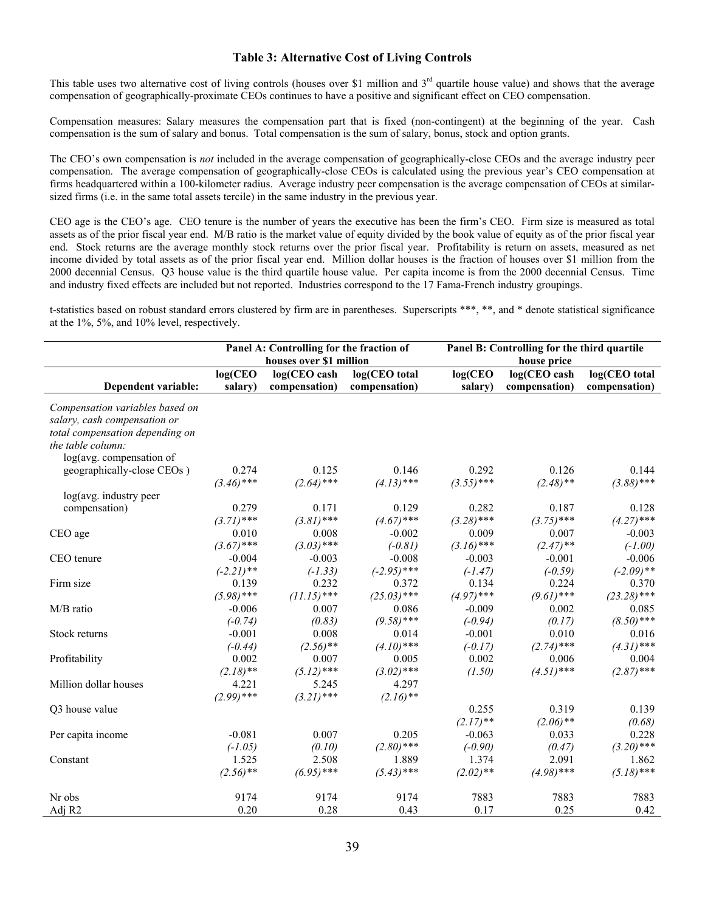## **Table 3: Alternative Cost of Living Controls**

This table uses two alternative cost of living controls (houses over \$1 million and  $3<sup>rd</sup>$  quartile house value) and shows that the average compensation of geographically-proximate CEOs continues to have a positive and significant effect on CEO compensation.

Compensation measures: Salary measures the compensation part that is fixed (non-contingent) at the beginning of the year. Cash compensation is the sum of salary and bonus. Total compensation is the sum of salary, bonus, stock and option grants.

The CEO's own compensation is *not* included in the average compensation of geographically-close CEOs and the average industry peer compensation. The average compensation of geographically-close CEOs is calculated using the previous year's CEO compensation at firms headquartered within a 100-kilometer radius. Average industry peer compensation is the average compensation of CEOs at similarsized firms (i.e. in the same total assets tercile) in the same industry in the previous year.

CEO age is the CEO's age. CEO tenure is the number of years the executive has been the firm's CEO. Firm size is measured as total assets as of the prior fiscal year end. M/B ratio is the market value of equity divided by the book value of equity as of the prior fiscal year end. Stock returns are the average monthly stock returns over the prior fiscal year. Profitability is return on assets, measured as net income divided by total assets as of the prior fiscal year end. Million dollar houses is the fraction of houses over \$1 million from the 2000 decennial Census. Q3 house value is the third quartile house value. Per capita income is from the 2000 decennial Census. Time and industry fixed effects are included but not reported. Industries correspond to the 17 Fama-French industry groupings.

|                                                                                                                         | Panel A: Controlling for the fraction of<br>houses over \$1 million |               |               | Panel B: Controlling for the third quartile<br>house price |               |               |
|-------------------------------------------------------------------------------------------------------------------------|---------------------------------------------------------------------|---------------|---------------|------------------------------------------------------------|---------------|---------------|
|                                                                                                                         | log(CEO)                                                            | log(CEO cash  | log(CEO total | log(CEO)                                                   | log(CEO cash  | log(CEO total |
| Dependent variable:                                                                                                     | salary)                                                             | compensation) | compensation) | salary)                                                    | compensation) | compensation) |
| Compensation variables based on<br>salary, cash compensation or<br>total compensation depending on<br>the table column: |                                                                     |               |               |                                                            |               |               |
| log(avg. compensation of                                                                                                |                                                                     |               |               |                                                            |               |               |
| geographically-close CEOs)                                                                                              | 0.274                                                               | 0.125         | 0.146         | 0.292                                                      | 0.126         | 0.144         |
|                                                                                                                         | $(3.46)$ ***                                                        | $(2.64)$ ***  | $(4.13)$ ***  | $(3.55)$ ***                                               | $(2.48)$ **   | $(3.88)$ ***  |
| $log(avg.$ industry peer                                                                                                |                                                                     |               |               |                                                            |               |               |
| compensation)                                                                                                           | 0.279                                                               | 0.171         | 0.129         | 0.282                                                      | 0.187         | 0.128         |
|                                                                                                                         | $(3.71)$ ***                                                        | $(3.81)$ ***  | $(4.67)$ ***  | $(3.28)$ ***                                               | $(3.75)$ ***  | $(4.27)$ ***  |
| CEO age                                                                                                                 | 0.010                                                               | 0.008         | $-0.002$      | 0.009                                                      | 0.007         | $-0.003$      |
|                                                                                                                         | $(3.67)$ ***                                                        | $(3.03)$ ***  | $(-0.81)$     | $(3.16)$ ***                                               | $(2.47)$ **   | $(-1.00)$     |
| CEO tenure                                                                                                              | $-0.004$                                                            | $-0.003$      | $-0.008$      | $-0.003$                                                   | $-0.001$      | $-0.006$      |
|                                                                                                                         | $(-2.21)$ **                                                        | $(-1.33)$     | $(-2.95)$ *** | $(-1.47)$                                                  | $(-0.59)$     | $(-2.09)$ **  |
| Firm size                                                                                                               | 0.139                                                               | 0.232         | 0.372         | 0.134                                                      | 0.224         | 0.370         |
|                                                                                                                         | $(5.98)$ ***                                                        | $(11.15)$ *** | $(25.03)$ *** | $(4.97)$ ***                                               | $(9.61)$ ***  | $(23.28)$ *** |
| M/B ratio                                                                                                               | $-0.006$                                                            | 0.007         | 0.086         | $-0.009$                                                   | 0.002         | 0.085         |
|                                                                                                                         | $(-0.74)$                                                           | (0.83)        | $(9.58)$ ***  | $(-0.94)$                                                  | (0.17)        | $(8.50)$ ***  |
| Stock returns                                                                                                           | $-0.001$                                                            | 0.008         | 0.014         | $-0.001$                                                   | 0.010         | 0.016         |
|                                                                                                                         | $(-0.44)$                                                           | $(2.56)$ **   | $(4.10)$ ***  | $(-0.17)$                                                  | $(2.74)$ ***  | $(4.31)$ ***  |
| Profitability                                                                                                           | 0.002                                                               | 0.007         | 0.005         | 0.002                                                      | 0.006         | 0.004         |
|                                                                                                                         | $(2.18)$ **                                                         | $(5.12)$ ***  | $(3.02)$ ***  | (1.50)                                                     | $(4.51)$ ***  | $(2.87)$ ***  |
| Million dollar houses                                                                                                   | 4.221                                                               | 5.245         | 4.297         |                                                            |               |               |
|                                                                                                                         | $(2.99)$ ***                                                        | $(3.21)$ ***  | $(2.16)$ **   |                                                            |               |               |
| Q3 house value                                                                                                          |                                                                     |               |               | 0.255                                                      | 0.319         | 0.139         |
|                                                                                                                         |                                                                     |               |               | $(2.17)$ **                                                | $(2.06)$ **   | (0.68)        |
| Per capita income                                                                                                       | $-0.081$                                                            | 0.007         | 0.205         | $-0.063$                                                   | 0.033         | 0.228         |
|                                                                                                                         | $(-1.05)$                                                           | (0.10)        | $(2.80)$ ***  | $(-0.90)$                                                  | (0.47)        | $(3.20)$ ***  |
| Constant                                                                                                                | 1.525                                                               | 2.508         | 1.889         | 1.374                                                      | 2.091         | 1.862         |
|                                                                                                                         | $(2.56)$ **                                                         | $(6.95)$ ***  | $(5.43)$ ***  | $(2.02)$ **                                                | $(4.98)$ ***  | $(5.18)$ ***  |
|                                                                                                                         |                                                                     |               |               |                                                            |               |               |
| Nr obs                                                                                                                  | 9174                                                                | 9174          | 9174          | 7883                                                       | 7883          | 7883          |
| Adj R2                                                                                                                  | 0.20                                                                | 0.28          | 0.43          | 0.17                                                       | 0.25          | 0.42          |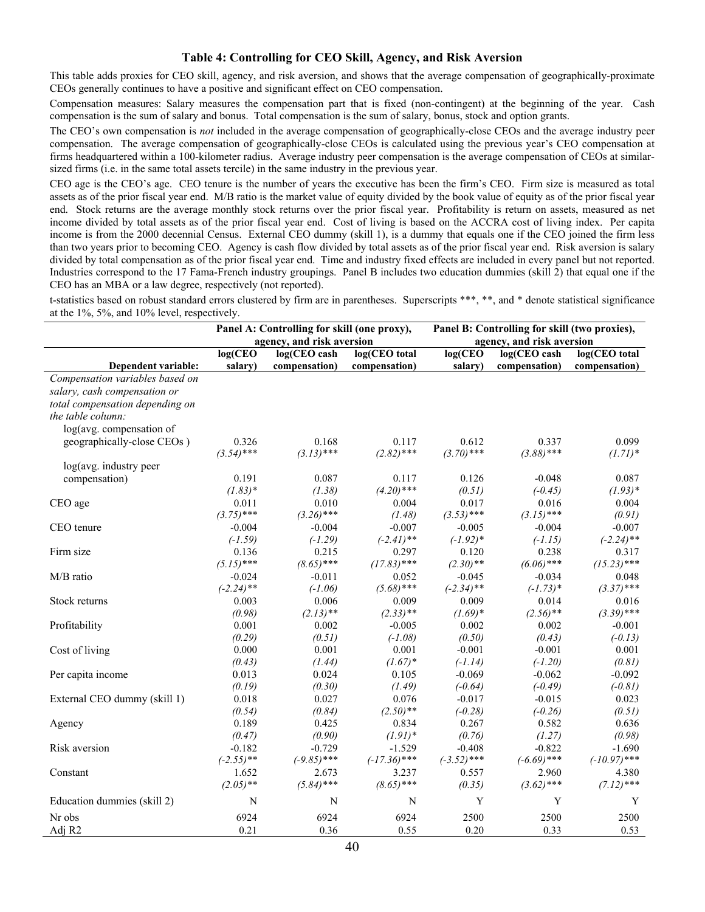## **Table 4: Controlling for CEO Skill, Agency, and Risk Aversion**

This table adds proxies for CEO skill, agency, and risk aversion, and shows that the average compensation of geographically-proximate CEOs generally continues to have a positive and significant effect on CEO compensation.

Compensation measures: Salary measures the compensation part that is fixed (non-contingent) at the beginning of the year. Cash compensation is the sum of salary and bonus. Total compensation is the sum of salary, bonus, stock and option grants.

The CEO's own compensation is *not* included in the average compensation of geographically-close CEOs and the average industry peer compensation. The average compensation of geographically-close CEOs is calculated using the previous year's CEO compensation at firms headquartered within a 100-kilometer radius. Average industry peer compensation is the average compensation of CEOs at similarsized firms (i.e. in the same total assets tercile) in the same industry in the previous year.

CEO age is the CEO's age. CEO tenure is the number of years the executive has been the firm's CEO. Firm size is measured as total assets as of the prior fiscal year end. M/B ratio is the market value of equity divided by the book value of equity as of the prior fiscal year end. Stock returns are the average monthly stock returns over the prior fiscal year. Profitability is return on assets, measured as net income divided by total assets as of the prior fiscal year end. Cost of living is based on the ACCRA cost of living index. Per capita income is from the 2000 decennial Census. External CEO dummy (skill 1), is a dummy that equals one if the CEO joined the firm less than two years prior to becoming CEO. Agency is cash flow divided by total assets as of the prior fiscal year end. Risk aversion is salary divided by total compensation as of the prior fiscal year end. Time and industry fixed effects are included in every panel but not reported. Industries correspond to the 17 Fama-French industry groupings. Panel B includes two education dummies (skill 2) that equal one if the CEO has an MBA or a law degree, respectively (not reported).

|                                 | Panel A: Controlling for skill (one proxy), |               |                |               | Panel B: Controlling for skill (two proxies), |                |  |
|---------------------------------|---------------------------------------------|---------------|----------------|---------------|-----------------------------------------------|----------------|--|
|                                 | agency, and risk aversion                   |               |                |               | agency, and risk aversion                     |                |  |
|                                 | log(CEO)                                    | log(CEO cash  | log(CEO total  | log(CEO)      | log(CEO cash                                  | log(CEO total  |  |
| Dependent variable:             | salary)                                     | compensation) | compensation)  | salary)       | compensation)                                 | compensation)  |  |
| Compensation variables based on |                                             |               |                |               |                                               |                |  |
| salary, cash compensation or    |                                             |               |                |               |                                               |                |  |
| total compensation depending on |                                             |               |                |               |                                               |                |  |
| the table column:               |                                             |               |                |               |                                               |                |  |
| log(avg. compensation of        |                                             |               |                |               |                                               |                |  |
| geographically-close CEOs)      | 0.326                                       | 0.168         | 0.117          | 0.612         | 0.337                                         | 0.099          |  |
|                                 | $(3.54)$ ***                                | $(3.13)$ ***  | $(2.82)$ ***   | $(3.70)$ ***  | $(3.88)$ ***                                  | $(1.71)$ *     |  |
| log(avg. industry peer          |                                             |               |                |               |                                               |                |  |
| compensation)                   | 0.191                                       | 0.087         | 0.117          | 0.126         | $-0.048$                                      | 0.087          |  |
|                                 | $(1.83)$ *                                  | (1.38)        | $(4.20)$ ***   | (0.51)        | $(-0.45)$                                     | $(1.93)*$      |  |
| CEO age                         | 0.011                                       | 0.010         | 0.004          | 0.017         | 0.016                                         | 0.004          |  |
|                                 | $(3.75)$ ***                                | $(3.26)$ ***  | (1.48)         | $(3.53)$ ***  | $(3.15)$ ***                                  | (0.91)         |  |
| CEO tenure                      | $-0.004$                                    | $-0.004$      | $-0.007$       | $-0.005$      | $-0.004$                                      | $-0.007$       |  |
|                                 | $(-1.59)$                                   | $(-1.29)$     | $(-2.41)$ **   | $(-1.92)$ *   | $(-1.15)$                                     | $(-2.24)$ **   |  |
| Firm size                       | 0.136                                       | 0.215         | 0.297          | 0.120         | 0.238                                         | 0.317          |  |
|                                 | $(5.15)$ ***                                | $(8.65)$ ***  | $(17.83)$ ***  | $(2.30)$ **   | $(6.06)$ ***                                  | $(15.23)$ ***  |  |
| M/B ratio                       | $-0.024$                                    | $-0.011$      | 0.052          | $-0.045$      | $-0.034$                                      | 0.048          |  |
|                                 | $(-2.24)$ **                                | $(-1.06)$     | $(5.68)$ ***   | $(-2.34)$ **  | $(-1.73)*$                                    | $(3.37)$ ***   |  |
| Stock returns                   | 0.003                                       | 0.006         | 0.009          | 0.009         | 0.014                                         | 0.016          |  |
|                                 | (0.98)                                      | $(2.13)$ **   | $(2.33)$ **    | $(1.69)^*$    | $(2.56)$ **                                   | $(3.39)$ ***   |  |
| Profitability                   | 0.001                                       | 0.002         | $-0.005$       | 0.002         | 0.002                                         | $-0.001$       |  |
|                                 | (0.29)                                      | (0.51)        | $(-1.08)$      | (0.50)        | (0.43)                                        | $(-0.13)$      |  |
| Cost of living                  | 0.000                                       | 0.001         | 0.001          | $-0.001$      | $-0.001$                                      | 0.001          |  |
|                                 | (0.43)                                      | (1.44)        | $(1.67)$ *     | $(-1.14)$     | $(-1.20)$                                     | (0.81)         |  |
| Per capita income               | 0.013                                       | 0.024         | 0.105          | $-0.069$      | $-0.062$                                      | $-0.092$       |  |
|                                 | (0.19)                                      | (0.30)        | (1.49)         | $(-0.64)$     | $(-0.49)$                                     | $(-0.81)$      |  |
| External CEO dummy (skill 1)    | 0.018                                       | 0.027         | 0.076          | $-0.017$      | $-0.015$                                      | 0.023          |  |
|                                 | (0.54)                                      | (0.84)        | $(2.50)$ **    | $(-0.28)$     | $(-0.26)$                                     | (0.51)         |  |
| Agency                          | 0.189                                       | 0.425         | 0.834          | 0.267         | 0.582                                         | 0.636          |  |
|                                 | (0.47)                                      | (0.90)        | $(1.91)$ *     | (0.76)        | (1.27)                                        | (0.98)         |  |
| Risk aversion                   | $-0.182$                                    | $-0.729$      | $-1.529$       | $-0.408$      | $-0.822$                                      | $-1.690$       |  |
|                                 | $(-2.55)$ **                                | $(-9.85)$ *** | $(-17.36)$ *** | $(-3.52)$ *** | $(-6.69)$ ***                                 | $(-10.97)$ *** |  |
| Constant                        | 1.652                                       | 2.673         | 3.237          | 0.557         | 2.960                                         | 4.380          |  |
|                                 | $(2.05)$ **                                 | $(5.84)$ ***  | $(8.65)$ ***   | (0.35)        | $(3.62)$ ***                                  | $(7.12)$ ***   |  |
| Education dummies (skill 2)     | N                                           | N             | N              | Y             | Y                                             | Y              |  |
| Nr obs                          | 6924                                        | 6924          | 6924           | 2500          | 2500                                          | 2500           |  |
| Adj R2                          | 0.21                                        | 0.36          | 0.55           | 0.20          | 0.33                                          | 0.53           |  |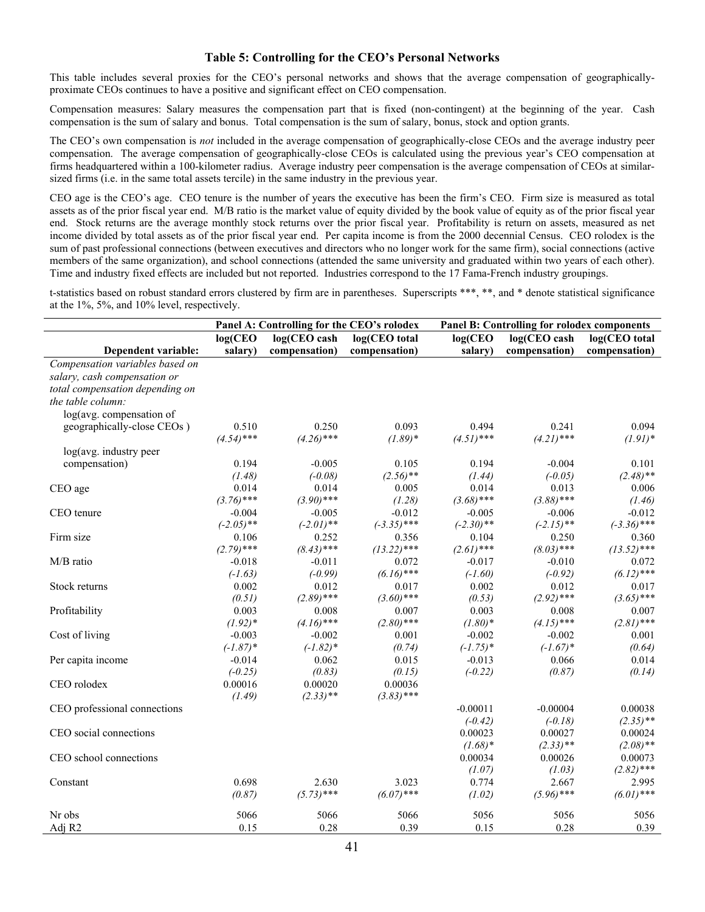## **Table 5: Controlling for the CEO's Personal Networks**

This table includes several proxies for the CEO's personal networks and shows that the average compensation of geographicallyproximate CEOs continues to have a positive and significant effect on CEO compensation.

Compensation measures: Salary measures the compensation part that is fixed (non-contingent) at the beginning of the year. Cash compensation is the sum of salary and bonus. Total compensation is the sum of salary, bonus, stock and option grants.

The CEO's own compensation is *not* included in the average compensation of geographically-close CEOs and the average industry peer compensation. The average compensation of geographically-close CEOs is calculated using the previous year's CEO compensation at firms headquartered within a 100-kilometer radius. Average industry peer compensation is the average compensation of CEOs at similarsized firms (i.e. in the same total assets tercile) in the same industry in the previous year.

CEO age is the CEO's age. CEO tenure is the number of years the executive has been the firm's CEO. Firm size is measured as total assets as of the prior fiscal year end. M/B ratio is the market value of equity divided by the book value of equity as of the prior fiscal year end. Stock returns are the average monthly stock returns over the prior fiscal year. Profitability is return on assets, measured as net income divided by total assets as of the prior fiscal year end. Per capita income is from the 2000 decennial Census. CEO rolodex is the sum of past professional connections (between executives and directors who no longer work for the same firm), social connections (active members of the same organization), and school connections (attended the same university and graduated within two years of each other). Time and industry fixed effects are included but not reported. Industries correspond to the 17 Fama-French industry groupings.

|                                 | Panel A: Controlling for the CEO's rolodex |               |               | Panel B: Controlling for rolodex components |               |               |
|---------------------------------|--------------------------------------------|---------------|---------------|---------------------------------------------|---------------|---------------|
|                                 | log(CEO)                                   | log(CEO cash  | log(CEO total | log(CEO)                                    | log(CEO cash  | log(CEO total |
| Dependent variable:             | salary)                                    | compensation) | compensation) | salary)                                     | compensation) | compensation) |
| Compensation variables based on |                                            |               |               |                                             |               |               |
| salary, cash compensation or    |                                            |               |               |                                             |               |               |
| total compensation depending on |                                            |               |               |                                             |               |               |
| the table column:               |                                            |               |               |                                             |               |               |
| $log(avg.$ compensation of      |                                            |               |               |                                             |               |               |
| geographically-close CEOs)      | 0.510                                      | 0.250         | 0.093         | 0.494                                       | 0.241         | 0.094         |
|                                 | $(4.54)$ ***                               | $(4.26)$ ***  | $(1.89)$ *    | $(4.51)$ ***                                | $(4.21)$ ***  | $(1.91)$ *    |
| log(avg. industry peer          |                                            |               |               |                                             |               |               |
| compensation)                   | 0.194                                      | $-0.005$      | 0.105         | 0.194                                       | $-0.004$      | 0.101         |
|                                 | (1.48)                                     | $(-0.08)$     | $(2.56)$ **   | (1.44)                                      | $(-0.05)$     | $(2.48)$ **   |
| CEO age                         | 0.014                                      | 0.014         | 0.005         | 0.014                                       | 0.013         | 0.006         |
|                                 | $(3.76)$ ***                               | $(3.90)$ ***  | (1.28)        | $(3.68)$ ***                                | $(3.88)$ ***  | (1.46)        |
| CEO tenure                      | $-0.004$                                   | $-0.005$      | $-0.012$      | $-0.005$                                    | $-0.006$      | $-0.012$      |
|                                 | $(-2.05)$ **                               | $(-2.01)$ **  | $(-3.35)$ *** | $(-2.30)$ **                                | $(-2.15)$ **  | $(-3.36)$ *** |
| Firm size                       | 0.106                                      | 0.252         | 0.356         | 0.104                                       | 0.250         | 0.360         |
|                                 | $(2.79)$ ***                               | $(8.43)$ ***  | $(13.22)$ *** | $(2.61)$ ***                                | $(8.03)$ ***  | $(13.52)$ *** |
| M/B ratio                       | $-0.018$                                   | $-0.011$      | 0.072         | $-0.017$                                    | $-0.010$      | 0.072         |
|                                 | $(-1.63)$                                  | $(-0.99)$     | $(6.16)$ ***  | $(-1.60)$                                   | $(-0.92)$     | $(6.12)$ ***  |
| Stock returns                   | 0.002                                      | 0.012         | 0.017         | 0.002                                       | 0.012         | 0.017         |
|                                 | (0.51)                                     | $(2.89)$ ***  | $(3.60)$ ***  | (0.53)                                      | $(2.92)$ ***  | $(3.65)$ ***  |
| Profitability                   | 0.003                                      | 0.008         | 0.007         | 0.003                                       | 0.008         | 0.007         |
|                                 | $(1.92)$ *                                 | $(4.16)$ ***  | $(2.80)$ ***  | $(1.80)$ *                                  | $(4.15)$ ***  | $(2.81)$ ***  |
| Cost of living                  | $-0.003$                                   | $-0.002$      | 0.001         | $-0.002$                                    | $-0.002$      | 0.001         |
|                                 | $(-1.87)$ *                                | $(-1.82)$ *   | (0.74)        | $(-1.75)$ *                                 | $(-1.67)$ *   | (0.64)        |
| Per capita income               | $-0.014$                                   | 0.062         | 0.015         | $-0.013$                                    | 0.066         | 0.014         |
|                                 | $(-0.25)$                                  | (0.83)        | (0.15)        | $(-0.22)$                                   | (0.87)        | (0.14)        |
| CEO rolodex                     | 0.00016                                    | 0.00020       | 0.00036       |                                             |               |               |
|                                 | (1.49)                                     | $(2.33)$ **   | $(3.83)$ ***  |                                             |               |               |
| CEO professional connections    |                                            |               |               | $-0.00011$                                  | $-0.00004$    | 0.00038       |
|                                 |                                            |               |               | $(-0.42)$                                   | $(-0.18)$     | $(2.35)$ **   |
| CEO social connections          |                                            |               |               | 0.00023                                     | 0.00027       | 0.00024       |
|                                 |                                            |               |               | $(1.68)$ *                                  | $(2.33)$ **   | $(2.08)$ **   |
| CEO school connections          |                                            |               |               | 0.00034                                     | 0.00026       | 0.00073       |
|                                 |                                            |               |               | (1.07)                                      | (1.03)        | $(2.82)$ ***  |
| Constant                        | 0.698                                      | 2.630         | 3.023         | 0.774                                       | 2.667         | 2.995         |
|                                 | (0.87)                                     | $(5.73)$ ***  | $(6.07)$ ***  | (1.02)                                      | $(5.96)$ ***  | $(6.01)$ ***  |
| Nr obs                          | 5066                                       | 5066          | 5066          | 5056                                        | 5056          | 5056          |
| Adj R2                          | 0.15                                       | 0.28          | 0.39          | 0.15                                        | 0.28          | 0.39          |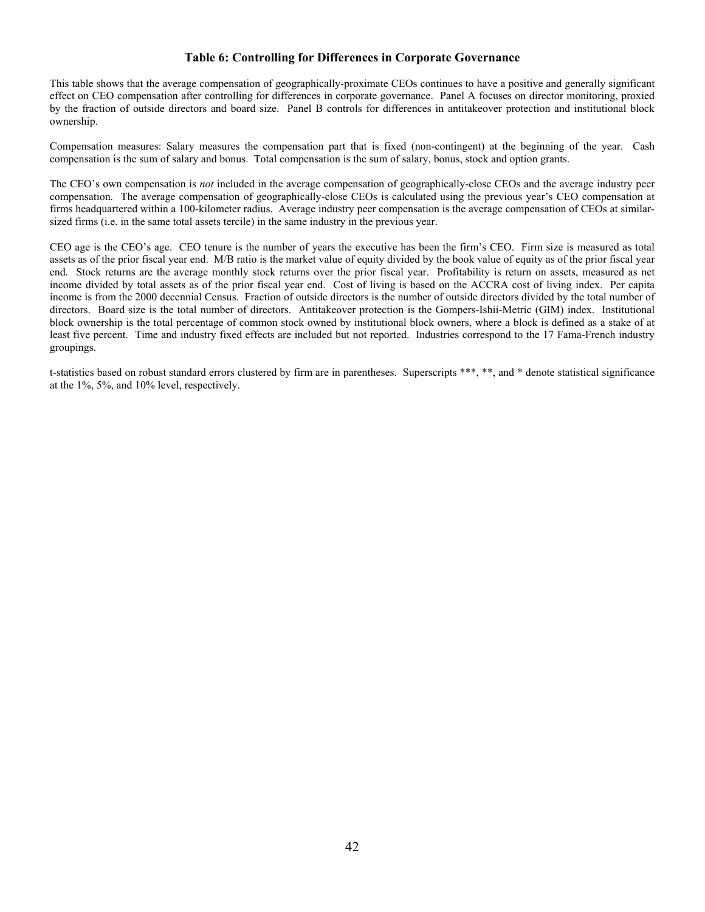## **Table 6: Controlling for Differences in Corporate Governance**

This table shows that the average compensation of geographically-proximate CEOs continues to have a positive and generally significant effect on CEO compensation after controlling for differences in corporate governance. Panel A focuses on director monitoring, proxied by the fraction of outside directors and board size. Panel B controls for differences in antitakeover protection and institutional block ownership.

Compensation measures: Salary measures the compensation part that is fixed (non-contingent) at the beginning of the year. Cash compensation is the sum of salary and bonus. Total compensation is the sum of salary, bonus, stock and option grants.

The CEO's own compensation is *not* included in the average compensation of geographically-close CEOs and the average industry peer compensation. The average compensation of geographically-close CEOs is calculated using the previous year's CEO compensation at firms headquartered within a 100-kilometer radius. Average industry peer compensation is the average compensation of CEOs at similarsized firms (i.e. in the same total assets tercile) in the same industry in the previous year.

CEO age is the CEO's age. CEO tenure is the number of years the executive has been the firm's CEO. Firm size is measured as total assets as of the prior fiscal year end. M/B ratio is the market value of equity divided by the book value of equity as of the prior fiscal year end. Stock returns are the average monthly stock returns over the prior fiscal year. Profitability is return on assets, measured as net income divided by total assets as of the prior fiscal year end. Cost of living is based on the ACCRA cost of living index. Per capita income is from the 2000 decennial Census. Fraction of outside directors is the number of outside directors divided by the total number of directors. Board size is the total number of directors. Antitakeover protection is the Gompers-Ishii-Metric (GIM) index. Institutional block ownership is the total percentage of common stock owned by institutional block owners, where a block is defined as a stake of at least five percent. Time and industry fixed effects are included but not reported. Industries correspond to the 17 Fama-French industry groupings.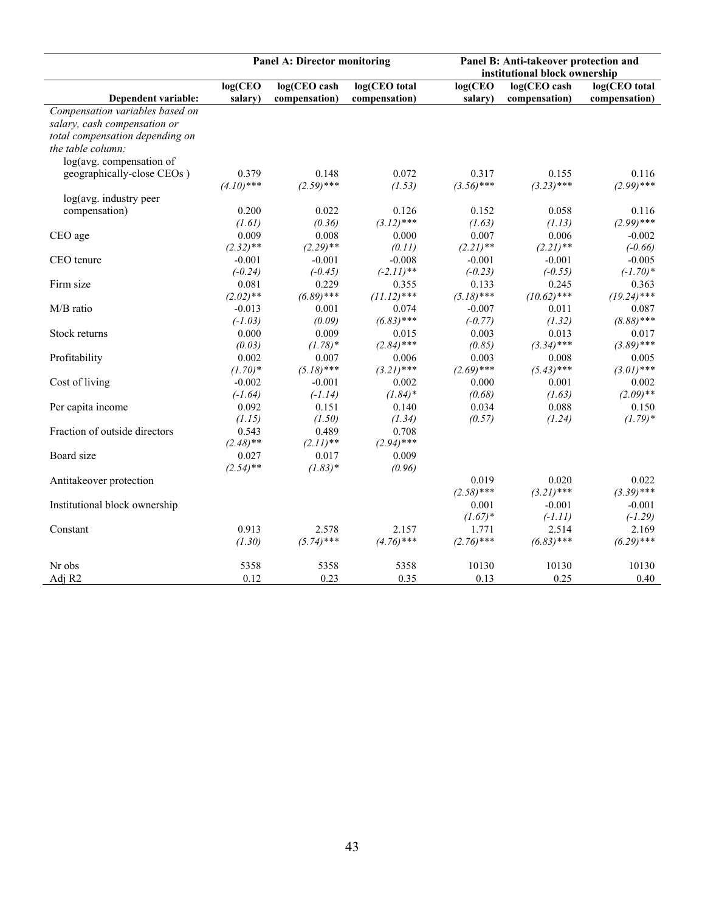|                                 | <b>Panel A: Director monitoring</b> |               | Panel B: Anti-takeover protection and |              |                               |               |
|---------------------------------|-------------------------------------|---------------|---------------------------------------|--------------|-------------------------------|---------------|
|                                 |                                     |               |                                       |              | institutional block ownership |               |
|                                 | log(CEO)                            | log(CEO cash  | log(CEO total                         | log(CEO)     | log(CEO cash                  | log(CEO total |
| Dependent variable:             | salary)                             | compensation) | compensation)                         | salary)      | compensation)                 | compensation) |
| Compensation variables based on |                                     |               |                                       |              |                               |               |
| salary, cash compensation or    |                                     |               |                                       |              |                               |               |
| total compensation depending on |                                     |               |                                       |              |                               |               |
| the table column:               |                                     |               |                                       |              |                               |               |
| log(avg. compensation of        |                                     |               |                                       |              |                               |               |
| geographically-close CEOs)      | 0.379                               | 0.148         | 0.072                                 | 0.317        | 0.155                         | 0.116         |
|                                 | $(4.10)$ ***                        | $(2.59)$ ***  | (1.53)                                | $(3.56)$ *** | $(3.23)$ ***                  | $(2.99)$ ***  |
| log(avg. industry peer          |                                     |               |                                       |              |                               |               |
| compensation)                   | 0.200                               | 0.022         | 0.126                                 | 0.152        | 0.058                         | 0.116         |
|                                 | (1.61)                              | (0.36)        | $(3.12)$ ***                          | (1.63)       | (1.13)                        | $(2.99)$ ***  |
| CEO age                         | 0.009                               | 0.008         | 0.000                                 | 0.007        | 0.006                         | $-0.002$      |
|                                 | $(2.32)$ **                         | $(2.29)$ **   | (0.11)                                | $(2.21)$ **  | $(2.21)$ **                   | $(-0.66)$     |
| CEO tenure                      | $-0.001$                            | $-0.001$      | $-0.008$                              | $-0.001$     | $-0.001$                      | $-0.005$      |
|                                 | $(-0.24)$                           | $(-0.45)$     | $(-2.11)$ **                          | $(-0.23)$    | $(-0.55)$                     | $(-1.70)*$    |
| Firm size                       | 0.081                               | 0.229         | 0.355                                 | 0.133        | 0.245                         | 0.363         |
|                                 | $(2.02)$ **                         | $(6.89)$ ***  | $(11.12)$ ***                         | $(5.18)$ *** | $(10.62)$ ***                 | $(19.24)$ *** |
| M/B ratio                       | $-0.013$                            | 0.001         | 0.074                                 | $-0.007$     | 0.011                         | 0.087         |
|                                 | $(-1.03)$                           | (0.09)        | $(6.83)$ ***                          | $(-0.77)$    | (1.32)                        | $(8.88)$ ***  |
| Stock returns                   | 0.000                               | 0.009         | 0.015                                 | 0.003        | 0.013                         | 0.017         |
|                                 | (0.03)                              | $(1.78)$ *    | $(2.84)$ ***                          | (0.85)       | $(3.34)$ ***                  | $(3.89)$ ***  |
| Profitability                   | 0.002                               | 0.007         | 0.006                                 | 0.003        | 0.008                         | 0.005         |
|                                 | $(1.70)$ *                          | $(5.18)$ ***  | $(3.21)$ ***                          | $(2.69)$ *** | $(5.43)$ ***                  | $(3.01)$ ***  |
| Cost of living                  | $-0.002$                            | $-0.001$      | 0.002                                 | 0.000        | 0.001                         | 0.002         |
|                                 | $(-1.64)$                           | $(-1.14)$     | $(1.84)$ *                            | (0.68)       | (1.63)                        | $(2.09)$ **   |
| Per capita income               | 0.092                               | 0.151         | 0.140                                 | 0.034        | 0.088                         | 0.150         |
|                                 | (1.15)                              | (1.50)        | (1.34)                                | (0.57)       | (1.24)                        | $(1.79)$ *    |
| Fraction of outside directors   | 0.543                               | 0.489         | 0.708                                 |              |                               |               |
|                                 | $(2.48)$ **                         | $(2.11)$ **   | $(2.94)$ ***                          |              |                               |               |
| Board size                      | 0.027                               | 0.017         | 0.009                                 |              |                               |               |
|                                 | $(2.54)$ **                         | $(1.83)$ *    | (0.96)                                |              |                               |               |
| Antitakeover protection         |                                     |               |                                       | 0.019        | 0.020                         | 0.022         |
|                                 |                                     |               |                                       | $(2.58)$ *** | $(3.21)$ ***                  | $(3.39)$ ***  |
| Institutional block ownership   |                                     |               |                                       | 0.001        | $-0.001$                      | $-0.001$      |
|                                 |                                     |               |                                       | $(1.67)^*$   | $(-1.11)$                     | $(-1.29)$     |
| Constant                        | 0.913                               | 2.578         | 2.157                                 | 1.771        | 2.514                         | 2.169         |
|                                 | (1.30)                              | $(5.74)$ ***  | $(4.76)$ ***                          | $(2.76)$ *** | $(6.83)$ ***                  | $(6.29)$ ***  |
|                                 |                                     |               |                                       |              |                               |               |
| Nr obs                          | 5358                                | 5358          | 5358                                  | 10130        | 10130                         | 10130         |
| Adj R2                          | 0.12                                | 0.23          | 0.35                                  | 0.13         | 0.25                          | 0.40          |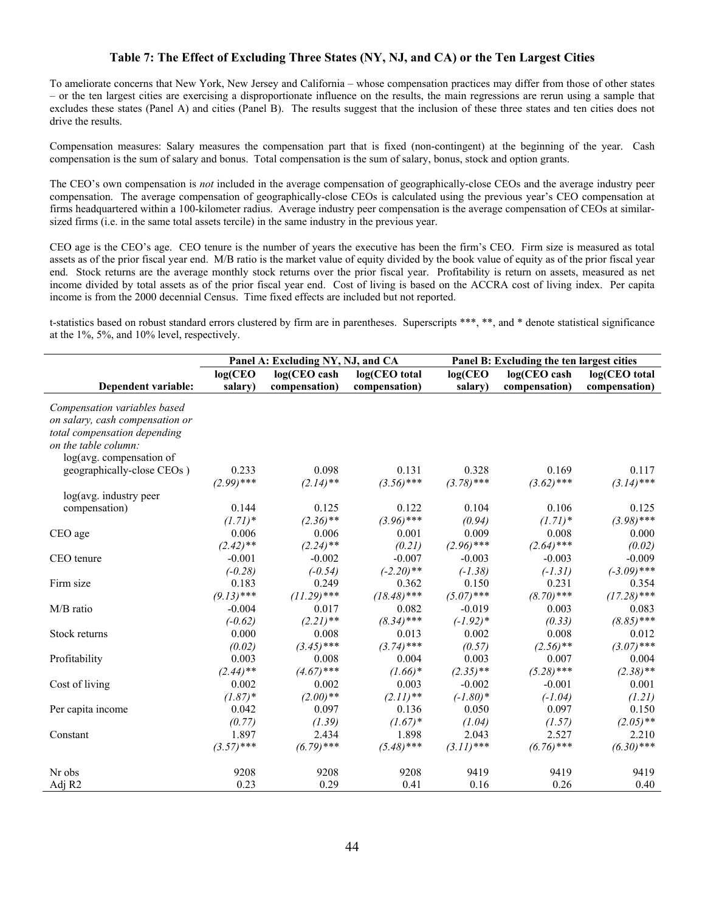## **Table 7: The Effect of Excluding Three States (NY, NJ, and CA) or the Ten Largest Cities**

To ameliorate concerns that New York, New Jersey and California – whose compensation practices may differ from those of other states – or the ten largest cities are exercising a disproportionate influence on the results, the main regressions are rerun using a sample that excludes these states (Panel A) and cities (Panel B). The results suggest that the inclusion of these three states and ten cities does not drive the results.

Compensation measures: Salary measures the compensation part that is fixed (non-contingent) at the beginning of the year. Cash compensation is the sum of salary and bonus. Total compensation is the sum of salary, bonus, stock and option grants.

The CEO's own compensation is *not* included in the average compensation of geographically-close CEOs and the average industry peer compensation. The average compensation of geographically-close CEOs is calculated using the previous year's CEO compensation at firms headquartered within a 100-kilometer radius. Average industry peer compensation is the average compensation of CEOs at similarsized firms (i.e. in the same total assets tercile) in the same industry in the previous year.

CEO age is the CEO's age. CEO tenure is the number of years the executive has been the firm's CEO. Firm size is measured as total assets as of the prior fiscal year end. M/B ratio is the market value of equity divided by the book value of equity as of the prior fiscal year end. Stock returns are the average monthly stock returns over the prior fiscal year. Profitability is return on assets, measured as net income divided by total assets as of the prior fiscal year end. Cost of living is based on the ACCRA cost of living index. Per capita income is from the 2000 decennial Census. Time fixed effects are included but not reported.

|                                                                                                                         | Panel A: Excluding NY, NJ, and CA |               |               | Panel B: Excluding the ten largest cities |               |               |
|-------------------------------------------------------------------------------------------------------------------------|-----------------------------------|---------------|---------------|-------------------------------------------|---------------|---------------|
|                                                                                                                         | log(CEO)                          | log(CEO cash) | log(CEO total | log(CEO)                                  | log(CEO cash) | log(CEO total |
| Dependent variable:                                                                                                     | salary)                           | compensation) | compensation) | salary)                                   | compensation) | compensation) |
| Compensation variables based<br>on salary, cash compensation or<br>total compensation depending<br>on the table column: |                                   |               |               |                                           |               |               |
| $log(avg.$ compensation of                                                                                              |                                   |               |               |                                           |               |               |
| geographically-close CEOs)                                                                                              | 0.233                             | 0.098         | 0.131         | 0.328                                     | 0.169         | 0.117         |
|                                                                                                                         | $(2.99)$ ***                      | $(2.14)$ **   | $(3.56)$ ***  | $(3.78)$ ***                              | $(3.62)$ ***  | $(3.14)$ ***  |
| log(avg. industry peer                                                                                                  |                                   |               |               |                                           |               |               |
| compensation)                                                                                                           | 0.144                             | 0.125         | 0.122         | 0.104                                     | 0.106         | 0.125         |
|                                                                                                                         | $(1.71)^*$                        | $(2.36)$ **   | $(3.96)$ ***  | (0.94)                                    | $(1.71)$ *    | $(3.98)$ ***  |
| CEO age                                                                                                                 | 0.006                             | 0.006         | 0.001         | 0.009                                     | 0.008         | 0.000         |
|                                                                                                                         | $(2.42)$ **                       | $(2.24)$ **   | (0.21)        | $(2.96)$ ***                              | $(2.64)$ ***  | (0.02)        |
| CEO tenure                                                                                                              | $-0.001$                          | $-0.002$      | $-0.007$      | $-0.003$                                  | $-0.003$      | $-0.009$      |
|                                                                                                                         | $(-0.28)$                         | $(-0.54)$     | $(-2.20)$ **  | $(-1.38)$                                 | $(-1.31)$     | $(-3.09)$ *** |
| Firm size                                                                                                               | 0.183                             | 0.249         | 0.362         | 0.150                                     | 0.231         | 0.354         |
|                                                                                                                         | $(9.13)$ ***                      | $(11.29)$ *** | $(18.48)$ *** | $(5.07)$ ***                              | $(8.70)$ ***  | $(17.28)$ *** |
| M/B ratio                                                                                                               | $-0.004$                          | 0.017         | 0.082         | $-0.019$                                  | 0.003         | 0.083         |
|                                                                                                                         | $(-0.62)$                         | $(2.21)$ **   | $(8.34)$ ***  | $(-1.92)$ *                               | (0.33)        | $(8.85)$ ***  |
| Stock returns                                                                                                           | 0.000                             | 0.008         | 0.013         | 0.002                                     | 0.008         | 0.012         |
|                                                                                                                         | (0.02)                            | $(3.45)$ ***  | $(3.74)$ ***  | (0.57)                                    | $(2.56)$ **   | $(3.07)$ ***  |
| Profitability                                                                                                           | 0.003                             | 0.008         | 0.004         | 0.003                                     | 0.007         | 0.004         |
|                                                                                                                         | $(2.44)$ **                       | $(4.67)$ ***  | $(1.66)$ *    | $(2.35)$ **                               | $(5.28)$ ***  | $(2.38)$ **   |
| Cost of living                                                                                                          | 0.002                             | 0.002         | 0.003         | $-0.002$                                  | $-0.001$      | 0.001         |
|                                                                                                                         | $(1.87)$ *                        | $(2.00)$ **   | $(2.11)$ **   | $(-1.80)$ *                               | $(-1.04)$     | (1.21)        |
| Per capita income                                                                                                       | 0.042                             | 0.097         | 0.136         | 0.050                                     | 0.097         | 0.150         |
|                                                                                                                         | (0.77)                            | (1.39)        | $(1.67)^*$    | (1.04)                                    | (1.57)        | $(2.05)$ **   |
| Constant                                                                                                                | 1.897                             | 2.434         | 1.898         | 2.043                                     | 2.527         | 2.210         |
|                                                                                                                         | $(3.57)$ ***                      | $(6.79)$ ***  | $(5.48)$ ***  | $(3.11)$ ***                              | $(6.76)$ ***  | $(6.30)$ ***  |
| Nr obs                                                                                                                  | 9208                              | 9208          | 9208          | 9419                                      | 9419          | 9419          |
| Adj R2                                                                                                                  | 0.23                              | 0.29          | 0.41          | 0.16                                      | 0.26          | 0.40          |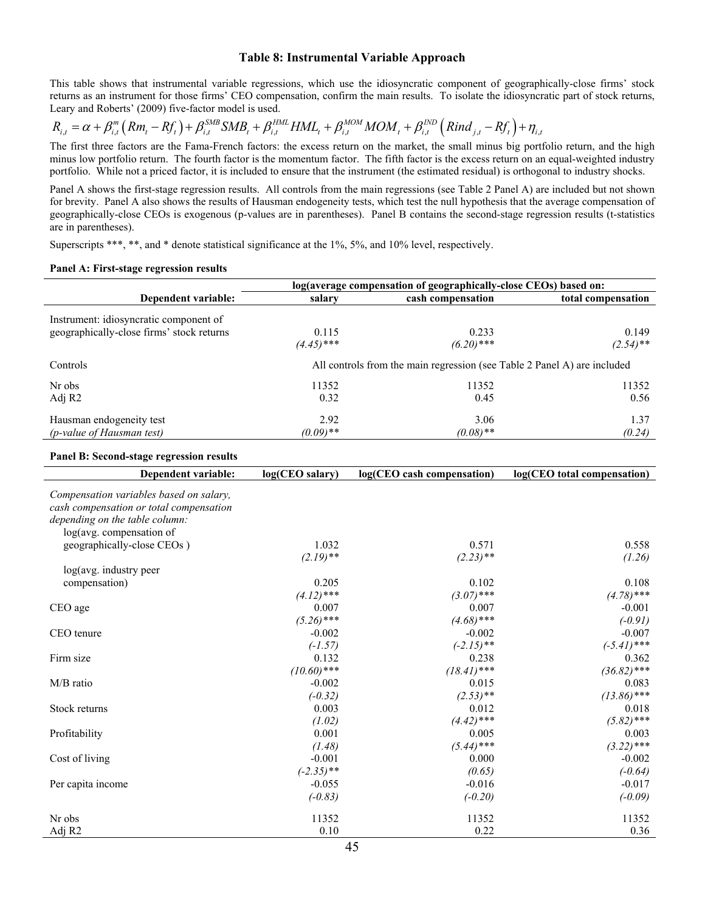#### **Table 8: Instrumental Variable Approach**

This table shows that instrumental variable regressions, which use the idiosyncratic component of geographically-close firms' stock returns as an instrument for those firms' CEO compensation, confirm the main results. To isolate the idiosyncratic part of stock returns, Leary and Roberts' (2009) five-factor model is used.

$$
R_{i,t} = \alpha + \beta_{i,t}^{m} (Rm_{t} - Rf_{t}) + \beta_{i,t}^{SMB} SMB_{t} + \beta_{i,t}^{HML} HML_{t} + \beta_{i,t}^{MOM} MOM_{t} + \beta_{i,t}^{IND} (Rind_{j,t} - Rf_{t}) + \eta_{i,t}
$$

The first three factors are the Fama-French factors: the excess return on the market, the small minus big portfolio return, and the high minus low portfolio return. The fourth factor is the momentum factor. The fifth factor is the excess return on an equal-weighted industry portfolio. While not a priced factor, it is included to ensure that the instrument (the estimated residual) is orthogonal to industry shocks.

Panel A shows the first-stage regression results. All controls from the main regressions (see Table 2 Panel A) are included but not shown for brevity. Panel A also shows the results of Hausman endogeneity tests, which test the null hypothesis that the average compensation of geographically-close CEOs is exogenous (p-values are in parentheses). Panel B contains the second-stage regression results (t-statistics are in parentheses).

Superscripts \*\*\*, \*\*, and \* denote statistical significance at the 1%, 5%, and 10% level, respectively.

#### **Panel A: First-stage regression results**

|                                           | log(average compensation of geographically-close CEOs) based on: |                                                                          |                    |  |  |  |
|-------------------------------------------|------------------------------------------------------------------|--------------------------------------------------------------------------|--------------------|--|--|--|
| Dependent variable:                       | salary                                                           | cash compensation                                                        | total compensation |  |  |  |
| Instrument: idiosyncratic component of    |                                                                  |                                                                          |                    |  |  |  |
| geographically-close firms' stock returns | 0.115                                                            | 0.233                                                                    | 0.149              |  |  |  |
|                                           |                                                                  |                                                                          |                    |  |  |  |
|                                           | $(4.45)$ ***                                                     | $(6.20)$ ***                                                             | $(2.54)$ **        |  |  |  |
| Controls                                  |                                                                  | All controls from the main regression (see Table 2 Panel A) are included |                    |  |  |  |
| Nr obs                                    | 11352                                                            | 11352                                                                    | 11352              |  |  |  |
| Adj R2                                    | 0.32                                                             | 0.45                                                                     | 0.56               |  |  |  |
| Hausman endogeneity test                  | 2.92                                                             | 3.06                                                                     | 1.37               |  |  |  |
| (p-value of Hausman test)                 | $(0.09)$ **                                                      | $(0.08)$ **                                                              | (0.24)             |  |  |  |

#### **Panel B: Second-stage regression results**

| Dependent variable:                     | log(CEO salary) | log(CEO cash compensation) | log(CEO total compensation) |
|-----------------------------------------|-----------------|----------------------------|-----------------------------|
|                                         |                 |                            |                             |
| Compensation variables based on salary, |                 |                            |                             |
| cash compensation or total compensation |                 |                            |                             |
| depending on the table column:          |                 |                            |                             |
| log(avg. compensation of                |                 |                            |                             |
| geographically-close CEOs)              | 1.032           | 0.571                      | 0.558                       |
|                                         | $(2.19)$ **     | $(2.23)$ **                | (1.26)                      |
| $log(avg.$ industry peer                |                 |                            |                             |
| compensation)                           | 0.205           | 0.102                      | 0.108                       |
|                                         | $(4.12)$ ***    | $(3.07)$ ***               | $(4.78)$ ***                |
| CEO age                                 | 0.007           | 0.007                      | $-0.001$                    |
|                                         | $(5.26)$ ***    | $(4.68)$ ***               | $(-0.91)$                   |
| CEO tenure                              | $-0.002$        | $-0.002$                   | $-0.007$                    |
|                                         | $(-1.57)$       | $(-2.15)$ **               | $(-5.41)$ ***               |
| Firm size                               | 0.132           | 0.238                      | 0.362                       |
|                                         | $(10.60)$ ***   | $(18.41)$ ***              | $(36.82)$ ***               |
| M/B ratio                               | $-0.002$        | 0.015                      | 0.083                       |
|                                         | $(-0.32)$       | $(2.53)$ **                | $(13.86)$ ***               |
| Stock returns                           | 0.003           | 0.012                      | 0.018                       |
|                                         | (1.02)          | $(4.42)$ ***               | $(5.82)$ ***                |
| Profitability                           | 0.001           | 0.005                      | 0.003                       |
|                                         | (1.48)          | $(5.44)$ ***               | $(3.22)$ ***                |
|                                         | $-0.001$        | 0.000                      | $-0.002$                    |
| Cost of living                          |                 |                            |                             |
|                                         | $(-2.35)$ **    | (0.65)                     | $(-0.64)$                   |
| Per capita income                       | $-0.055$        | $-0.016$                   | $-0.017$                    |
|                                         | $(-0.83)$       | $(-0.20)$                  | $(-0.09)$                   |
| Nr obs                                  | 11352           | 11352                      | 11352                       |
| Adj R2                                  | 0.10            | 0.22                       | 0.36                        |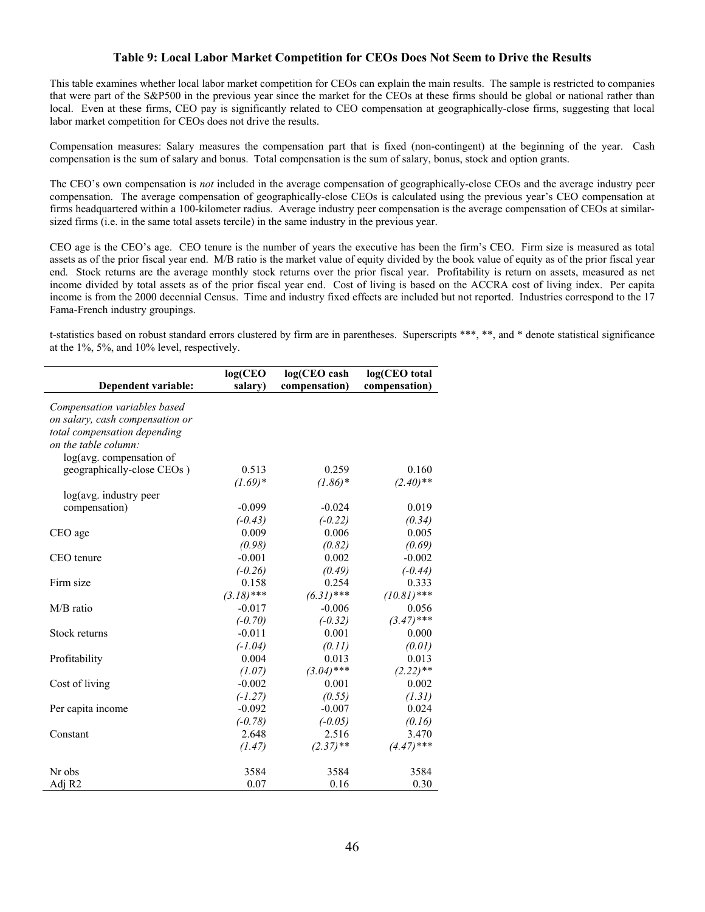## **Table 9: Local Labor Market Competition for CEOs Does Not Seem to Drive the Results**

This table examines whether local labor market competition for CEOs can explain the main results. The sample is restricted to companies that were part of the S&P500 in the previous year since the market for the CEOs at these firms should be global or national rather than local. Even at these firms, CEO pay is significantly related to CEO compensation at geographically-close firms, suggesting that local labor market competition for CEOs does not drive the results.

Compensation measures: Salary measures the compensation part that is fixed (non-contingent) at the beginning of the year. Cash compensation is the sum of salary and bonus. Total compensation is the sum of salary, bonus, stock and option grants.

The CEO's own compensation is *not* included in the average compensation of geographically-close CEOs and the average industry peer compensation. The average compensation of geographically-close CEOs is calculated using the previous year's CEO compensation at firms headquartered within a 100-kilometer radius. Average industry peer compensation is the average compensation of CEOs at similarsized firms (i.e. in the same total assets tercile) in the same industry in the previous year.

CEO age is the CEO's age. CEO tenure is the number of years the executive has been the firm's CEO. Firm size is measured as total assets as of the prior fiscal year end. M/B ratio is the market value of equity divided by the book value of equity as of the prior fiscal year end. Stock returns are the average monthly stock returns over the prior fiscal year. Profitability is return on assets, measured as net income divided by total assets as of the prior fiscal year end. Cost of living is based on the ACCRA cost of living index. Per capita income is from the 2000 decennial Census. Time and industry fixed effects are included but not reported. Industries correspond to the 17 Fama-French industry groupings.

|                                 | log(CEO)     | log(CEO cash) | log(CEO total |
|---------------------------------|--------------|---------------|---------------|
| Dependent variable:             | salary)      | compensation) | compensation) |
| Compensation variables based    |              |               |               |
| on salary, cash compensation or |              |               |               |
| total compensation depending    |              |               |               |
| on the table column:            |              |               |               |
| log(avg. compensation of        |              |               |               |
| geographically-close CEOs)      | 0.513        | 0.259         | 0.160         |
|                                 | $(1.69)^*$   | $(1.86)^*$    | $(2.40)$ **   |
| log(avg. industry peer          |              |               |               |
| compensation)                   | $-0.099$     | $-0.024$      | 0.019         |
|                                 | $(-0.43)$    | $(-0.22)$     | (0.34)        |
| CEO age                         | 0.009        | 0.006         | 0.005         |
|                                 | (0.98)       | (0.82)        | (0.69)        |
| CEO tenure                      | $-0.001$     | 0.002         | $-0.002$      |
|                                 | $(-0.26)$    | (0.49)        | $(-0.44)$     |
| Firm size                       | 0.158        | 0.254         | 0.333         |
|                                 | $(3.18)$ *** | $(6.31)$ ***  | $(10.81)$ *** |
| M/B ratio                       | $-0.017$     | $-0.006$      | 0.056         |
|                                 | $(-0.70)$    | $(-0.32)$     | $(3.47)$ ***  |
| Stock returns                   | $-0.011$     | 0.001         | 0.000         |
|                                 | $(-1.04)$    | (0.11)        | (0.01)        |
| Profitability                   | 0.004        | 0.013         | 0.013         |
|                                 | (1.07)       | $(3.04)$ ***  | $(2.22)$ **   |
| Cost of living                  | $-0.002$     | 0.001         | 0.002         |
|                                 | $(-1.27)$    | (0.55)        | (1.31)        |
| Per capita income               | $-0.092$     | $-0.007$      | 0.024         |
|                                 | $(-0.78)$    | $(-0.05)$     | (0.16)        |
| Constant                        | 2.648        | 2.516         | 3.470         |
|                                 | (1.47)       | $(2.37)$ **   | $(4.47)$ ***  |
|                                 |              |               |               |
| Nr obs                          | 3584         | 3584          | 3584          |
| Adj R2                          | 0.07         | 0.16          | 0.30          |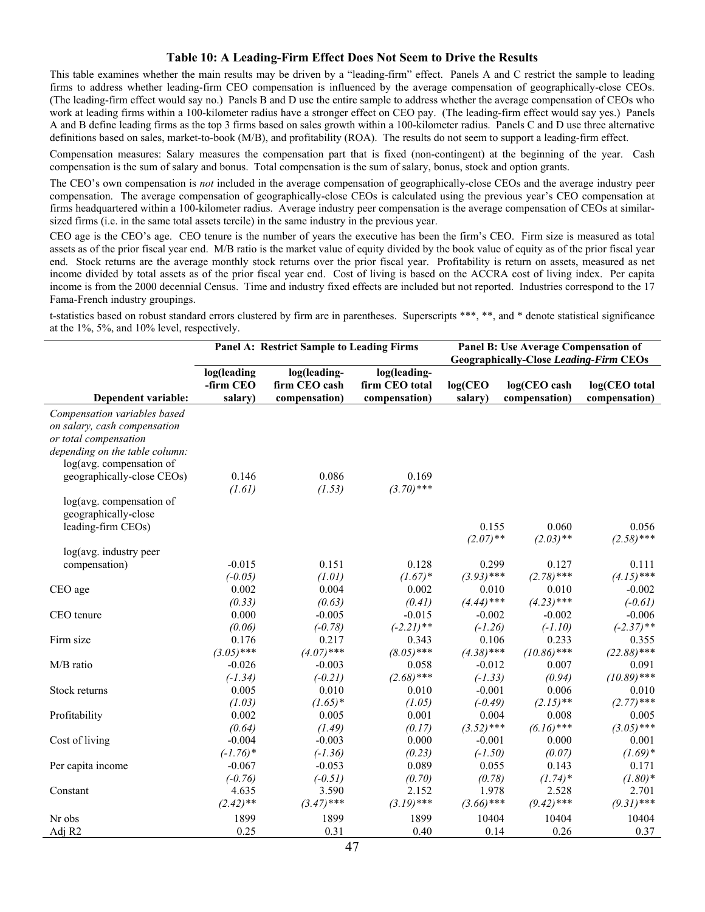## **Table 10: A Leading-Firm Effect Does Not Seem to Drive the Results**

This table examines whether the main results may be driven by a "leading-firm" effect. Panels A and C restrict the sample to leading firms to address whether leading-firm CEO compensation is influenced by the average compensation of geographically-close CEOs. (The leading-firm effect would say no.) Panels B and D use the entire sample to address whether the average compensation of CEOs who work at leading firms within a 100-kilometer radius have a stronger effect on CEO pay. (The leading-firm effect would say yes.) Panels A and B define leading firms as the top 3 firms based on sales growth within a 100-kilometer radius. Panels C and D use three alternative definitions based on sales, market-to-book (M/B), and profitability (ROA). The results do not seem to support a leading-firm effect.

Compensation measures: Salary measures the compensation part that is fixed (non-contingent) at the beginning of the year. Cash compensation is the sum of salary and bonus. Total compensation is the sum of salary, bonus, stock and option grants.

The CEO's own compensation is *not* included in the average compensation of geographically-close CEOs and the average industry peer compensation. The average compensation of geographically-close CEOs is calculated using the previous year's CEO compensation at firms headquartered within a 100-kilometer radius. Average industry peer compensation is the average compensation of CEOs at similarsized firms (i.e. in the same total assets tercile) in the same industry in the previous year.

CEO age is the CEO's age. CEO tenure is the number of years the executive has been the firm's CEO. Firm size is measured as total assets as of the prior fiscal year end. M/B ratio is the market value of equity divided by the book value of equity as of the prior fiscal year end. Stock returns are the average monthly stock returns over the prior fiscal year. Profitability is return on assets, measured as net income divided by total assets as of the prior fiscal year end. Cost of living is based on the ACCRA cost of living index. Per capita income is from the 2000 decennial Census. Time and industry fixed effects are included but not reported. Industries correspond to the 17 Fama-French industry groupings.

|                                                                                                                                                     |                                     | <b>Panel A: Restrict Sample to Leading Firms</b> |                                                 | Panel B: Use Average Compensation of<br><b>Geographically-Close Leading-Firm CEOs</b> |                               |                                |  |  |
|-----------------------------------------------------------------------------------------------------------------------------------------------------|-------------------------------------|--------------------------------------------------|-------------------------------------------------|---------------------------------------------------------------------------------------|-------------------------------|--------------------------------|--|--|
| Dependent variable:                                                                                                                                 | log(leading<br>-firm CEO<br>salary) | log(leading-<br>firm CEO cash<br>compensation)   | log(leading-<br>firm CEO total<br>compensation) | log(CEO)<br>salary)                                                                   | log(CEO cash<br>compensation) | log(CEO total<br>compensation) |  |  |
| Compensation variables based<br>on salary, cash compensation<br>or total compensation<br>depending on the table column:<br>log(avg. compensation of |                                     |                                                  |                                                 |                                                                                       |                               |                                |  |  |
| geographically-close CEOs)                                                                                                                          | 0.146<br>(1.61)                     | 0.086<br>(1.53)                                  | 0.169<br>$(3.70)$ ***                           |                                                                                       |                               |                                |  |  |
| $log(avg.$ compensation of<br>geographically-close<br>leading-firm CEOs)<br>log(avg. industry peer                                                  |                                     |                                                  |                                                 | 0.155<br>$(2.07)$ **                                                                  | 0.060<br>$(2.03)$ **          | 0.056<br>$(2.58)$ ***          |  |  |
| compensation)                                                                                                                                       | $-0.015$                            | 0.151                                            | 0.128                                           | 0.299                                                                                 | 0.127                         | 0.111                          |  |  |
|                                                                                                                                                     | $(-0.05)$                           | (1.01)                                           | $(1.67)^*$                                      | $(3.93)$ ***                                                                          | $(2.78)$ ***                  | $(4.15)$ ***                   |  |  |
| CEO age                                                                                                                                             | 0.002                               | 0.004                                            | 0.002                                           | 0.010                                                                                 | 0.010                         | $-0.002$                       |  |  |
|                                                                                                                                                     | (0.33)                              | (0.63)                                           | (0.41)                                          | $(4.44)$ ***                                                                          | $(4.23)$ ***                  | $(-0.61)$                      |  |  |
| CEO tenure                                                                                                                                          | 0.000                               | $-0.005$                                         | $-0.015$                                        | $-0.002$                                                                              | $-0.002$                      | $-0.006$                       |  |  |
| Firm size                                                                                                                                           | (0.06)<br>0.176                     | $(-0.78)$<br>0.217                               | $(-2.21)$ **<br>0.343                           | $(-1.26)$<br>0.106                                                                    | $(-1.10)$<br>0.233            | $(-2.37)$ **                   |  |  |
|                                                                                                                                                     | $(3.05)$ ***                        | $(4.07)$ ***                                     | $(8.05)$ ***                                    | $(4.38)$ ***                                                                          | $(10.86)$ ***                 | 0.355<br>$(22.88)$ ***         |  |  |
| M/B ratio                                                                                                                                           | $-0.026$                            | $-0.003$                                         | 0.058                                           | $-0.012$                                                                              | 0.007                         | 0.091                          |  |  |
|                                                                                                                                                     | $(-1.34)$                           | $(-0.21)$                                        | $(2.68)$ ***                                    | $(-1.33)$                                                                             | (0.94)                        | $(10.89)$ ***                  |  |  |
| Stock returns                                                                                                                                       | 0.005                               | 0.010                                            | 0.010                                           | $-0.001$                                                                              | 0.006                         | 0.010                          |  |  |
|                                                                                                                                                     | (1.03)                              | $(1.65)^*$                                       | (1.05)                                          | $(-0.49)$                                                                             | $(2.15)$ **                   | $(2.77)$ ***                   |  |  |
| Profitability                                                                                                                                       | 0.002                               | 0.005                                            | 0.001                                           | 0.004                                                                                 | 0.008                         | 0.005                          |  |  |
|                                                                                                                                                     | (0.64)                              | (1.49)                                           | (0.17)                                          | $(3.52)$ ***                                                                          | $(6.16)$ ***                  | $(3.05)$ ***                   |  |  |
| Cost of living                                                                                                                                      | $-0.004$                            | $-0.003$                                         | 0.000                                           | $-0.001$                                                                              | 0.000                         | 0.001                          |  |  |
|                                                                                                                                                     | $(-1.76)$ *                         | $(-1.36)$                                        | (0.23)                                          | $(-1.50)$                                                                             | (0.07)                        | $(1.69)^*$                     |  |  |
| Per capita income                                                                                                                                   | $-0.067$                            | $-0.053$                                         | 0.089                                           | 0.055                                                                                 | 0.143                         | 0.171                          |  |  |
|                                                                                                                                                     | $(-0.76)$                           | $(-0.51)$                                        | (0.70)                                          | (0.78)                                                                                | $(1.74)^*$                    | $(1.80)$ *                     |  |  |
| Constant                                                                                                                                            | 4.635                               | 3.590                                            | 2.152                                           | 1.978                                                                                 | 2.528                         | 2.701                          |  |  |
|                                                                                                                                                     | $(2.42)$ **                         | $(3.47)$ ***                                     | $(3.19)$ ***                                    | $(3.66)$ ***                                                                          | $(9.42)$ ***                  | $(9.31)$ ***                   |  |  |
| Nr obs                                                                                                                                              | 1899                                | 1899                                             | 1899                                            | 10404                                                                                 | 10404                         | 10404                          |  |  |
| Adj R2                                                                                                                                              | 0.25                                | 0.31                                             | 0.40                                            | 0.14                                                                                  | 0.26                          | 0.37                           |  |  |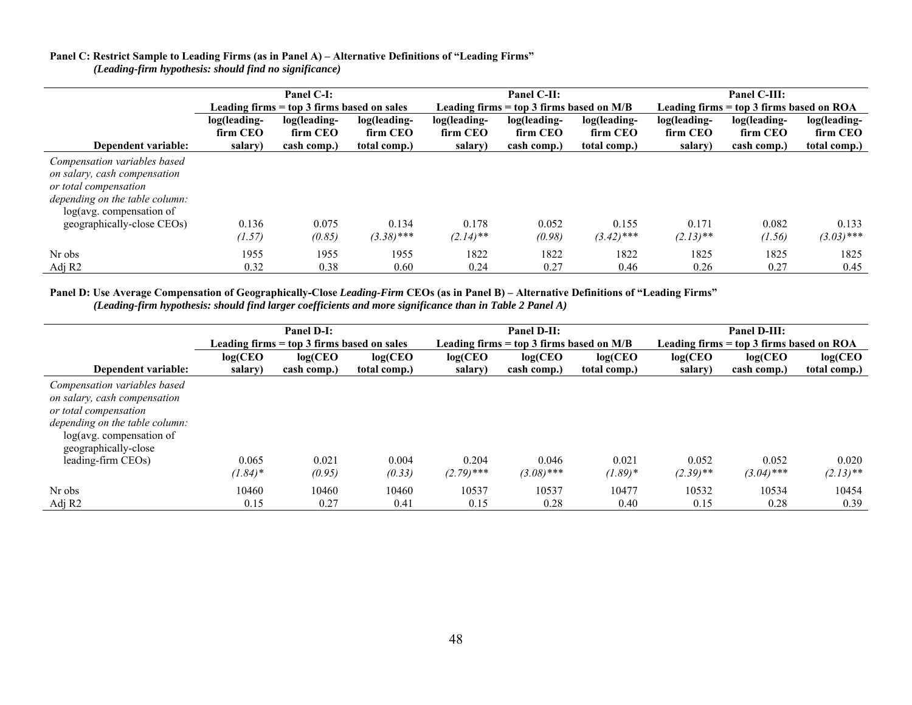## **Panel C: Restrict Sample to Leading Firms (as in Panel A) – Alternative Definitions of "Leading Firms"**

 *(Leading-firm hypothesis: should find no significance)* 

|                                                                                                                                                                                   | Panel C-I:<br>Leading firms = top 3 firms based on sales |                 |                       |                      | Panel C-II:<br>Leading firms $=$ top 3 firms based on $M/B$ |                       | Panel C-III:<br>Leading firms = top 3 firms based on ROA |                 |                       |
|-----------------------------------------------------------------------------------------------------------------------------------------------------------------------------------|----------------------------------------------------------|-----------------|-----------------------|----------------------|-------------------------------------------------------------|-----------------------|----------------------------------------------------------|-----------------|-----------------------|
| Dependent variable:                                                                                                                                                               | log(leading-                                             | log(leading-    | log(leading-          | log(leading-         | log(leading-                                                | log(leading-          | log(leading-                                             | log(leading-    | log(leading-          |
|                                                                                                                                                                                   | firm CEO                                                 | firm CEO        | firm CEO              | firm CEO             | firm CEO                                                    | firm CEO              | firm CEO                                                 | firm CEO        | firm CEO              |
|                                                                                                                                                                                   | salary)                                                  | cash comp.)     | total comp.)          | salary)              | cash comp.)                                                 | total comp.)          | salary)                                                  | cash comp.)     | total comp.)          |
| Compensation variables based<br>on salary, cash compensation<br>or total compensation<br>depending on the table column:<br>log(avg. compensation of<br>geographically-close CEOs) | 0.136<br>(1.57)                                          | 0.075<br>(0.85) | 0.134<br>$(3.38)$ *** | 0.178<br>$(2.14)$ ** | 0.052<br>(0.98)                                             | 0.155<br>$(3.42)$ *** | 0.171<br>$(2.13)$ **                                     | 0.082<br>(1.56) | 0.133<br>$(3.03)$ *** |
| Nr obs                                                                                                                                                                            | 1955                                                     | 1955            | 1955                  | 1822                 | 1822                                                        | 1822                  | 1825                                                     | 1825            | 1825                  |
| Adj R <sub>2</sub>                                                                                                                                                                | 0.32                                                     | 0.38            | 0.60                  | 0.24                 | 0.27                                                        | 0.46                  | 0.26                                                     | 0.27            | 0.45                  |

#### **Panel D: Use Average Compensation of Geographically-Close** *Leading-Firm* **CEOs (as in Panel B) – Alternative Definitions of "Leading Firms"**   *(Leading-firm hypothesis: should find larger coefficients and more significance than in Table 2 Panel A)*

|                                                                                                                                                                                                     | Panel D-I:                                 |                 |                 | Panel D-II:                                |                       |                     | Panel D-III:                                 |                       |                      |
|-----------------------------------------------------------------------------------------------------------------------------------------------------------------------------------------------------|--------------------------------------------|-----------------|-----------------|--------------------------------------------|-----------------------|---------------------|----------------------------------------------|-----------------------|----------------------|
|                                                                                                                                                                                                     | Leading firms = top 3 firms based on sales |                 |                 | Leading firms $=$ top 3 firms based on M/B |                       |                     | Leading firms $=$ top 3 firms based on $ROA$ |                       |                      |
| Dependent variable:                                                                                                                                                                                 | log(CEO)                                   | log(CEO)        | log(CEO)        | log(CEO)                                   | log(CEO)              | log(CEO)            | log(CEO)                                     | log(CEO)              | log(CEO)             |
|                                                                                                                                                                                                     | salary)                                    | cash comp.)     | total comp.)    | salary)                                    | cash comp.)           | total comp.)        | salary)                                      | cash comp.)           | total comp.)         |
| Compensation variables based<br>on salary, cash compensation<br>or total compensation<br>depending on the table column:<br>$log(avg.$ compensation of<br>geographically-close<br>leading-firm CEOs) | 0.065<br>$(1.84)$ *                        | 0.021<br>(0.95) | 0.004<br>(0.33) | 0.204<br>$(2.79)$ ***                      | 0.046<br>$(3.08)$ *** | 0.021<br>$(1.89)^*$ | 0.052<br>$(2.39)$ **                         | 0.052<br>$(3.04)$ *** | 0.020<br>$(2.13)$ ** |
| Nr obs                                                                                                                                                                                              | 10460                                      | 10460           | 10460           | 10537                                      | 10537                 | 10477               | 10532                                        | 10534                 | 10454                |
| Adj R <sub>2</sub>                                                                                                                                                                                  | 0.15                                       | 0.27            | 0.41            | 0.15                                       | 0.28                  | 0.40                | 0.15                                         | 0.28                  | 0.39                 |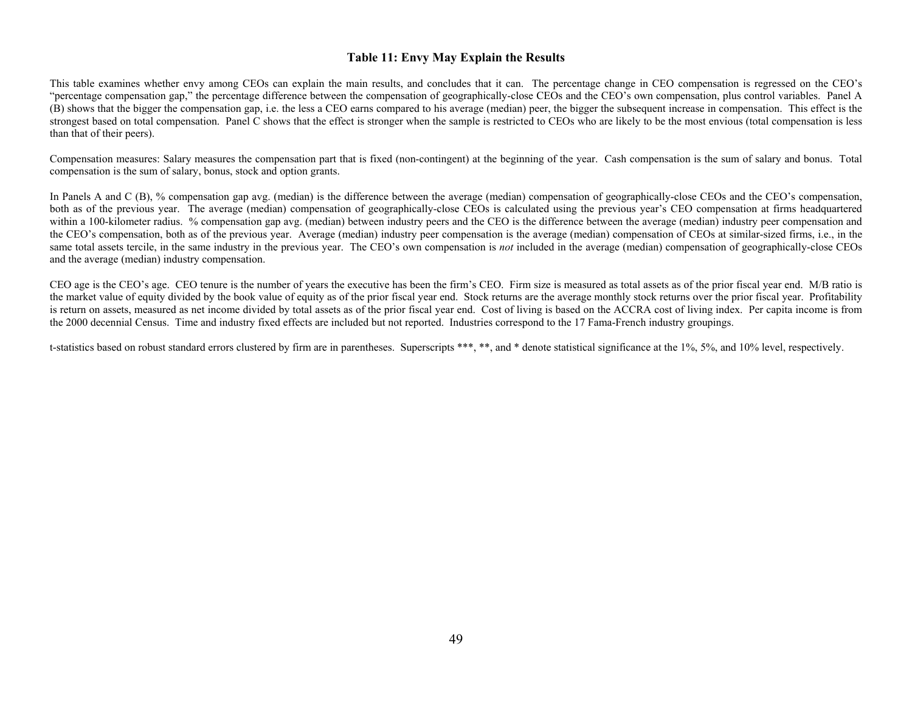# **Table 11: Envy May Explain the Results**

This table examines whether envy among CEOs can explain the main results, and concludes that it can. The percentage change in CEO compensation is regressed on the CEO's "percentage compensation gap," the percentage difference between the compensation of geographically-close CEOs and the CEO's own compensation, plus control variables. Panel A (B) shows that the bigger the compensation gap, i.e. the less a CEO earns compared to his average (median) peer, the bigger the subsequent increase in compensation. This effect is the strongest based on total compensation. Panel C shows that the effect is stronger when the sample is restricted to CEOs who are likely to be the most envious (total compensation is less than that of their peers).

Compensation measures: Salary measures the compensation part that is fixed (non-contingent) at the beginning of the year. Cash compensation is the sum of salary and bonus. Total compensation is the sum of salary, bonus, stock and option grants.

In Panels A and C (B), % compensation gap avg. (median) is the difference between the average (median) compensation of geographically-close CEOs and the CEO's compensation, both as of the previous year. The average (median) compensation of geographically-close CEOs is calculated using the previous year's CEO compensation at firms headquartered within a 100-kilometer radius. % compensation gap avg. (median) between industry peers and the CEO is the difference between the average (median) industry peer compensation and the CEO's compensation, both as of the previous year. Average (median) industry peer compensation is the average (median) compensation of CEOs at similar-sized firms, i.e., in the same total assets tercile, in the same industry in the previous year. The CEO's own compensation is *not* included in the average (median) compensation of geographically-close CEOs and the average (median) industry compensation.

CEO age is the CEO's age. CEO tenure is the number of years the executive has been the firm's CEO. Firm size is measured as total assets as of the prior fiscal year end. M/B ratio is the market value of equity divided by the book value of equity as of the prior fiscal year end. Stock returns are the average monthly stock returns over the prior fiscal year. Profitability is return on assets, measured as net income divided by total assets as of the prior fiscal year end. Cost of living is based on the ACCRA cost of living index. Per capita income is from the 2000 decennial Census. Time and industry fixed effects are included but not reported. Industries correspond to the 17 Fama-French industry groupings.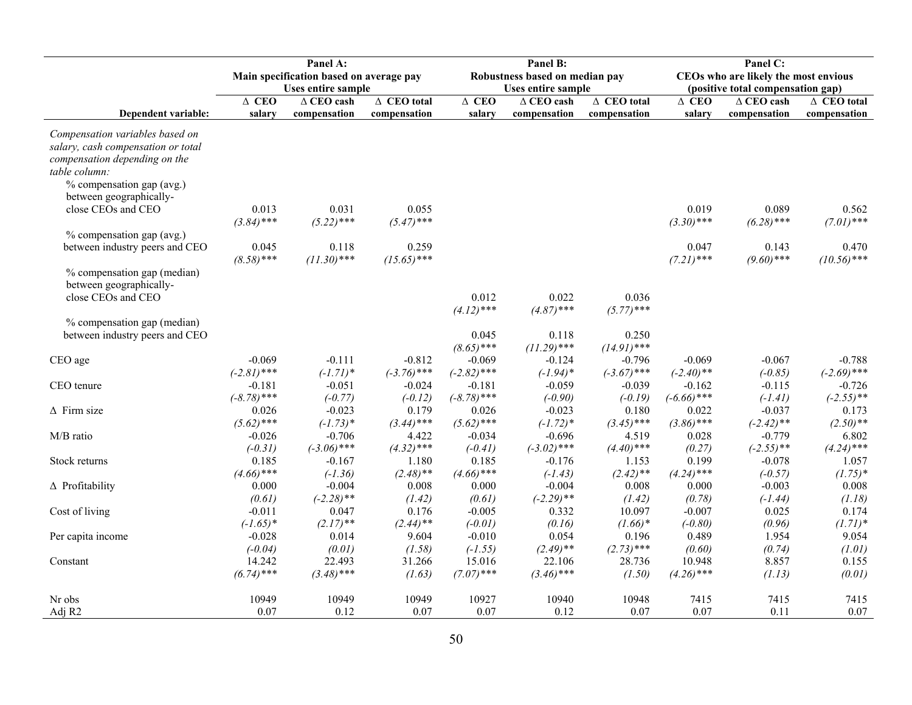|                                                                                                                                                                                 | Panel A:<br>Main specification based on average pay<br>Uses entire sample |                        |                        |                          | Panel B:<br>Robustness based on median pay<br>Uses entire sample |                           | Panel C:<br>CEOs who are likely the most envious<br>(positive total compensation gap) |                       |                        |
|---------------------------------------------------------------------------------------------------------------------------------------------------------------------------------|---------------------------------------------------------------------------|------------------------|------------------------|--------------------------|------------------------------------------------------------------|---------------------------|---------------------------------------------------------------------------------------|-----------------------|------------------------|
| Dependent variable:                                                                                                                                                             | $\Delta$ CEO                                                              | $\triangle$ CEO cash   | $\triangle$ CEO total  | $\Delta$ CEO             | $\triangle$ CEO cash                                             | $\triangle$ CEO total     | $\Delta$ CEO                                                                          | $\triangle$ CEO cash  | $\triangle$ CEO total  |
|                                                                                                                                                                                 | salary                                                                    | compensation           | compensation           | salary                   | compensation                                                     | compensation              | salary                                                                                | compensation          | compensation           |
| Compensation variables based on<br>salary, cash compensation or total<br>compensation depending on the<br>table column:<br>% compensation gap (avg.)<br>between geographically- |                                                                           |                        |                        |                          |                                                                  |                           |                                                                                       |                       |                        |
| close CEOs and CEO                                                                                                                                                              | 0.013<br>$(3.84)$ ***                                                     | 0.031<br>$(5.22)$ ***  | 0.055<br>$(5.47)$ ***  |                          |                                                                  |                           | 0.019<br>$(3.30)$ ***                                                                 | 0.089<br>$(6.28)$ *** | 0.562<br>$(7.01)$ ***  |
| % compensation gap (avg.)<br>between industry peers and CEO                                                                                                                     | 0.045<br>$(8.58)$ ***                                                     | 0.118<br>$(11.30)$ *** | 0.259<br>$(15.65)$ *** |                          |                                                                  |                           | 0.047<br>$(7.21)$ ***                                                                 | 0.143<br>$(9.60)$ *** | 0.470<br>$(10.56)$ *** |
| % compensation gap (median)<br>between geographically-<br>close CEOs and CEO                                                                                                    |                                                                           |                        |                        | 0.012                    | 0.022                                                            | 0.036                     |                                                                                       |                       |                        |
| % compensation gap (median)<br>between industry peers and CEO                                                                                                                   |                                                                           |                        |                        | $(4.12)$ ***<br>0.045    | $(4.87)$ ***<br>0.118                                            | $(5.77)$ ***<br>0.250     |                                                                                       |                       |                        |
| CEO age                                                                                                                                                                         | $-0.069$                                                                  | $-0.111$               | $-0.812$               | $(8.65)$ ***<br>$-0.069$ | $(11.29)$ ***<br>$-0.124$                                        | $(14.91)$ ***<br>$-0.796$ | $-0.069$                                                                              | $-0.067$              | $-0.788$               |
| CEO tenure                                                                                                                                                                      | $(-2.81)$ ***                                                             | $(-1.71)$ *            | $(-3.76)$ ***          | $(-2.82)$ ***            | $(-1.94)$ *                                                      | $(-3.67)$ ***             | $(-2.40)$ **                                                                          | $(-0.85)$             | $(-2.69)$ ***          |
|                                                                                                                                                                                 | $-0.181$                                                                  | $-0.051$               | $-0.024$               | $-0.181$                 | $-0.059$                                                         | $-0.039$                  | $-0.162$                                                                              | $-0.115$              | $-0.726$               |
|                                                                                                                                                                                 | $(-8.78)$ ***                                                             | $(-0.77)$              | $(-0.12)$              | $(-8.78)$ ***            | $(-0.90)$                                                        | $(-0.19)$                 | $(-6.66)$ ***                                                                         | $(-1.41)$             | $(-2.55)$ **           |
| $\Delta$ Firm size                                                                                                                                                              | 0.026                                                                     | $-0.023$               | 0.179                  | 0.026                    | $-0.023$                                                         | 0.180                     | 0.022                                                                                 | $-0.037$              | 0.173                  |
|                                                                                                                                                                                 | $(5.62)$ ***                                                              | $(-1.73)$ *            | $(3.44)$ ***           | $(5.62)$ ***             | $(-1.72)$ *                                                      | $(3.45)$ ***              | $(3.86)$ ***                                                                          | $(-2.42)$ **          | $(2.50)$ **            |
| M/B ratio                                                                                                                                                                       | $-0.026$                                                                  | $-0.706$               | 4.422                  | $-0.034$                 | $-0.696$                                                         | 4.519                     | 0.028                                                                                 | $-0.779$              | 6.802                  |
|                                                                                                                                                                                 | $(-0.31)$                                                                 | $(-3.06)$ ***          | $(4.32)$ ***           | $(-0.41)$                | $(-3.02)$ ***                                                    | $(4.40)$ ***              | (0.27)                                                                                | $(-2.55)$ **          | $(4.24)$ ***           |
| Stock returns                                                                                                                                                                   | 0.185                                                                     | $-0.167$               | 1.180                  | 0.185                    | $-0.176$                                                         | 1.153                     | 0.199                                                                                 | $-0.078$              | 1.057                  |
|                                                                                                                                                                                 | $(4.66)$ ***                                                              | $(-1.36)$              | $(2.48)$ **            | $(4.66)$ ***             | $(-1.43)$                                                        | $(2.42)$ **               | $(4.24)$ ***                                                                          | $(-0.57)$             | $(1.75)^*$             |
| $\Delta$ Profitability                                                                                                                                                          | 0.000                                                                     | $-0.004$               | 0.008                  | 0.000                    | $-0.004$                                                         | 0.008                     | 0.000                                                                                 | $-0.003$              | 0.008                  |
|                                                                                                                                                                                 | (0.61)                                                                    | $(-2.28)$ **           | (1.42)                 | (0.61)                   | $(-2.29)$ **                                                     | (1.42)                    | (0.78)                                                                                | $(-1.44)$             | (1.18)                 |
| Cost of living                                                                                                                                                                  | $-0.011$                                                                  | 0.047                  | 0.176                  | $-0.005$                 | 0.332                                                            | 10.097                    | $-0.007$                                                                              | 0.025                 | 0.174                  |
|                                                                                                                                                                                 | $(-1.65)$ *                                                               | $(2.17)$ **            | $(2.44)$ **            | $(-0.01)$                | (0.16)                                                           | $(1.66)^*$                | $(-0.80)$                                                                             | (0.96)                | $(1.71)$ *             |
| Per capita income                                                                                                                                                               | $-0.028$                                                                  | 0.014                  | 9.604                  | $-0.010$                 | 0.054                                                            | 0.196                     | 0.489                                                                                 | 1.954                 | 9.054                  |
|                                                                                                                                                                                 | $(-0.04)$                                                                 | (0.01)                 | (1.58)                 | $(-1.55)$                | $(2.49)$ **                                                      | $(2.73)$ ***              | (0.60)                                                                                | (0.74)                | (1.01)                 |
| Constant                                                                                                                                                                        | 14.242                                                                    | 22.493                 | 31.266                 | 15.016                   | 22.106                                                           | 28.736                    | 10.948                                                                                | 8.857                 | 0.155                  |
|                                                                                                                                                                                 | $(6.74)$ ***                                                              | $(3.48)$ ***           | (1.63)                 | $(7.07)$ ***             | $(3.46)$ ***                                                     | (1.50)                    | $(4.26)$ ***                                                                          | (1.13)                | (0.01)                 |
| Nr obs                                                                                                                                                                          | 10949                                                                     | 10949                  | 10949                  | 10927                    | 10940                                                            | 10948                     | 7415                                                                                  | 7415                  | 7415                   |
| Adj R <sub>2</sub>                                                                                                                                                              | 0.07                                                                      | 0.12                   | 0.07                   | 0.07                     | 0.12                                                             | 0.07                      | 0.07                                                                                  | 0.11                  | 0.07                   |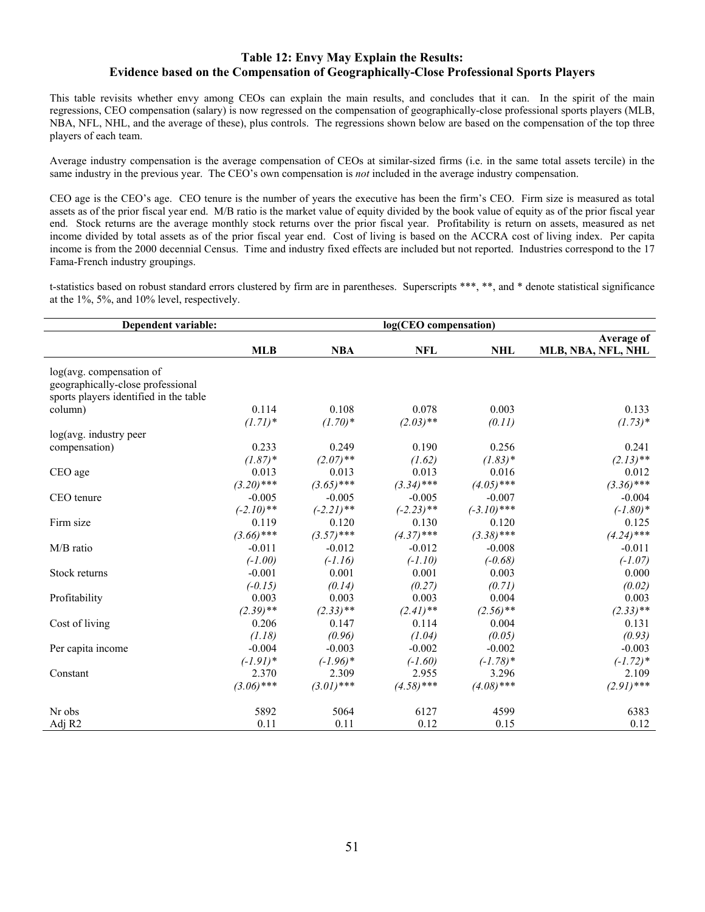## **Table 12: Envy May Explain the Results: Evidence based on the Compensation of Geographically-Close Professional Sports Players**

This table revisits whether envy among CEOs can explain the main results, and concludes that it can. In the spirit of the main regressions, CEO compensation (salary) is now regressed on the compensation of geographically-close professional sports players (MLB, NBA, NFL, NHL, and the average of these), plus controls. The regressions shown below are based on the compensation of the top three players of each team.

Average industry compensation is the average compensation of CEOs at similar-sized firms (i.e. in the same total assets tercile) in the same industry in the previous year. The CEO's own compensation is *not* included in the average industry compensation.

CEO age is the CEO's age. CEO tenure is the number of years the executive has been the firm's CEO. Firm size is measured as total assets as of the prior fiscal year end. M/B ratio is the market value of equity divided by the book value of equity as of the prior fiscal year end. Stock returns are the average monthly stock returns over the prior fiscal year. Profitability is return on assets, measured as net income divided by total assets as of the prior fiscal year end. Cost of living is based on the ACCRA cost of living index. Per capita income is from the 2000 decennial Census. Time and industry fixed effects are included but not reported. Industries correspond to the 17 Fama-French industry groupings.

| Dependent variable:                    |              |              |              |               |                    |
|----------------------------------------|--------------|--------------|--------------|---------------|--------------------|
|                                        |              |              |              |               | Average of         |
|                                        | <b>MLB</b>   | <b>NBA</b>   | <b>NFL</b>   | NHL           | MLB, NBA, NFL, NHL |
| log(avg. compensation of               |              |              |              |               |                    |
| geographically-close professional      |              |              |              |               |                    |
| sports players identified in the table |              |              |              |               |                    |
| column)                                | 0.114        | 0.108        | 0.078        | 0.003         | 0.133              |
|                                        | $(1.71)$ *   | $(1.70)$ *   | $(2.03)$ **  | (0.11)        | $(1.73)^*$         |
| log(avg. industry peer                 |              |              |              |               |                    |
| compensation)                          | 0.233        | 0.249        | 0.190        | 0.256         | 0.241              |
|                                        | $(1.87)$ *   | $(2.07)$ **  | (1.62)       | $(1.83)$ *    | $(2.13)$ **        |
| CEO age                                | 0.013        | 0.013        | 0.013        | 0.016         | 0.012              |
|                                        | $(3.20)$ *** | $(3.65)$ *** | $(3.34)$ *** | $(4.05)$ ***  | $(3.36)$ ***       |
| CEO tenure                             | $-0.005$     | $-0.005$     | $-0.005$     | $-0.007$      | $-0.004$           |
|                                        | $(-2.10)$ ** | $(-2.21)$ ** | $(-2.23)$ ** | $(-3.10)$ *** | $(-1.80)$ *        |
| Firm size                              | 0.119        | 0.120        | 0.130        | 0.120         | 0.125              |
|                                        | $(3.66)$ *** | $(3.57)$ *** | $(4.37)$ *** | $(3.38)$ ***  | $(4.24)$ ***       |
| M/B ratio                              | $-0.011$     | $-0.012$     | $-0.012$     | $-0.008$      | $-0.011$           |
|                                        | $(-1.00)$    | $(-1.16)$    | $(-1.10)$    | $(-0.68)$     | $(-1.07)$          |
| Stock returns                          | $-0.001$     | 0.001        | 0.001        | 0.003         | 0.000              |
|                                        | $(-0.15)$    | (0.14)       | (0.27)       | (0.71)        | (0.02)             |
| Profitability                          | 0.003        | 0.003        | 0.003        | 0.004         | 0.003              |
|                                        | $(2.39)$ **  | $(2.33)$ **  | $(2.41)$ **  | $(2.56)$ **   | $(2.33)$ **        |
| Cost of living                         | 0.206        | 0.147        | 0.114        | 0.004         | 0.131              |
|                                        | (1.18)       | (0.96)       | (1.04)       | (0.05)        | (0.93)             |
| Per capita income                      | $-0.004$     | $-0.003$     | $-0.002$     | $-0.002$      | $-0.003$           |
|                                        | $(-1.91)$ *  | $(-1.96)$ *  | $(-1.60)$    | $(-1.78)$ *   | $(-1.72)$ *        |
| Constant                               | 2.370        | 2.309        | 2.955        | 3.296         | 2.109              |
|                                        | $(3.06)$ *** | $(3.01)$ *** | $(4.58)$ *** | $(4.08)$ ***  | $(2.91)$ ***       |
| Nr obs                                 | 5892         | 5064         | 6127         | 4599          | 6383               |
| Adj R2                                 | 0.11         | 0.11         | 0.12         | 0.15          | 0.12               |